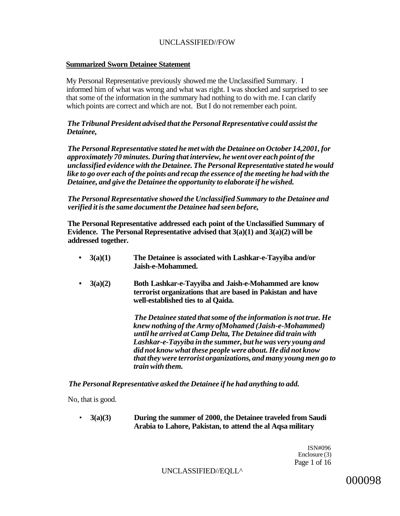## **Summarized Sworn Detainee Statement**

My Personal Representative previously showed me the Unclassified Summary. I informed him of what was wrong and what was right. I was shocked and surprised to see that some of the information in the summary had nothing to do with me. I can clarify which points are correct and which are not. But I do not remember each point.

## *The Tribunal President advised that the Personal Representative could assist the Detainee,*

*The Personal Representative stated he met with the Detainee on October 14,2001, for approximately 70 minutes. During that interview, he went over each point of the unclassified evidence with the Detainee. The Personal Representative stated he would like to go over each of the points and recap the essence of the meeting he had with the Detainee, and give the Detainee the opportunity to elaborate if he wished.* 

*The Personal Representative showed the Unclassified Summary to the Detainee and verified it is the same document the Detainee had seen before,* 

**The Personal Representative addressed each point of the Unclassified Summary of Evidence. The Personal Representative advised that 3(a)(1) and 3(a)(2) will be addressed together.** 

- **3(a)(1) The Detainee is associated with Lashkar-e-Tayyiba and/or Jaish-e-Mohammed.**
- **3(a)(2) Both Lashkar-e-Tayyiba and Jaish-e-Mohammed are know terrorist organizations that are based in Pakistan and have well-established ties to al Qaida.**

*The Detainee stated that some of the information is not true. He knew nothing of the Army ofMohamed (Jaish-e-Mohammed) until he arrived at Camp Delta, The Detainee did train with Lashkar-e-Tayyiba in the summer, but he was very young and did not know what these people were about. He did not know that they were terrorist organizations, and many young men go to train with them.* 

*The Personal Representative asked the Detainee if he had anything to add.* 

No, that is good.

• **3(a)(3) During the summer of 2000, the Detainee traveled from Saudi Arabia to Lahore, Pakistan, to attend the al Aqsa military** 

> ISN#096 Enclosure (3) Page 1 of 16

UNCLASSIFIED//EQLL^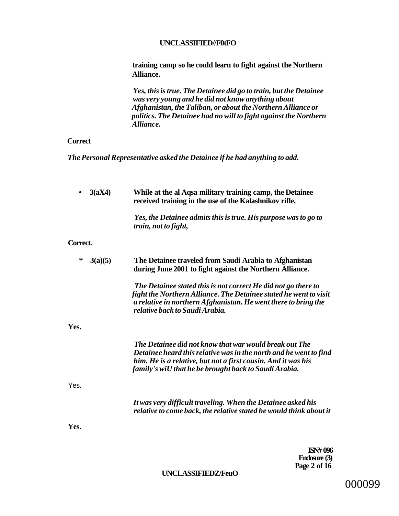## **UNCLASSIFIED//F0tFO**

**training camp so he could learn to fight against the Northern Alliance.** 

*Yes, this is true. The Detainee did go to train, but the Detainee was very young and he did not know anything about Afghanistan, the Taliban, or about the Northern Alliance or politics. The Detainee had no will to fight against the Northern Alliance.* 

## **Correct**

*The Personal Representative asked the Detainee if he had anything to add.* 

| 3(aX4)       | While at the al Aqsa military training camp, the Detainee<br>received training in the use of the Kalashnikov rifle,                                                                                                                                   |
|--------------|-------------------------------------------------------------------------------------------------------------------------------------------------------------------------------------------------------------------------------------------------------|
|              | Yes, the Detainee admits this is true. His purpose was to go to<br>train, not to fight,                                                                                                                                                               |
| Correct.     |                                                                                                                                                                                                                                                       |
| ∗<br>3(a)(5) | The Detainee traveled from Saudi Arabia to Afghanistan<br>during June 2001 to fight against the Northern Alliance.                                                                                                                                    |
|              | The Detainee stated this is not correct He did not go there to<br>fight the Northern Alliance. The Detainee stated he went to visit<br>a relative in northern Afghanistan. He went there to bring the<br>relative back to Saudi Arabia.               |
| Yes.         |                                                                                                                                                                                                                                                       |
|              | The Detainee did not know that war would break out The<br>Detainee heard this relative was in the north and he went to find<br>him. He is a relative, but not a first cousin. And it was his<br>family's wiU that he be brought back to Saudi Arabia. |
| Yes.         |                                                                                                                                                                                                                                                       |
|              | It was very difficult traveling. When the Detainee asked his<br>relative to come back, the relative stated he would think about it                                                                                                                    |
| Yes.         |                                                                                                                                                                                                                                                       |
|              | TCN# MX                                                                                                                                                                                                                                               |

**ISN# 096 Enclosure (3) Page 2 of 16** 

#### **UNCLASSIFIEDZ/FeuO**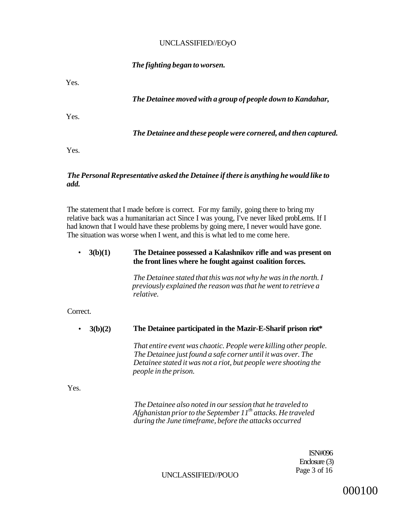## UNCLASSIFIED//EOyO

*The fighting began to worsen.* 

Yes.

## *The Detainee moved with a group of people down to Kandahar,*

Yes.

*The Detainee and these people were cornered, and then captured.* 

Yes.

## *The Personal Representative asked the Detainee if there is anything he would like to add.*

The statement that I made before is correct. For my family, going there to bring my relative back was a humanitarian act Since I was young, I've never liked probLems. If I had known that I would have these problems by going mere, I never would have gone. The situation was worse when I went, and this is what led to me come here.

#### • **3(b)(1) The Detainee possessed a Kalashnikov rifle and was present on the front lines where he fought against coalition forces.**

*The Detainee stated that this was not why he was in the north. I previously explained the reason was that he went to retrieve a relative.* 

Correct.

• **3(b)(2) The Detainee participated in the Mazir-E-Sharif prison riot\*** 

*That entire event was chaotic. People were killing other people. The Detainee just found a safe corner until it was over. The Detainee stated it was not a riot, but people were shooting the people in the prison.* 

Yes.

*The Detainee also noted in our session that he traveled to Afghanistan prior to the September 11th attacks. He traveled during the June timeframe, before the attacks occurred* 

> ISN#096 Enclosure (3) Page 3 of 16

UNCLASSIFIED//POUO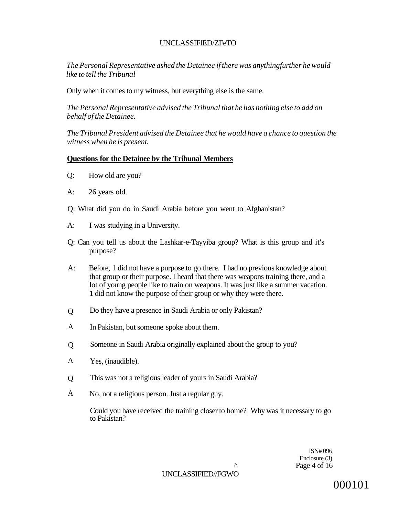## UNCLASSIFlED/ZFeTO

*The Personal Representative ashed the Detainee if there was anythingfurther he would like to tell the Tribunal* 

Only when it comes to my witness, but everything else is the same.

*The Personal Representative advised the Tribunal that he has nothing else to add on behalf of the Detainee.* 

*The Tribunal President advised the Detainee that he would have a chance to question the witness when he is present.* 

## **Questions for the Detainee bv the Tribunal Members**

- Q: How old are you?
- A: 26 years old.
- Q: What did you do in Saudi Arabia before you went to Afghanistan?
- A: I was studying in a University.
- Q: Can you tell us about the Lashkar-e-Tayyiba group? What is this group and it's purpose?
- A: Before, 1 did not have a purpose to go there. I had no previous knowledge about that group or their purpose. I heard that there was weapons training there, and a lot of young people like to train on weapons. It was just like a summer vacation. 1 did not know the purpose of their group or why they were there.
- Q Do they have a presence in Saudi Arabia or only Pakistan?
- A In Pakistan, but someone spoke about them.
- $\overline{O}$ Someone in Saudi Arabia originally explained about the group to you?
- A Yes, (inaudible).
- Q This was not a religious leader of yours in Saudi Arabia?
- A No, not a religious person. Just a regular guy.

Could you have received the training closer to home? Why was it necessary to go to Pakistan?

> ISN# 096 Enclosure (3) *^* Page 4 of 16

UNCLASSIFIED//FGWO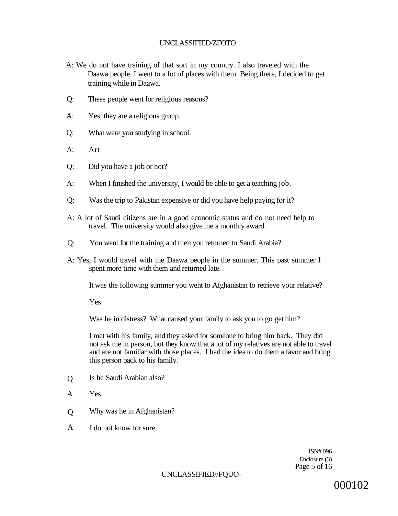- A: We do not have training of that sort in my country. I also traveled with the Daawa people. I went to a lot of places with them. Being there, I decided to get training while in Daawa.
- Q: These people went for religious reasons?
- A: Yes, they are a religious group.
- Q: What were you studying in school.
- A: Art
- Q: Did you have a job or not?
- A: When I finished the university, I would be able to get a teaching job.
- Q: Was the trip to Pakistan expensive or did you have help paying for it?
- A: A lot of Saudi citizens are in a good economic status and do not need help to travel. The university would also give me a monthly award.
- Q: You went for the training and then you returned to Saudi Arabia?
- A: Yes, I would travel with the Daawa people in the summer. This past summer I spent more time with them and returned late.

It was the following summer you went to Afghanistan to retrieve your relative?

Yes.

Was he in distress? What caused your family to ask you to go get him?

I met with his family, and they asked for someone to bring him back. They did not ask me in person, but they know that a lot of my relatives are not able to travel and are not familiar with those places. I had the idea to do them a favor and bring this person back to his family.

- $\overline{O}$ Is he Saudi Arabian also?
- A Yes.
- $\overline{O}$ Why was he in Afghanistan?
- A I do not know for sure.

ISN# 096 Enclosure (3) Page 5 of 16

UNCLASSIFIED//FQUO-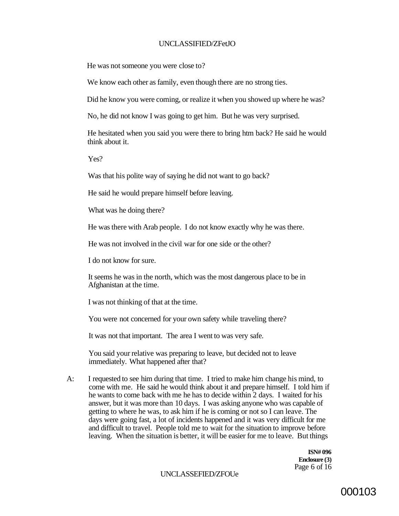#### UNCLASSIFIED/ZFetJO

He was not someone you were close to?

We know each other as family, even though there are no strong ties.

Did he know you were coming, or realize it when you showed up where he was?

No, he did not know I was going to get him. But he was very surprised.

He hesitated when you said you were there to bring htm back? He said he would think about it.

Yes?

Was that his polite way of saying he did not want to go back?

He said he would prepare himself before leaving.

What was he doing there?

He was there with Arab people. I do not know exactly why he was there.

He was not involved in the civil war for one side or the other?

I do not know for sure.

It seems he was in the north, which was the most dangerous place to be in Afghanistan at the time.

I was not thinking of that at the time.

You were not concerned for your own safety while traveling there?

It was not that important. The area I went to was very safe.

You said your relative was preparing to leave, but decided not to leave immediately. What happened after that?

A: I requested to see him during that time. I tried to make him change his mind, to come with me. He said he would think about it and prepare himself. I told him if he wants to come back with me he has to decide within 2 days. I waited for his answer, but it was more than 10 days. I was asking anyone who was capable of getting to where he was, to ask him if he is coming or not so I can leave. The days were going fast, a lot of incidents happened and it was very difficult for me and difficult to travel. People told me to wait for the situation to improve before leaving. When the situation is better, it will be easier for me to leave. But things

> **ISN# 096 Enclosure (3)**  Page 6 of 16

UNCLASSEFIED/ZFOUE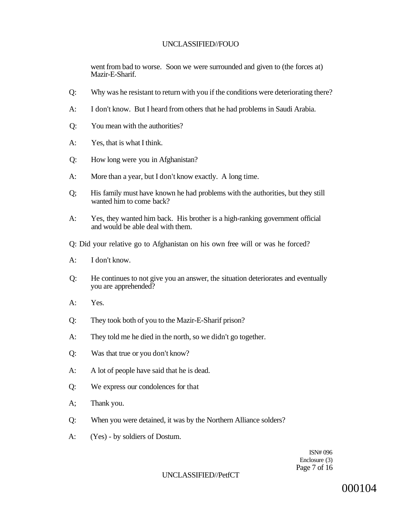went from bad to worse. Soon we were surrounded and given to (the forces at) Mazir-E-Sharif.

- Q: Why was he resistant to return with you if the conditions were deteriorating there?
- A: I don't know. But I heard from others that he had problems in Saudi Arabia.
- Q: You mean with the authorities?
- A: Yes, that is what I think.
- Q: How long were you in Afghanistan?
- A: More than a year, but I don't know exactly. A long time.
- Q; His family must have known he had problems with the authorities, but they still wanted him to come back?
- A: Yes, they wanted him back. His brother is a high-ranking government official and would be able deal with them.
- Q: Did your relative go to Afghanistan on his own free will or was he forced?
- A: I don't know.
- Q: He continues to not give you an answer, the situation deteriorates and eventually you are apprehended?
- A: Yes.
- Q: They took both of you to the Mazir-E-Sharif prison?
- A: They told me he died in the north, so we didn't go together.
- Q: Was that true or you don't know?
- A: A lot of people have said that he is dead.
- Q: We express our condolences for that
- A; Thank you.
- Q: When you were detained, it was by the Northern Alliance solders?
- A: (Yes) by soldiers of Dostum.

ISN# 096 Enclosure (3) Page 7 of 16

#### UNCLASSIFIED//PetfCT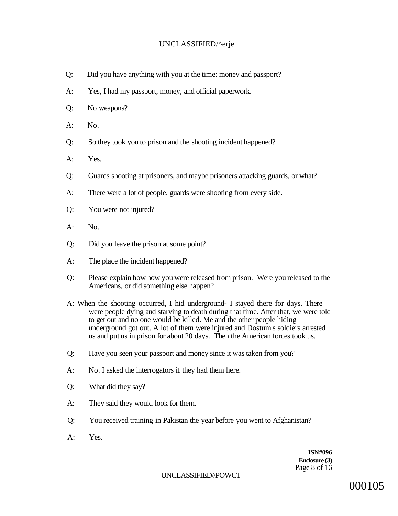## UNCLASSIFIED/^erje

- Q: Did you have anything with you at the time: money and passport?
- A: Yes, I had my passport, money, and official paperwork.
- Q: No weapons?
- $A:$  No.
- Q: So they took you to prison and the shooting incident happened?
- A: Yes.
- Q: Guards shooting at prisoners, and maybe prisoners attacking guards, or what?
- A: There were a lot of people, guards were shooting from every side.
- Q: You were not injured?
- $A:$  No.
- Q: Did you leave the prison at some point?
- A: The place the incident happened?
- Q: Please explain how how you were released from prison. Were you released to the Americans, or did something else happen?
- A: When the shooting occurred, I hid underground- I stayed there for days. There were people dying and starving to death during that time. After that, we were told to get out and no one would be killed. Me and the other people hiding underground got out. A lot of them were injured and Dostum's soldiers arrested us and put us in prison for about 20 days. Then the American forces took us.
- Q: Have you seen your passport and money since it was taken from you?
- A: No. I asked the interrogators if they had them here.
- Q: What did they say?
- A: They said they would look for them.
- Q: You received training in Pakistan the year before you went to Afghanistan?
- A: Yes.

**ISN#096 Enclosure (3)**  Page 8 of 16

## UNCLASSIFIED//POWCT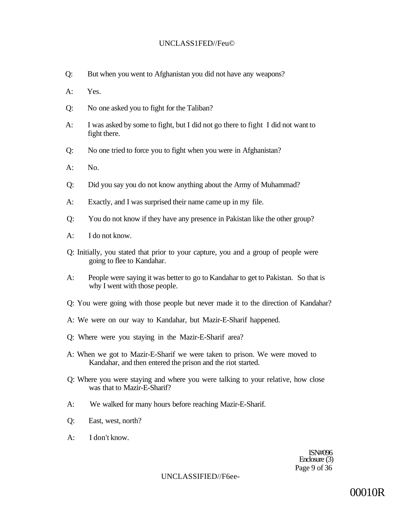### UNCLASS1FED//Feu©

- Q: But when you went to Afghanistan you did not have any weapons?
- A: Yes.
- Q: No one asked you to fight for the Taliban?
- A: I was asked by some to fight, but I did not go there to fight I did not want to fight there.
- Q: No one tried to force you to fight when you were in Afghanistan?
- A: No.
- Q: Did you say you do not know anything about the Army of Muhammad?
- A: Exactly, and I was surprised their name came up in my file.
- Q: You do not know if they have any presence in Pakistan like the other group?
- A: I do not know.
- Q: Initially, you stated that prior to your capture, you and a group of people were going to flee to Kandahar.
- A: People were saying it was better to go to Kandahar to get to Pakistan. So that is why I went with those people.
- Q: You were going with those people but never made it to the direction of Kandahar?
- A: We were on our way to Kandahar, but Mazir-E-Sharif happened.
- Q: Where were you staying in the Mazir-E-Sharif area?
- A: When we got to Mazir-E-Sharif we were taken to prison. We were moved to Kandahar, and then entered the prison and the riot started.
- Q: Where you were staying and where you were talking to your relative, how close was that to Mazir-E-Sharif?
- A: We walked for many hours before reaching Mazir-E-Sharif.
- Q: East, west, north?
- A: I don't know.

ISN#096 Enclosure (3) Page 9 of 36

UNCLASSIFIED//F6ee-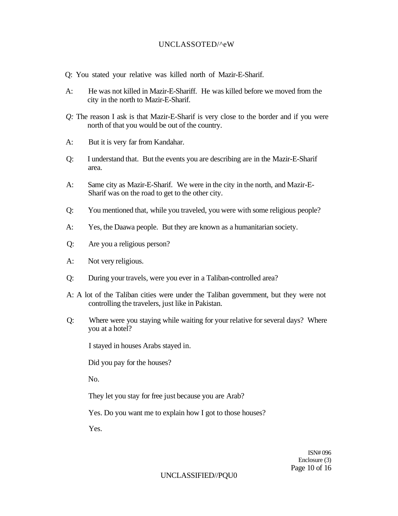## UNCLASSOTED/^eW

- Q: You stated your relative was killed north of Mazir-E-Sharif.
- A: He was not killed in Mazir-E-Shariff. He was killed before we moved from the city in the north to Mazir-E-Sharif.
- *Q:* The reason I ask is that Mazir-E-Sharif is very close to the border and if you were north of that you would be out of the country.
- A: But it is very far from Kandahar.
- Q: I understand that. But the events you are describing are in the Mazir-E-Sharif area.
- A: Same city as Mazir-E-Sharif. We were in the city in the north, and Mazir-E-Sharif was on the road to get to the other city.
- Q: You mentioned that, while you traveled, you were with some religious people?
- A: Yes, the Daawa people. But they are known as a humanitarian society.
- Q: Are you a religious person?
- A: Not very religious.
- Q: During your travels, were you ever in a Taliban-controlled area?
- A: A lot of the Taliban cities were under the Taliban government, but they were not controlling the travelers, just like in Pakistan.
- Q: Where were you staying while waiting for your relative for several days? Where you at a hotel?

I stayed in houses Arabs stayed in.

Did you pay for the houses?

No.

They let you stay for free just because you are Arab?

Yes. Do you want me to explain how I got to those houses?

Yes.

ISN# 096 Enclosure (3) Page 10 of 16

#### UNCLASSIFIED//PQU0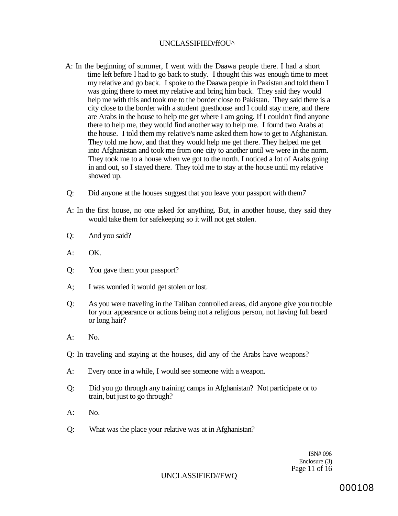## UNCLASSIFIED/ffOU^

- A: In the beginning of summer, I went with the Daawa people there. I had a short time left before I had to go back to study. I thought this was enough time to meet my relative and go back. I spoke to the Daawa people in Pakistan and told them I was going there to meet my relative and bring him back. They said they would help me with this and took me to the border close to Pakistan. They said there is a city close to the border with a student guesthouse and I could stay mere, and there are Arabs in the house to help me get where I am going. If I couldn't find anyone there to help me, they would find another way to help me. I found two Arabs at the house. I told them my relative's name asked them how to get to Afghanistan. They told me how, and that they would help me get there. They helped me get into Afghanistan and took me from one city to another until we were in the norm. They took me to a house when we got to the north. I noticed a lot of Arabs going in and out, so I stayed there. They told me to stay at the house until my relative showed up.
- Q: Did anyone at the houses suggest that you leave your passport with them7
- A: In the first house, no one asked for anything. But, in another house, they said they would take them for safekeeping so it will not get stolen.
- Q: And you said?
- A: OK.
- Q: You gave them your passport?
- A; I was wonried it would get stolen or lost.
- Q: As you were traveling in the Taliban controlled areas, did anyone give you trouble for your appearance or actions being not a religious person, not having full beard or long hair?
- A: No.
- Q: In traveling and staying at the houses, did any of the Arabs have weapons?
- A: Every once in a while, I would see someone with a weapon.
- Q: Did you go through any training camps in Afghanistan? Not participate or to train, but just to go through?
- A: No.
- Q: What was the place your relative was at in Afghanistan?

ISN# 096 Enclosure (3) Page 11 of 16

UNCLASSIFIED//FWQ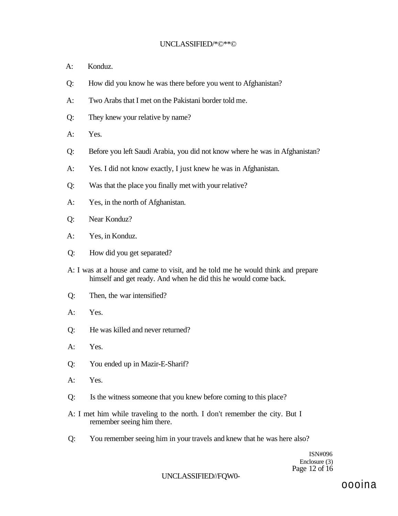## UNCLASSIFIED/\*©\*\*©

- A: Konduz.
- Q: How did you know he was there before you went to Afghanistan?
- A: Two Arabs that I met on the Pakistani border told me.
- Q: They knew your relative by name?
- A: Yes.
- Q: Before you left Saudi Arabia, you did not know where he was in Afghanistan?
- A: Yes. I did not know exactly, I just knew he was in Afghanistan.
- Q: Was that the place you finally met with your relative?
- A: Yes, in the north of Afghanistan.
- Q: Near Konduz?
- A: Yes, in Konduz.
- Q: How did you get separated?
- A: I was at a house and came to visit, and he told me he would think and prepare himself and get ready. And when he did this he would come back.
- Q: Then, the war intensified?
- A: Yes.
- Q: He was killed and never returned?
- A: Yes.
- Q: You ended up in Mazir-E-Sharif?
- A: Yes.
- Q: Is the witness someone that you knew before coming to this place?
- A: I met him while traveling to the north. I don't remember the city. But I remember seeing him there.
- Q: You remember seeing him in your travels and knew that he was here also?

ISN#096 Enclosure (3) Page 12 of 16

UNCLASSIFIED//FQW0-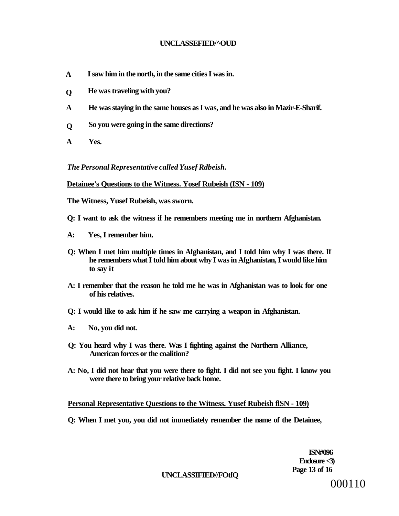## **UNCLASSEFIED/^OUD**

- **A I saw him in the north, in the same cities I was in.**
- **Q He was traveling with you?**
- **A He was staying in the same houses as I was, and he was also in Mazir-E-Sharif.**
- **Q So you were going in the same directions?**
- **A Yes.**

*The Personal Representative called Yusef Rdbeish.* 

**Detainee's Questions to the Witness. Yosef Rubeish (ISN - 109)** 

**The Witness, Yusef Rubeish, was sworn.** 

- **Q: I want to ask the witness if he remembers meeting me in northern Afghanistan.**
- **A: Yes, I remember him.**
- **Q: When I met him multiple times in Afghanistan, and I told him why I was there. If he remembers what I told him about why I was in Afghanistan, I would like him to say it**
- **A: I remember that the reason he told me he was in Afghanistan was to look for one of his relatives.**
- **Q: I would like to ask him if he saw me carrying a weapon in Afghanistan.**
- **A: No, you did not.**
- **Q: You heard why I was there. Was I fighting against the Northern Alliance, American forces or the coalition?**
- **A: No, I did not hear that you were there to fight. I did not see you fight. I know you were there to bring your relative back home.**

#### **Personal Representative Questions to the Witness. Yusef Rubeish flSN - 109)**

**Q: When I met you, you did not immediately remember the name of the Detainee,** 

**ISN#096 Enclosure <3)** 

**Page 13 of 16 UNCLASSIFIED//FOtfQ**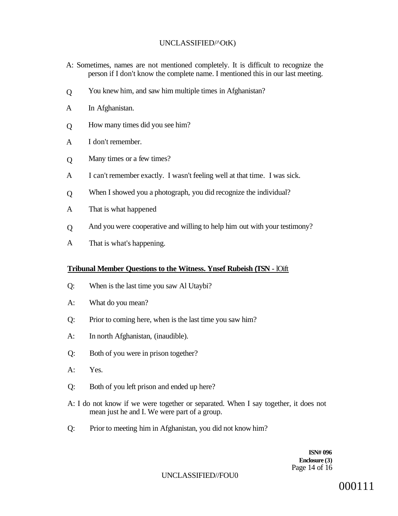## UNCLASSIFIED/^OtK)

- A: Sometimes, names are not mentioned completely. It is difficult to recognize the person if I don't know the complete name. I mentioned this in our last meeting.
- $\overline{O}$ You knew him, and saw him multiple times in Afghanistan?
- A In Afghanistan.
- Q How many times did you see him?
- A I don't remember.
- Q Many times or a few times?
- A I can't remember exactly. I wasn't feeling well at that time. I was sick.
- $\overline{O}$ When I showed you a photograph, you did recognize the individual?
- A That is what happened
- Q And you were cooperative and willing to help him out with your testimony?
- A That is what's happening.

#### **Tribunal Member Questions to the Witness. Ynsef Rubeish (TSN** - lOift

- Q: When is the last time you saw Al Utaybi?
- A: What do you mean?
- Q: Prior to coming here, when is the last time you saw him?
- A: In north Afghanistan, (inaudible).
- Q: Both of you were in prison together?
- A: Yes.
- Q: Both of you left prison and ended up here?
- A: I do not know if we were together or separated. When I say together, it does not mean just he and I. We were part of a group.
- Q: Prior to meeting him in Afghanistan, you did not know him?

**ISN# 096 Enclosure (3)**  Page 14 of 16

#### UNCLASSIFIED//FOU0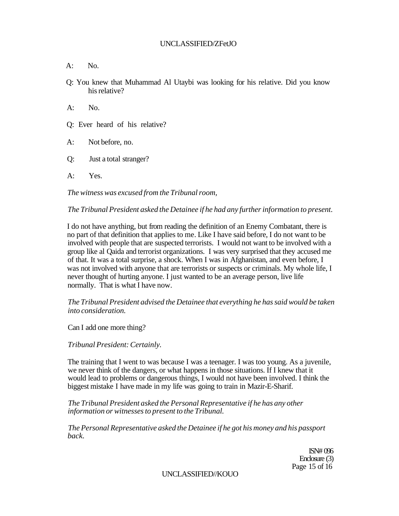## UNCLASSIFIED/ZFetJO

 $A:$  No.

Q: You knew that Muhammad Al Utaybi was looking for his relative. Did you know his relative?

A: No.

Q: Ever heard of his relative?

A: Not before, no.

Q: Just a total stranger?

A: Yes.

*The witness was excused from the Tribunal room,* 

*The Tribunal President asked the Detainee if he had any further information to present.* 

I do not have anything, but from reading the definition of an Enemy Combatant, there is no part of that definition that applies to me. Like I have said before, I do not want to be involved with people that are suspected terrorists. I would not want to be involved with a group like al Qaida and terrorist organizations. I was very surprised that they accused me of that. It was a total surprise, a shock. When I was in Afghanistan, and even before, I was not involved with anyone that are terrorists or suspects or criminals. My whole life, I never thought of hurting anyone. I just wanted to be an average person, live life normally. That is what I have now.

*The Tribunal President advised the Detainee that everything he has said would be taken into consideration.* 

Can I add one more thing?

*Tribunal President: Certainly.* 

The training that I went to was because I was a teenager. I was too young. As a juvenile, we never think of the dangers, or what happens in those situations. If I knew that it would lead to problems or dangerous things, I would not have been involved. I think the biggest mistake I have made in my life was going to train in Mazir-E-Sharif.

*The Tribunal President asked the Personal Representative if he has any other information or witnesses to present to the Tribunal.* 

*The Personal Representative asked the Detainee if he got his money and his passport back.* 

> ISN# 096 Enclosure (3) Page 15 of 16

UNCLASSIFIED//KOUO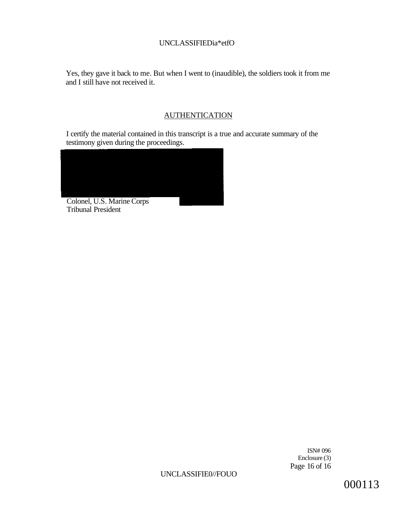## UNCLASSIFIEDia\*etfO

Yes, they gave it back to me. But when I went to (inaudible), the soldiers took it from me and I still have not received it.

## AUTHENTICATION

I certify the material contained in this transcript is a true and accurate summary of the testimony given during the proceedings.



Tribunal President

ISN# 096 Enclosure (3) Page 16 of 16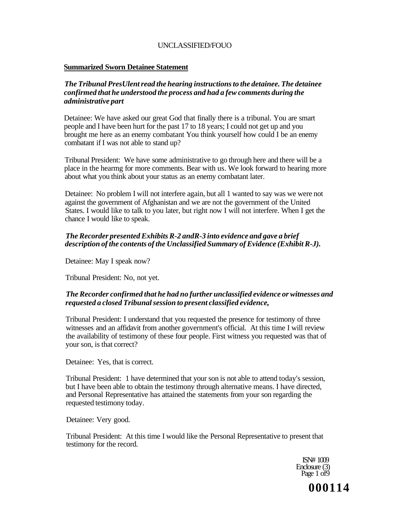#### **Summarized Sworn Detainee Statement**

## *The Tribunal PresUlent read the hearing instructions to the detainee. The detainee confirmed that he understood the process and had a few comments during the administrative part*

Detainee: We have asked our great God that finally there is a tribunal. You are smart people and I have been hurt for the past 17 to 18 years; I could not get up and you brought me here as an enemy combatant You think yourself how could I be an enemy combatant if I was not able to stand up?

Tribunal President: We have some administrative to go through here and there will be a place in the hearmg for more comments. Bear with us. We look forward to hearing more about what you think about your status as an enemy combatant later.

Detainee: No problem I will not interfere again, but all 1 wanted to say was we were not against the government of Afghanistan and we are not the government of the United States. I would like to talk to you later, but right now I will not interfere. When I get the chance I would like to speak.

## *The Recorder presented Exhibits R-2 andR-3 into evidence and gave a brief description of the contents of the Unclassified Summary of Evidence (Exhibit R-J).*

Detainee: May I speak now?

Tribunal President: No, not yet.

## *The Recorder confirmed that he had no further unclassified evidence or witnesses and requested a closed Tribunal session to present classified evidence,*

Tribunal President: I understand that you requested the presence for testimony of three witnesses and an affidavit from another government's official. At this time I will review the availability of testimony of these four people. First witness you requested was that of your son, is that correct?

Detainee: Yes, that is correct.

Tribunal President: 1 have determined that your son is not able to attend today's session, but I have been able to obtain the testimony through alternative means. I have directed, and Personal Representative has attained the statements from your son regarding the requested testimony today.

Detainee: Very good.

Tribunal President: At this time I would like the Personal Representative to present that testimony for the record.

> ISN# 1009 Enclosure (3) Page  $1 \text{ of } 9$

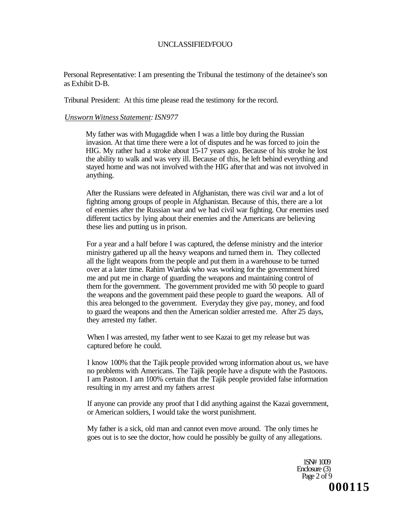Personal Representative: I am presenting the Tribunal the testimony of the detainee's son as Exhibit D-B.

Tribunal President: At this time please read the testimony for the record.

#### *Unsworn Witness Statement: ISN977*

My father was with Mugagdide when I was a little boy during the Russian invasion. At that time there were a lot of disputes and he was forced to join the HIG. My rather had a stroke about 15-17 years ago. Because of his stroke he lost the ability to walk and was very ill. Because of this, he left behind everything and stayed home and was not involved with the HIG after that and was not involved in anything.

After the Russians were defeated in Afghanistan, there was civil war and a lot of fighting among groups of people in Afghanistan. Because of this, there are a lot of enemies after the Russian war and we had civil war fighting. Our enemies used different tactics by lying about their enemies and the Americans are believing these lies and putting us in prison.

For a year and a half before I was captured, the defense ministry and the interior ministry gathered up all the heavy weapons and turned them in. They collected all the light weapons from the people and put them in a warehouse to be turned over at a later time. Rahim Wardak who was working for the government hired me and put me in charge of guarding the weapons and maintaining control of them for the government. The government provided me with 50 people to guard the weapons and the government paid these people to guard the weapons. All of this area belonged to the government. Everyday they give pay, money, and food to guard the weapons and then the American soldier arrested me. After 25 days, they arrested my father.

When I was arrested, my father went to see Kazai to get my release but was captured before he could.

I know 100% that the Tajik people provided wrong information about us, we have no problems with Americans. The Tajik people have a dispute with the Pastoons. I am Pastoon. I am 100% certain that the Tajik people provided false information resulting in my arrest and my fathers arrest

If anyone can provide any proof that I did anything against the Kazai government, or American soldiers, I would take the worst punishment.

My father is a sick, old man and cannot even move around. The only times he goes out is to see the doctor, how could he possibly be guilty of any allegations.

> 1SN# 1009 Enclosure (3) Page 2 of 9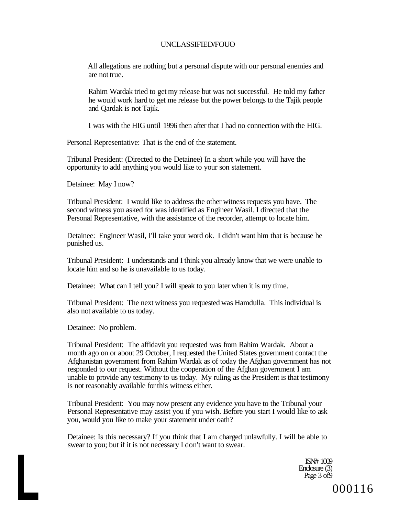All allegations are nothing but a personal dispute with our personal enemies and are not true.

Rahim Wardak tried to get my release but was not successful. He told my father he would work hard to get me release but the power belongs to the Tajik people and Qardak is not Tajik.

I was with the HIG until 1996 then after that I had no connection with the HIG.

Personal Representative: That is the end of the statement.

Tribunal President: (Directed to the Detainee) In a short while you will have the opportunity to add anything you would like to your son statement.

Detainee: May I now?

Tribunal President: I would like to address the other witness requests you have. The second witness you asked for was identified as Engineer Wasil. I directed that the Personal Representative, with the assistance of the recorder, attempt to locate him.

Detainee: Engineer Wasil, I'll take your word ok. I didn't want him that is because he punished us.

Tribunal President: I understands and I think you already know that we were unable to locate him and so he is unavailable to us today.

Detainee: What can I tell you? I will speak to you later when it is my time.

Tribunal President: The next witness you requested was Hamdulla. This individual is also not available to us today.

Detainee: No problem.

Tribunal President: The affidavit you requested was from Rahim Wardak. About a month ago on or about 29 October, I requested the United States government contact the Afghanistan government from Rahim Wardak as of today the Afghan government has not responded to our request. Without the cooperation of the Afghan government I am unable to provide any testimony to us today. My ruling as the President is that testimony is not reasonably available for this witness either.

Tribunal President: You may now present any evidence you have to the Tribunal your Personal Representative may assist you if you wish. Before you start I would like to ask you, would you like to make your statement under oath?

Detainee: Is this necessary? If you think that I am charged unlawfully. I will be able to swear to you; but if it is not necessary I don't want to swear.

> ISN# 1009 Enclosure (3)<br>Page 3 of 9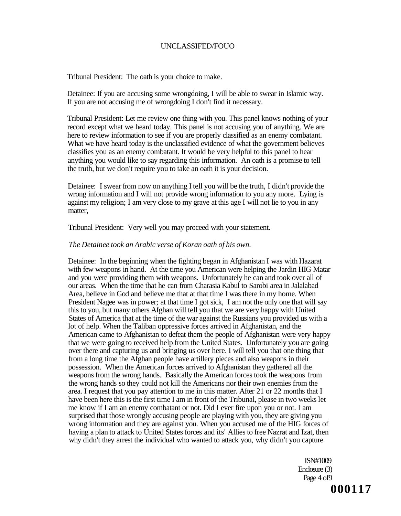Tribunal President: The oath is your choice to make.

Detainee: If you are accusing some wrongdoing, I will be able to swear in Islamic way. If you are not accusing me of wrongdoing I don't find it necessary.

Tribunal President: Let me review one thing with you. This panel knows nothing of your record except what we heard today. This panel is not accusing you of anything. We are here to review information to see if you are properly classified as an enemy combatant. What we have heard today is the unclassified evidence of what the government believes classifies you as an enemy combatant. It would be very helpful to this panel to hear anything you would like to say regarding this information. An oath is a promise to tell the truth, but we don't require you to take an oath it is your decision.

Detainee: I swear from now on anything I tell you will be the truth, I didn't provide the wrong information and I will not provide wrong information to you any more. Lying is against my religion; I am very close to my grave at this age I will not lie to you in any matter,

Tribunal President: Very well you may proceed with your statement.

#### *The Detainee took an Arabic verse of Koran oath of his own.*

Detainee: In the beginning when the fighting began in Afghanistan I was with Hazarat with few weapons in hand. At the time you American were helping the Jardin HIG Matar and you were providing them with weapons. Unfortunately he can and took over all of our areas. When the time that he can from Charasia Kabul to Sarobi area in Jalalabad Area, believe in God and believe me that at that time I was there in my home. When President Nagee was in power; at that time I got sick, I am not the only one that will say this to you, but many others Afghan will tell you that we are very happy with United States of America that at the time of the war against the Russians you provided us with a lot of help. When the Taliban oppressive forces arrived in Afghanistan, and the American came to Afghanistan to defeat them the people of Afghanistan were very happy that we were going to received help from the United States. Unfortunately you are going over there and capturing us and bringing us over here. I will tell you that one thing that from a long time the Afghan people have artillery pieces and also weapons in their possession. When the American forces arrived to Afghanistan they gathered all the weapons from the wrong hands. Basically the American forces took the weapons from the wrong hands so they could not kill the Americans nor their own enemies from the area. I request that you pay attention to me in this matter. After 21 or 22 months that I have been here this is the first time I am in front of the Tribunal, please in two weeks let me know if I am an enemy combatant or not. Did I ever fire upon you or not. I am surprised that those wrongly accusing people are playing with you, they are giving you wrong information and they are against you. When you accused me of the HIG forces of having a plan to attack to United States forces and its' Allies to free Nazrat and Izat, then why didn't they arrest the individual who wanted to attack you, why didn't you capture

> ISN#1009 Enclosure (3) Page 4 of9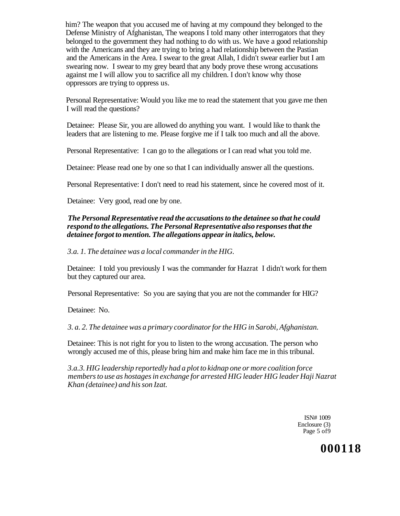him? The weapon that you accused me of having at my compound they belonged to the Defense Ministry of Afghanistan, The weapons I told many other interrogators that they belonged to the government they had nothing to do with us. We have a good relationship with the Americans and they are trying to bring a had relationship between the Pastian and the Americans in the Area. I swear to the great Allah, I didn't swear earlier but I am swearing now. I swear to my grey beard that any body prove these wrong accusations against me I will allow you to sacrifice all my children. I don't know why those oppressors are trying to oppress us.

Personal Representative: Would you like me to read the statement that you gave me then I will read the questions?

Detainee: Please Sir, you are allowed do anything you want. I would like to thank the leaders that are listening to me. Please forgive me if I talk too much and all the above.

Personal Representative: I can go to the allegations or I can read what you told me.

Detainee: Please read one by one so that I can individually answer all the questions.

Personal Representative: I don't need to read his statement, since he covered most of it.

Detainee: Very good, read one by one.

## *The Personal Representative read the accusations to the detainee so that he could respond to the allegations. The Personal Representative also responses that the detainee forgot to mention. The allegations appear in italics, below.*

*3.a. 1. The detainee was a local commander in the HIG.* 

Detainee: I told you previously I was the commander for Hazrat I didn't work for them but they captured our area.

Personal Representative: So you are saying that you are not the commander for HIG?

Detainee: No.

*3. a. 2. The detainee was a primary coordinator for the HIG in Sarobi, Afghanistan.* 

Detainee: This is not right for you to listen to the wrong accusation. The person who wrongly accused me of this, please bring him and make him face me in this tribunal.

*3.a.3. HIG leadership reportedly had a plot to kidnap one or more coalition force members to use as hostages in exchange for arrested HIG leader HIG leader Haji Nazrat Khan (detainee) and his son Izat.* 

> ISN# 1009 Enclosure (3) Page 5 of9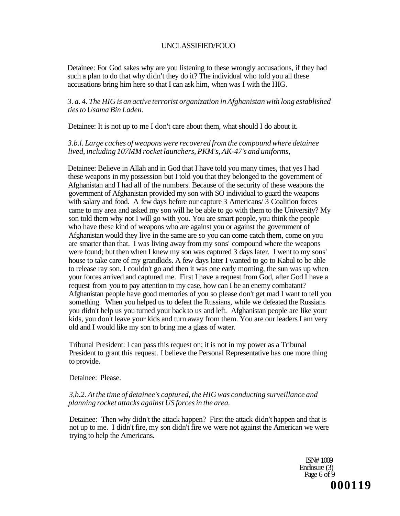Detainee: For God sakes why are you listening to these wrongly accusations, if they had such a plan to do that why didn't they do it? The individual who told you all these accusations bring him here so that I can ask him, when was I with the HIG.

#### *3. a. 4. The HIG is an active terrorist organization in Afghanistan with long established ties to Usama Bin Laden.*

Detainee: It is not up to me I don't care about them, what should I do about it.

#### *3.b.l. Large caches of weapons were recovered from the compound where detainee lived, including 107MM rocket launchers, PKM's, AK-47's and uniforms,*

Detainee: Believe in Allah and in God that I have told you many times, that yes I had these weapons in my possession but I told you that they belonged to the government of Afghanistan and I had all of the numbers. Because of the security of these weapons the government of Afghanistan provided my son with SO individual to guard the weapons with salary and food. A few days before our capture 3 Americans/ 3 Coalition forces came to my area and asked my son will he be able to go with them to the University? My son told them why not I will go with you. You are smart people, you think the people who have these kind of weapons who are against you or against the government of Afghanistan would they live in the same are so you can come catch them, come on you are smarter than that. I was living away from my sons' compound where the weapons were found; but then when I knew my son was captured 3 days later. I went to my sons' house to take care of my grandkids. A few days later I wanted to go to Kabul to be able to release ray son. I couldn't go and then it was one early morning, the sun was up when your forces arrived and captured me. First I have a request from God, after God I have a request from you to pay attention to my case, how can I be an enemy combatant? Afghanistan people have good memories of you so please don't get mad I want to tell you something. When you helped us to defeat the Russians, while we defeated the Russians you didn't help us you turned your back to us and left. Afghanistan people are like your kids, you don't leave your kids and turn away from them. You are our leaders I am very old and I would like my son to bring me a glass of water.

Tribunal President: I can pass this request on; it is not in my power as a Tribunal President to grant this request. I believe the Personal Representative has one more thing to provide.

Detainee: Please.

#### *3,b.2. At the time of detainee's captured, the HIG was conducting surveillance and planning rocket attacks against US forces in the area.*

Detainee: Then why didn't the attack happen? First the attack didn't happen and that is not up to me. I didn't fire, my son didn't fire we were not against the American we were trying to help the Americans.

> ISN# 1009 Enclosure (3) Page 6 of 9 **000119**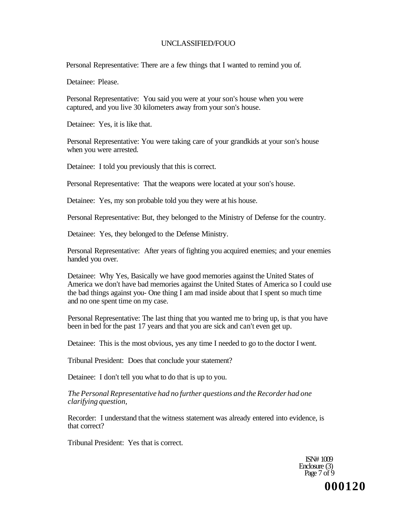Personal Representative: There are a few things that I wanted to remind you of.

Detainee: Please.

Personal Representative: You said you were at your son's house when you were captured, and you live 30 kilometers away from your son's house.

Detainee: Yes, it is like that.

Personal Representative: You were taking care of your grandkids at your son's house when you were arrested.

Detainee: I told you previously that this is correct.

Personal Representative: That the weapons were located at your son's house.

Detainee: Yes, my son probable told you they were at his house.

Personal Representative: But, they belonged to the Ministry of Defense for the country.

Detainee: Yes, they belonged to the Defense Ministry.

Personal Representative: After years of fighting you acquired enemies; and your enemies handed you over.

Detainee: Why Yes, Basically we have good memories against the United States of America we don't have bad memories against the United States of America so I could use the bad things against you- One thing I am mad inside about that I spent so much time and no one spent time on my case.

Personal Representative: The last thing that you wanted me to bring up, is that you have been in bed for the past 17 years and that you are sick and can't even get up.

Detainee: This is the most obvious, yes any time I needed to go to the doctor I went.

Tribunal President: Does that conclude your statement?

Detainee: I don't tell you what to do that is up to you.

*The Personal Representative had no further questions and the Recorder had one clarifying question,* 

Recorder: I understand that the witness statement was already entered into evidence, is that correct?

Tribunal President: Yes that is correct.

ISN# 1009 Enclosure (3) Page 7 of 9

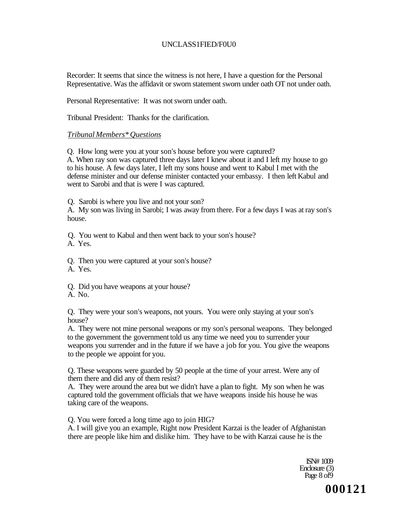## UNCLASS1FIED/F0U0

Recorder: It seems that since the witness is not here, I have a question for the Personal Representative. Was the affidavit or sworn statement sworn under oath OT not under oath.

Personal Representative: It was not sworn under oath.

Tribunal President: Thanks for the clarification.

## *Tribunal Members\* Questions*

Q. How long were you at your son's house before you were captured?

A. When ray son was captured three days later I knew about it and I left my house to go to his house. A few days later, I left my sons house and went to Kabul I met with the defense minister and our defense minister contacted your embassy. I then left Kabul and went to Sarobi and that is were I was captured.

Q. Sarobi is where you live and not your son?

A. My son was living in Sarobi; I was away from there. For a few days I was at ray son's house.

Q. You went to Kabul and then went back to your son's house?

A. Yes.

Q. Then you were captured at your son's house?

A. Yes.

Q. Did you have weapons at your house?

A. No.

Q. They were your son's weapons, not yours. You were only staying at your son's house?

A. They were not mine personal weapons or my son's personal weapons. They belonged to the government the government told us any time we need you to surrender your weapons you surrender and in the future if we have a job for you. You give the weapons to the people we appoint for you.

Q. These weapons were guarded by 50 people at the time of your arrest. Were any of them there and did any of them resist?

A. They were around the area but we didn't have a plan to fight. My son when he was captured told the government officials that we have weapons inside his house he was taking care of the weapons.

Q. You were forced a long time ago to join HIG?

A. I will give you an example, Right now President Karzai is the leader of Afghanistan there are people like him and dislike him. They have to be with Karzai cause he is the

> ISN# 1009 Enclosure (3) Page 8 of 9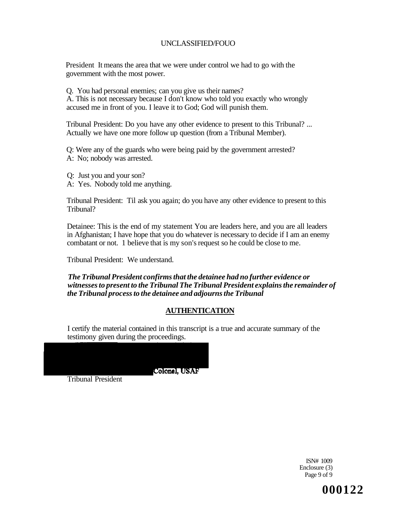President It means the area that we were under control we had to go with the government with the most power.

Q. You had personal enemies; can you give us their names? A. This is not necessary because I don't know who told you exactly who wrongly accused me in front of you. I leave it to God; God will punish them.

Tribunal President: Do you have any other evidence to present to this Tribunal? ... Actually we have one more follow up question (from a Tribunal Member).

Q: Were any of the guards who were being paid by the government arrested? A: No; nobody was arrested.

Q: Just you and your son?

A: Yes. Nobody told me anything.

Tribunal President: Til ask you again; do you have any other evidence to present to this Tribunal?

Detainee: This is the end of my statement You are leaders here, and you are all leaders in Afghanistan; I have hope that you do whatever is necessary to decide if I am an enemy combatant or not. 1 believe that is my son's request so he could be close to me.

Tribunal President: We understand.

*The Tribunal President confirms that the detainee had no further evidence or witnesses to present to the Tribunal The Tribunal President explains the remainder of the Tribunal process to the detainee and adjourns the Tribunal* 

## **AUTHENTICATION**

I certify the material contained in this transcript is a true and accurate summary of the testimony given during the proceedings.



Tribunal President

ISN# 1009 Enclosure (3) Page 9 of 9

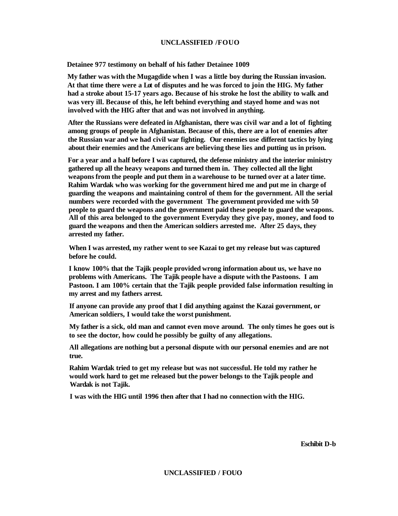**Detainee 977 testimony on behalf of his father Detainee 1009** 

**My father was with the Mugagdide when I was a little boy during the Russian invasion. At that time there were a Lot of disputes and he was forced to join the HIG. My father had a stroke about 15-17 years ago. Because of his stroke he lost the ability to walk and was very ill. Because of this, he left behind everything and stayed home and was not involved with the HIG after that and was not involved in anything.** 

**After the Russians were defeated in Afghanistan, there was civil war and a lot of fighting among groups of people in Afghanistan. Because of this, there are a lot of enemies after the Russian war and we had civil war fighting. Our enemies use different tactics by lying about their enemies and the Americans are believing these lies and putting us in prison.** 

**For a year and a half before I was captured, the defense ministry and the interior ministry gathered up all the heavy weapons and turned them in. They collected all the light weapons from the people and put them in a warehouse to be turned over at a later time. Rahim Wardak who was working for the government hired me and put me in charge of guarding the weapons and maintaining control of them for the government. All the serial numbers were recorded with the government The government provided me with 50 people to guard the weapons and the government paid these people to guard the weapons. All of this area belonged to the government Everyday they give pay, money, and food to guard the weapons and then the American soldiers arrested me. After 25 days, they arrested my father.** 

**When I was arrested, my rather went to see Kazai to get my release but was captured before he could.** 

**I know 100% that the Tajik people provided wrong information about us, we have no problems with Americans. The Tajik people have a dispute with the Pastoons. I am Pastoon. I am 100% certain that the Tajik people provided false information resulting in my arrest and my fathers arrest.** 

**If anyone can provide any proof that I did anything against the Kazai government, or American soldiers, I would take the worst punishment.** 

**My father is a sick, old man and cannot even move around. The only times he goes out is to see the doctor, how could he possibly be guilty of any allegations.** 

**All allegations are nothing but a personal dispute with our personal enemies and are not true.** 

**Rahim Wardak tried to get my release but was not successful. He told my rather he would work hard to get me released but the power belongs to the Tajik people and Wardak is not Tajik.** 

**I was with the HIG until 1996 then after that I had no connection with the HIG.** 

**Eschibit D-b**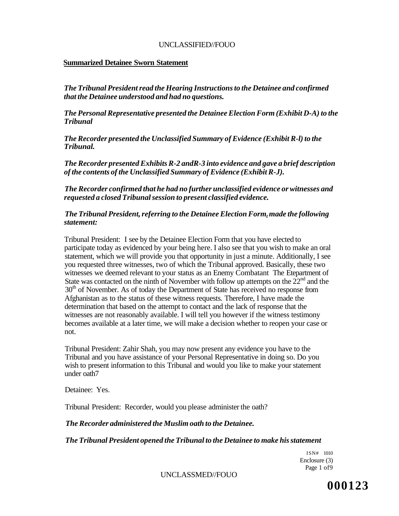#### **Summarized Detainee Sworn Statement**

*The Tribunal President read the Hearing Instructions to the Detainee and confirmed that the Detainee understood and had no questions.* 

*The Personal Representative presented the Detainee Election Form (Exhibit D-A) to the Tribunal* 

*The Recorder presented the Unclassified Summary of Evidence (Exhibit R-l) to the Tribunal.* 

*The Recorder presented Exhibits R-2 andR-3 into evidence and gave a brief description of the contents of the Unclassified Summary of Evidence (Exhibit R-J).* 

*The Recorder confirmed that he had no further unclassified evidence or witnesses and requested a closed Tribunal session to present classified evidence.* 

#### *The Tribunal President, referring to the Detainee Election Form<sup>t</sup> made the following statement:*

Tribunal President: I see by the Detainee Election Form that you have elected to participate today as evidenced by your being here. I also see that you wish to make an oral statement, which we will provide you that opportunity in just a minute. Additionally, I see you requested three witnesses, two of which the Tribunal approved. Basically, these two witnesses we deemed relevant to your status as an Enemy Combatant The Etepartment of State was contacted on the ninth of November with follow up attempts on the  $22<sup>nd</sup>$  and the 30<sup>th</sup> of November. As of today the Department of State has received no response from Afghanistan as to the status of these witness requests. Therefore, I have made the determination that based on the attempt to contact and the lack of response that the witnesses are not reasonably available. I will tell you however if the witness testimony becomes available at a later time, we will make a decision whether to reopen your case or not.

Tribunal President: Zahir Shah, you may now present any evidence you have to the Tribunal and you have assistance of your Personal Representative in doing so. Do you wish to present information to this Tribunal and would you like to make your statement under oath7

Detainee: Yes.

Tribunal President: Recorder, would you please administer the oath?

#### *The Recorder administered the Muslim oath to the Detainee.*

#### *The Tribunal President opened the Tribunal to the Detainee to make his statement*

ISN# 1010 Enclosure (3) Page 1 of9

UNCLASSMED//FOUO

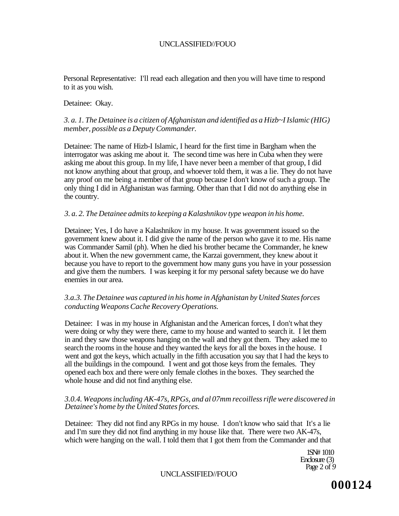Personal Representative: I'll read each allegation and then you will have time to respond to it as you wish.

#### Detainee: Okay.

#### *3. a. 1. The Detainee is a citizen of Afghanistan and identified as a Hizb~I Islamic (HIG) member, possible as a Deputy Commander.*

Detainee: The name of Hizb-I Islamic, I heard for the first time in Bargham when the interrogator was asking me about it. The second time was here in Cuba when they were asking me about this group. In my life, I have never been a member of that group, I did not know anything about that group, and whoever told them, it was a lie. They do not have any proof on me being a member of that group because I don't know of such a group. The only thing I did in Afghanistan was farming. Other than that I did not do anything else in the country.

#### *3. a. 2. The Detainee admits to keeping a Kalashnikov type weapon in his home.*

Detainee; Yes, I do have a Kalashnikov in my house. It was government issued so the government knew about it. I did give the name of the person who gave it to me. His name was Commander Samil (ph). When he died his brother became the Commander, he knew about it. When the new government came, the Karzai government, they knew about it because you have to report to the government how many guns you have in your possession and give them the numbers. I was keeping it for my personal safety because we do have enemies in our area.

## *3.a.3. The Detainee was captured in his home in Afghanistan by United States forces conducting Weapons Cache Recovery Operations.*

Detainee: I was in my house in Afghanistan and the American forces, I don't what they were doing or why they were there, came to my house and wanted to search it. I let them in and they saw those weapons hanging on the wall and they got them. They asked me to search the rooms in the house and they wanted the keys for all the boxes in the house. I went and got the keys, which actually in the fifth accusation you say that I had the keys to all the buildings in the compound. I went and got those keys from the females. They opened each box and there were only female clothes in the boxes. They searched the whole house and did not find anything else.

#### *3.0.4. Weapons including AK-47s, RPGs, and al 07mm recoilless rifle were discovered in Detainee's home by the United States forces.*

Detainee: They did not find any RPGs in my house. I don't know who said that It's a lie and I'm sure they did not find anything in my house like that. There were two AK-47s, which were hanging on the wall. I told them that I got them from the Commander and that

> 1SN# 1010 Enclosure (3) Page 2 of *9*

#### UNCLASSIFIED//FOUO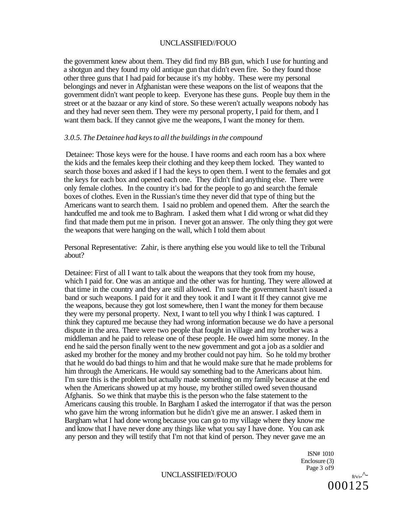the government knew about them. They did find my BB gun, which I use for hunting and a shotgun and they found my old antique gun that didn't even fire. So they found those other three guns that I had paid for because it's my hobby. These were my personal belongings and never in Afghanistan were these weapons on the list of weapons that the government didn't want people to keep. Everyone has these guns. People buy them in the street or at the bazaar or any kind of store. So these weren't actually weapons nobody has and they had never seen them. They were my personal property, I paid for them, and I want them back. If they cannot give me the weapons, I want the money for them.

#### *3.0.5. The Detainee had keys to all the buildings in the compound*

Detainee: Those keys were for the house. I have rooms and each room has a box where the kids and the females keep their clothing and they keep them locked. They wanted to search those boxes and asked if I had the keys to open them. I went to the females and got the keys for each box and opened each one. They didn't find anything else. There were only female clothes. In the country it's bad for the people to go and search the female boxes of clothes. Even in the Russian's time they never did that type of thing but the Americans want to search them. I said no problem and opened them. After the search the handcuffed me and took me to Baghram. I asked them what I did wrong or what did they find that made them put me in prison. I never got an answer. The only thing they got were the weapons that were hanging on the wall, which I told them about

Personal Representative: Zahir, is there anything else you would like to tell the Tribunal about?

Detainee: First of all I want to talk about the weapons that they took from my house, which I paid for. One was an antique and the other was for hunting. They were allowed at that time in the country and they are still allowed. I'm sure the government hasn't issued a band or such weapons. I paid for it and they took it and I want it If they cannot give me the weapons, because they got lost somewhere, then I want the money for them because they were my personal property. Next, I want to tell you why I think I was captured. I think they captured me because they had wrong information because we do have a personal dispute in the area. There were two people that fought in village and my brother was a middleman and he paid to release one of these people. He owed him some money. In the end he said the person finally went to the new government and got a job as a soldier and asked my brother for the money and my brother could not pay him. So he told my brother that he would do bad things to him and that he would make sure that he made problems for him through the Americans. He would say something bad to the Americans about him. I'm sure this is the problem but actually made something on my family because at the end when the Americans showed up at my house, my brother stilled owed seven thousand Afghanis. So we think that maybe this is the person who the false statement to the Americans causing this trouble. In Bargham I asked the interrogator if that was the person who gave him the wrong information but he didn't give me an answer. I asked them in Bargham what I had done wrong because you can go to my village where they know me and know that I have never done any things like what you say I have done. You can ask any person and they will testify that I'm not that kind of person. They never gave me an

> ISN# 1010 Enclosure (3) Page 3 of9

## $\text{UNCLASSIFIED/FOUO}$   $\text{fiv.}^{\Lambda}$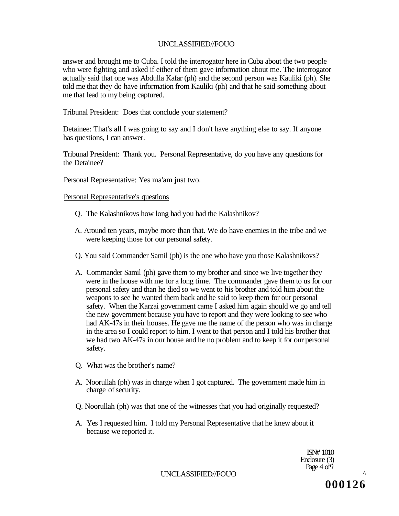answer and brought me to Cuba. I told the interrogator here in Cuba about the two people who were fighting and asked if either of them gave information about me. The interrogator actually said that one was Abdulla Kafar (ph) and the second person was Kauliki (ph). She told me that they do have information from Kauliki (ph) and that he said something about me that lead to my being captured.

Tribunal President: Does that conclude your statement?

Detainee: That's all I was going to say and I don't have anything else to say. If anyone has questions, I can answer.

Tribunal President: Thank you. Personal Representative, do you have any questions for the Detainee?

Personal Representative: Yes ma'am just two.

Personal Representative's questions

- Q. The Kalashnikovs how long had you had the Kalashnikov?
- A. Around ten years, maybe more than that. We do have enemies in the tribe and we were keeping those for our personal safety.
- Q. You said Commander Samil (ph) is the one who have you those Kalashnikovs?
- A. Commander Samil (ph) gave them to my brother and since we live together they were in the house with me for a long time. The commander gave them to us for our personal safety and than he died so we went to his brother and told him about the weapons to see he wanted them back and he said to keep them for our personal safety. When the Karzai government came I asked him again should we go and tell the new government because you have to report and they were looking to see who had AK-47s in their houses. He gave me the name of the person who was in charge in the area so I could report to him. I went to that person and I told his brother that we had two AK-47s in our house and he no problem and to keep it for our personal safety.
- Q. What was the brother's name?
- A. Noorullah (ph) was in charge when I got captured. The government made him in charge of security.
- Q. Noorullah (ph) was that one of the witnesses that you had originally requested?
- A. Yes I requested him. I told my Personal Representative that he knew about it because we reported it.

ISN# 1010 Enclosure (3) Page 4 of*9* 

UNCLASSIFIED//FOUO ^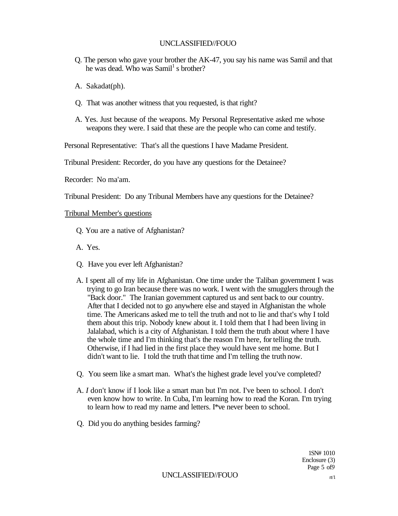- Q. The person who gave your brother the AK-47, you say his name was Samil and that he was dead. Who was Samil<sup>1</sup> s brother?
- A. Sakadat(ph).
- Q. That was another witness that you requested, is that right?
- A. Yes. Just because of the weapons. My Personal Representative asked me whose weapons they were. I said that these are the people who can come and testify.

Personal Representative: That's all the questions I have Madame President.

Tribunal President: Recorder, do you have any questions for the Detainee?

Recorder: No ma'am.

Tribunal President: Do any Tribunal Members have any questions for the Detainee?

#### Tribunal Member's questions

- Q. You are a native of Afghanistan?
- A. Yes.
- Q. Have you ever left Afghanistan?
- A. I spent all of my life in Afghanistan. One time under the Taliban government I was trying to go Iran because there was no work. I went with the smugglers through the "Back door." The Iranian government captured us and sent back to our country. After that I decided not to go anywhere else and stayed in Afghanistan the whole time. The Americans asked me to tell the truth and not to lie and that's why I told them about this trip. Nobody knew about it. I told them that I had been living in Jalalabad, which is a city of Afghanistan. I told them the truth about where I have the whole time and I'm thinking that's the reason I'm here, for telling the truth. Otherwise, if I had lied in the first place they would have sent me home. But I didn't want to lie. I told the truth that time and I'm telling the truth now.
- Q. You seem like a smart man. What's the highest grade level you've completed?
- A. *I* don't know if I look like a smart man but I'm not. I've been to school. I don't even know how to write. In Cuba, I'm learning how to read the Koran. I'm trying to learn how to read my name and letters. I\*ve never been to school.
- Q. Did you do anything besides farming?

1SN# 1010 Enclosure (3) Page 5 of*9* 

 $UNCLASSIFIED/FOUO$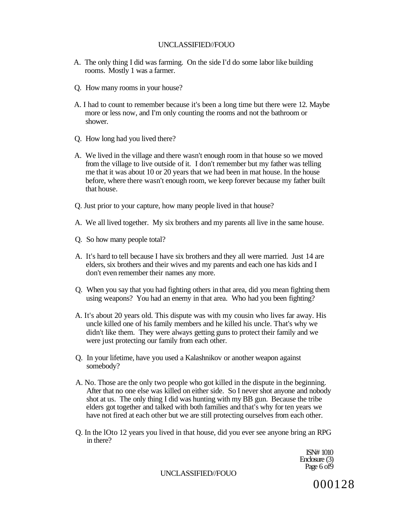- A. The only thing I did was farming. On the side I'd do some labor like building rooms. Mostly 1 was a farmer.
- Q. How many rooms in your house?
- A. I had to count to remember because it's been a long time but there were 12. Maybe more or less now, and I'm only counting the rooms and not the bathroom or shower.
- Q. How long had you lived there?
- A. We lived in the village and there wasn't enough room in that house so we moved from the village to live outside of it. I don't remember but my father was telling me that it was about 10 or 20 years that we had been in mat house. In the house before, where there wasn't enough room, we keep forever because my father built that house.
- Q. Just prior to your capture, how many people lived in that house?
- A. We all lived together. My six brothers and my parents all live in the same house.
- Q. So how many people total?
- A. It's hard to tell because I have six brothers and they all were married. Just 14 are elders, six brothers and their wives and my parents and each one has kids and I don't even remember their names any more.
- Q. When you say that you had fighting others in that area, did you mean fighting them using weapons? You had an enemy in that area. Who had you been fighting?
- A. It's about 20 years old. This dispute was with my cousin who lives far away. His uncle killed one of his family members and he killed his uncle. That's why we didn't like them. They were always getting guns to protect their family and we were just protecting our family from each other.
- Q. In your lifetime, have you used a Kalashnikov or another weapon against somebody?
- A. No. Those are the only two people who got killed in the dispute in the beginning. After that no one else was killed on either side. So I never shot anyone and nobody shot at us. The only thing I did was hunting with my BB gun. Because the tribe elders got together and talked with both families and that's why for ten years we have not fired at each other but we are still protecting ourselves from each other.
- Q. In the lOto 12 years you lived in that house, did you ever see anyone bring an RPG in there?

ISN# 1010 Enclosure (3) Page 6 of 9

UNCLASSIFIED//FOUO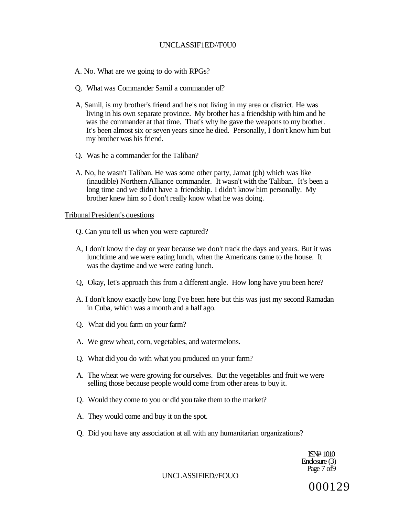#### UNCLASSIF1ED//F0U0

- A. No. What are we going to do with RPGs?
- Q. What was Commander Samil a commander of?
- A, Samil, is my brother's friend and he's not living in my area or district. He was living in his own separate province. My brother has a friendship with him and he was the commander at that time. That's why he gave the weapons to my brother. It's been almost six or seven years since he died. Personally, I don't know him but my brother was his friend.
- Q. Was he a commander for the Taliban?
- A. No, he wasn't Taliban. He was some other party, Jamat (ph) which was like (inaudible) Northern Alliance commander. It wasn't with the Taliban. It's been a long time and we didn't have a friendship. I didn't know him personally. My brother knew him so I don't really know what he was doing.

#### Tribunal President's questions

- Q. Can you tell us when you were captured?
- A, I don't know the day or year because we don't track the days and years. But it was lunchtime and we were eating lunch, when the Americans came to the house. It was the daytime and we were eating lunch.
- Q, Okay, let's approach this from a different angle. How long have you been here?
- A. I don't know exactly how long I've been here but this was just my second Ramadan in Cuba, which was a month and a half ago.
- Q. What did you farm on your farm?
- A. We grew wheat, corn, vegetables, and watermelons.
- Q. What did you do with what you produced on your farm?
- A. The wheat we were growing for ourselves. But the vegetables and fruit we were selling those because people would come from other areas to buy it.
- Q. Would they come to you or did you take them to the market?
- A. They would come and buy it on the spot.
- Q. Did you have any association at all with any humanitarian organizations?

ISN# 1010 Enclosure (3) Page 7 of 9

UNCLASSIFIED//FOUO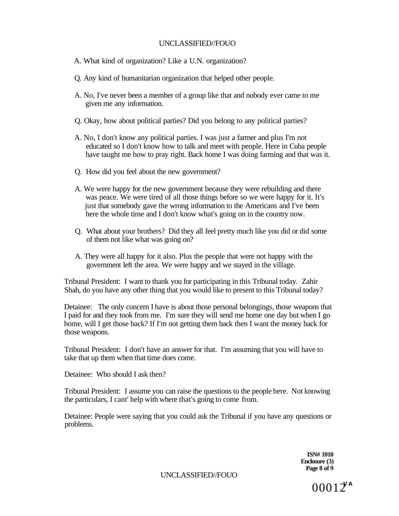- A. What kind of organization? Like a U.N. organization?
- Q. Any kind of humanitarian organization that helped other people.
- A. No, I've never been a member of a group like that and nobody ever came to me given me any information.
- Q. Okay, how about political parties? Did you belong to any political parties?
- A. No, I don't know any political parties. I was just a farmer and plus I'm not educated so I don't know how to talk and meet with people. Here in Cuba people have taught me how to pray right. Back home I was doing farming and that was it.
- Q. How did you feel about the new government?
- A. We were happy for the new government because they were rebuilding and there was peace. We were tired of all those things before so we were happy for it. It's just that somebody gave the wrong information to the Americans and I've been here the whole time and I don't know what's going on in the country now.
- Q. What about your brothers? Did they all feel pretty much like you did or did some of them not like what was going on?
- A. They were all happy for it also. Plus the people that were not happy with the government left the area. We were happy and we stayed in the village.

Tribunal President: I want to thank you for participating in this Tribunal today. Zahir Shah, do you have any other thing that you would like to present to this Tribunal today?

Detainee: The only concern I have is about those personal belongings, those weapons that I paid for and they took from me. I'm sure they will send me home one day but when I go home, will I get those back? If I'm not getting them back then I want the money back for those weapons.

Tribunal President: I don't have an answer for that. I'm assuming that you will have to take that up them when that time does come.

Detainee: Who should I ask then?

Tribunal President: I assume you can raise the questions to the people here. Not knowing the particulars, I cant' help with where that's going to come from.

Detainee: People were saying that you could ask the Tribunal if you have any questions or problems.

> **ISN# 1010 Enclosure (3) Page 8 of 9**

UNCLASSIFIED//FOUO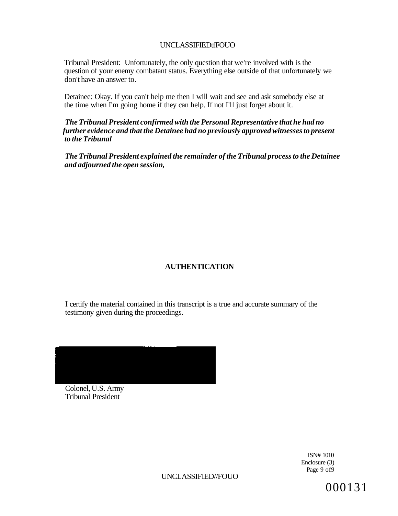Tribunal President: Unfortunately, the only question that we're involved with is the question of your enemy combatant status. Everything else outside of that unfortunately we don't have an answer to.

Detainee: Okay. If you can't help me then I will wait and see and ask somebody else at the time when I'm going home if they can help. If not I'll just forget about it.

*The Tribunal President confirmed with the Personal Representative that he had no further evidence and that the Detainee had no previously approved witnesses to present to the Tribunal* 

*The Tribunal President explained the remainder of the Tribunal process to the Detainee and adjourned the open session,* 

## **AUTHENTICATION**

I certify the material contained in this transcript is a true and accurate summary of the testimony given during the proceedings.



Colonel, U.S. Army Tribunal President

> ISN# 1010 Enclosure (3) Page 9 of9

UNCLASSIFIED//FOUO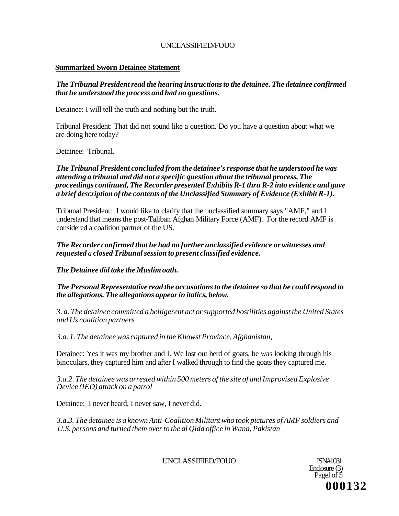## **Summarized Sworn Detainee Statement**

## *The Tribunal President read the hearing instructions to the detainee. The detainee confirmed that he understood the process and had no questions.*

Detainee: I will tell the truth and nothing but the truth.

Tribunal President: That did not sound like a question. Do you have a question about what we are doing here today?

Detainee: Tribunal.

## *The Tribunal President concluded from the detainee's response that he understood he was attending a tribunal and did not a specific question about the tribunal process. The proceedings continued, The Recorder presented Exhibits R-1 thru R-2 into evidence and gave a brief description of the contents of the Unclassified Summary of Evidence (Exhibit R-1).*

Tribunal President: I would like to clarify that the unclassified summary says "AMF," and I understand that means the post-Taliban Afghan Military Force (AMF). For the record AMF is considered a coalition partner of the US.

## *The Recorder confirmed that he had no further unclassified evidence or witnesses and requested a closed Tribunal session to present classified evidence.*

## *The Detainee did take the Muslim oath.*

*The Personal Representative read the accusations to the detainee so that he could respond to the allegations. The allegations appear in italics, below.* 

*3. a. The detainee committed a belligerent act or supported hostilities against the United States and Us coalition partners* 

*3.a. 1. The detainee was captured in the Khowst Province, Afghanistan,* 

Detainee: Yes it was my brother and I. We lost out herd of goats, he was looking through his binoculars, they captured him and after I walked through to find the goats they captured me.

*3.a.2. The detainee was arrested within 500 meters of the site of and Improvised Explosive Device (IED) attack on a patrol* 

Detainee: I never heard, I never saw, I never did.

*3.a.3. The detainee is a known Anti-Coalition Militant who took pictures of AMF soldiers and U.S. persons and turned them over to the al Qida office in Wana, Pakistan* 

UNCLASSIFIED/FOUO ISN#1031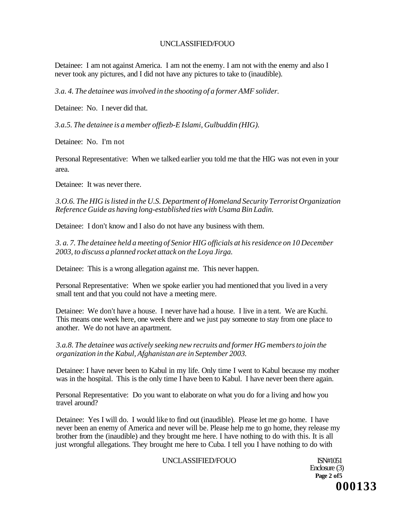Detainee: I am not against America. I am not the enemy. I am not with the enemy and also I never took any pictures, and I did not have any pictures to take to (inaudible).

*3.a. 4. The detainee was involved in the shooting of a former AMF solider.* 

Detainee: No. I never did that.

*3.a.5. The detainee is a member offiezb-E Islami, Gulbuddin (HIG).* 

Detainee: No. I'm not

Personal Representative: When we talked earlier you told me that the HIG was not even in your area.

Detainee: It was never there.

*3.O.6. The HIG is listed in the U.S. Department of Homeland Security Terrorist Organization Reference Guide as having long-established ties with Usama Bin Ladin.* 

Detainee: I don't know and I also do not have any business with them.

*3. a. 7. The detainee held a meeting of Senior HIG officials at his residence on 10 December 2003, to discuss a planned rocket attack on the Loya Jirga.* 

Detainee: This is a wrong allegation against me. This never happen.

Personal Representative: When we spoke earlier you had mentioned that you lived in a very small tent and that you could not have a meeting mere.

Detainee: We don't have a house. I never have had a house. I live in a tent. We are Kuchi. This means one week here, one week there and we just pay someone to stay from one place to another. We do not have an apartment.

*3.a.8. The detainee was actively seeking new recruits and former HG members to join the organization in the Kabul, Afghanistan are in September 2003.* 

Detainee: I have never been to Kabul in my life. Only time I went to Kabul because my mother was in the hospital. This is the only time I have been to Kabul. I have never been there again.

Personal Representative: Do you want to elaborate on what you do for a living and how you travel around?

Detainee: Yes I will do. I would like to find out (inaudible). Please let me go home. I have never been an enemy of America and never will be. Please help me to go home, they release my brother from the (inaudible) and they brought me here. I have nothing to do with this. It is all just wrongful allegations. They brought me here to Cuba. I tell you I have nothing to do with

UNCLASSIFIED/FOUO ISN#1051

Enclosure (3) **Page 2 of5**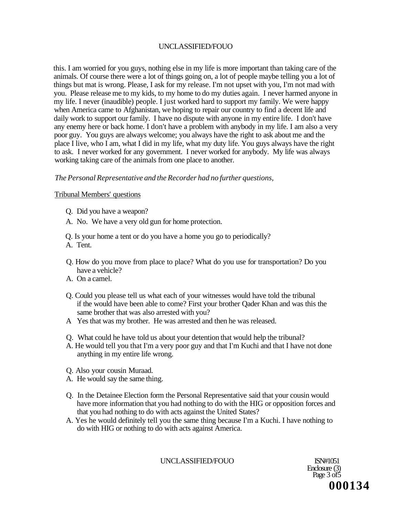this. I am worried for you guys, nothing else in my life is more important than taking care of the animals. Of course there were a lot of things going on, a lot of people maybe telling you a lot of things but mat is wrong. Please, I ask for my release. I'm not upset with you, I'm not mad with you. Please release me to my kids, to my home to do my duties again. I never harmed anyone in my life. I never (inaudible) people. I just worked hard to support my family. We were happy when America came to Afghanistan, we hoping to repair our country to find a decent life and daily work to support our family. I have no dispute with anyone in my entire life. I don't have any enemy here or back home. I don't have a problem with anybody in my life. I am also a very poor guy. You guys are always welcome; you always have the right to ask about me and the place I live, who I am, what I did in my life, what my duty life. You guys always have the right to ask. I never worked for any government. I never worked for anybody. My life was always working taking care of the animals from one place to another.

### *The Personal Representative and the Recorder had no further questions,*

### Tribunal Members' questions

- Q. Did you have a weapon?
- A. No. We have a very old gun for home protection.
- Q. Is your home a tent or do you have a home you go to periodically?
- A. Tent.
- Q. How do you move from place to place? What do you use for transportation? Do you have a vehicle?
- A. On a camel.
- Q. Could you please tell us what each of your witnesses would have told the tribunal if the would have been able to come? First your brother Qader Khan and was this the same brother that was also arrested with you?
- A Yes that was my brother. He was arrested and then he was released.
- Q. What could he have told us about your detention that would help the tribunal?
- A. He would tell you that I'm a very poor guy and that I'm Kuchi and that I have not done anything in my entire life wrong.
- Q. Also your cousin Muraad.
- A. He would say the same thing.
- Q. In the Detainee Election form the Personal Representative said that your cousin would have more information that you had nothing to do with the HIG or opposition forces and that you had nothing to do with acts against the United States?
- A. Yes he would definitely tell you the same thing because I'm a Kuchi. I have nothing to do with HIG or nothing to do with acts against America.

UNCLASSIFIED/FOUO ISN#1051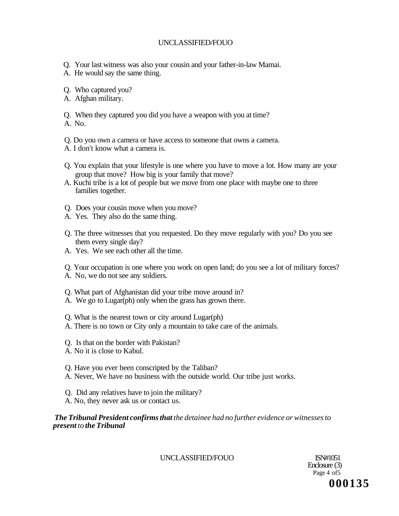- Q. Your last witness was also your cousin and your father-in-law Mamai.
- A. He would say the same thing.
- Q. Who captured you?
- A. Afghan military.

Q. When they captured you did you have a weapon with you at time?

A. No.

Q. Do you own a camera or have access to someone that owns a camera.

- A. I don't know what a camera is.
- Q. You explain that your lifestyle is one where you have to move a lot. How many are your group that move? How big is your family that move?
- A. Kuchi tribe is a lot of people but we move from one place with maybe one to three families together.
- Q. Does your cousin move when you move?
- A. Yes. They also do the same thing.
- Q. The three witnesses that you requested. Do they move regularly with you? Do you see them every single day?
- A. Yes. We see each other all the time.

Q. Your occupation is one where you work on open land; do you see a lot of military forces? A. No, we do not see any soldiers.

- Q. What part of Afghanistan did your tribe move around in?
- A. We go to Lugar(ph) only when the grass has grown there.
- Q. What is the nearest town or city around Lugar(ph)
- A. There is no town or City only a mountain to take care of the animals.
- Q. Is that on the border with Pakistan?
- A. No it is close to Kabul.
- Q. Have you ever been conscripted by the Taliban?
- A. Never, We have no business with the outside world. Our tribe just works.
- Q. Did any relatives have to join the military?
- A. No, they never ask us or contact us.

*The Tribunal President confirms that the detainee had no further evidence or witnesses to present to the Tribunal* 

UNCLASSIFIED/FOUO ISN#1051

Enclosure (3) Page 4 of 5 **000135**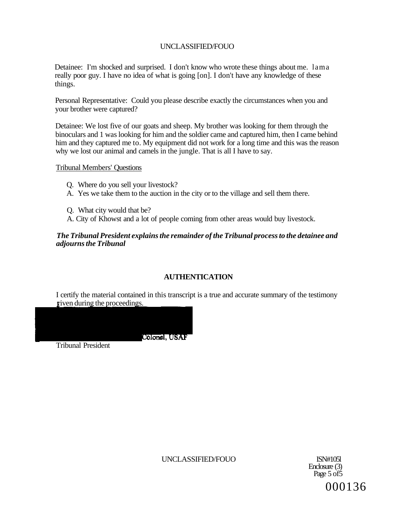Detainee: I'm shocked and surprised. I don't know who wrote these things about me. lama really poor guy. I have no idea of what is going [on]. I don't have any knowledge of these things.

Personal Representative: Could you please describe exactly the circumstances when you and your brother were captured?

Detainee: We lost five of our goats and sheep. My brother was looking for them through the binoculars and 1 was looking for him and the soldier came and captured him, then I came behind him and they captured me to. My equipment did not work for a long time and this was the reason why we lost our animal and camels in the jungle. That is all I have to say.

### Tribunal Members' Questions

- Q. Where do you sell your livestock?
- A. Yes we take them to the auction in the city or to the village and sell them there.
- Q. What city would that be?
- A. City of Khowst and a lot of people coming from other areas would buy livestock.

## *The Tribunal President explains the remainder of the Tribunal process to the detainee and adjourns the Tribunal*

### **AUTHENTICATION**

I certify the material contained in this transcript is a true and accurate summary of the testimony riven during the proceedings.



Tribunal President

UNCLASSIFIED/FOUO ISN#105l

Enclosure (3) Page 5 of 5 000136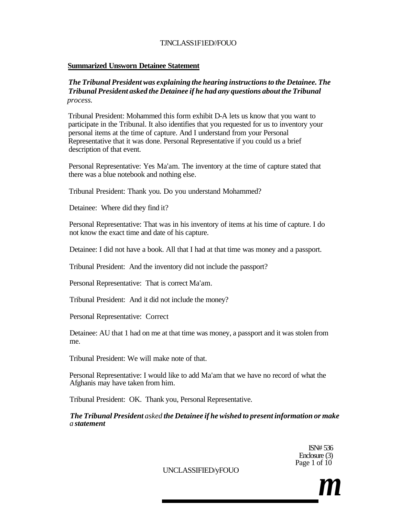# TJNCLASS1F1ED//FOUO

### **Summarized Unsworn Detainee Statement**

## *The Tribunal President was explaining the hearing instructions to the Detainee. The Tribunal President asked the Detainee if he had any questions about the Tribunal process.*

Tribunal President: Mohammed this form exhibit D-A lets us know that you want to participate in the Tribunal. It also identifies that you requested for us to inventory your personal items at the time of capture. And I understand from your Personal Representative that it was done. Personal Representative if you could us a brief description of that event.

Personal Representative: Yes Ma'am. The inventory at the time of capture stated that there was a blue notebook and nothing else.

Tribunal President: Thank you. Do you understand Mohammed?

Detainee: Where did they find it?

Personal Representative: That was in his inventory of items at his time of capture. I do not know the exact time and date of his capture.

Detainee: I did not have a book. All that I had at that time was money and a passport.

Tribunal President: And the inventory did not include the passport?

Personal Representative: That is correct Ma'am.

Tribunal President: And it did not include the money?

Personal Representative: Correct

Detainee: AU that 1 had on me at that time was money, a passport and it was stolen from me.

Tribunal President: We will make note of that.

Personal Representative: I would like to add Ma'am that we have no record of what the Afghanis may have taken from him.

Tribunal President: OK. Thank you, Personal Representative.

*The Tribunal President asked the Detainee if he wished to present information or make a statement* 

> ISN# 536 Enclosure (3) Page 1 of 10

UNCLASSIFIED/yFOUO

*m*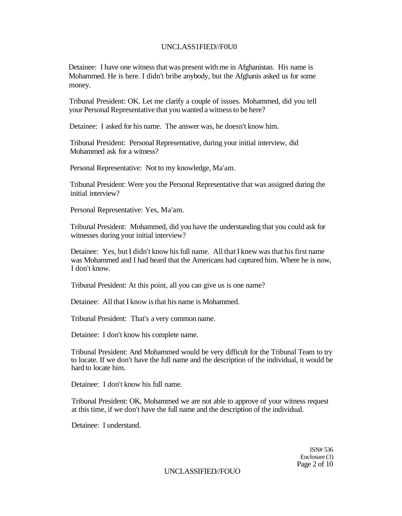### UNCLASS1FIED//F0U0

Detainee: I have one witness that was present with me in Afghanistan. His name is Mohammed. He is here. I didn't bribe anybody, but the Afghanis asked us for some money.

Tribunal President: OK. Let me clarify a couple of issues. Mohammed, did you tell your Personal Representative that you wanted a witness to be here?

Detainee: I asked for his name. The answer was, he doesn't know him.

Tribunal President: Personal Representative, during your initial interview, did Mohammed ask for a witness?

Personal Representative: Not to my knowledge, Ma'am.

Tribunal President: Were you the Personal Representative that was assigned during the initial interview?

Personal Representative: Yes, Ma'am.

Tribunal President: Mohammed, did you have the understanding that you could ask for witnesses during your initial interview?

Detainee: Yes, but I didn't know his full name. All that I knew was that his first name was Mohammed and I had heard that the Americans had captured him. Where he is now, I don't know.

Tribunal President: At this point, all you can give us is one name?

Detainee: All that I know is that his name is Mohammed.

Tribunal President: That's a very common name.

Detainee: I don't know his complete name.

Tribunal President: And Mohammed would be very difficult for the Tribunal Team to try to locate. If we don't have the full name and the description of the individual, it would be hard to locate him.

Detainee: I don't know his full name.

Tribunal President: OK, Mohammed we are not able to approve of your witness request at this time, if we don't have the full name and the description of the individual.

Detainee: I understand.

ISN# 536 Enclosure (3) Page 2 of 10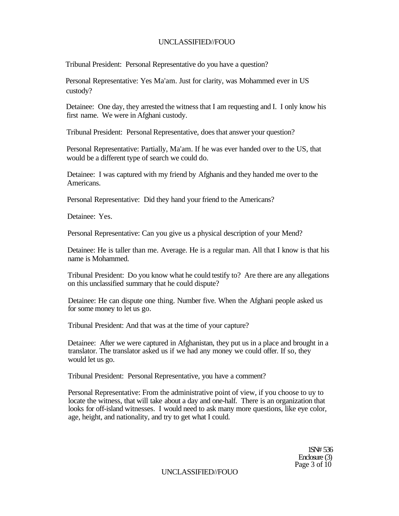Tribunal President: Personal Representative do you have a question?

Personal Representative: Yes Ma'am. Just for clarity, was Mohammed ever in US custody?

Detainee: One day, they arrested the witness that I am requesting and I. I only know his first name. We were in Afghani custody.

Tribunal President: Personal Representative, does that answer your question?

Personal Representative: Partially, Ma'am. If he was ever handed over to the US, that would be a different type of search we could do.

Detainee: I was captured with my friend by Afghanis and they handed me over to the Americans.

Personal Representative: Did they hand your friend to the Americans?

Detainee: Yes.

Personal Representative: Can you give us a physical description of your Mend?

Detainee: He is taller than me. Average. He is a regular man. All that I know is that his name is Mohammed.

Tribunal President: Do you know what he could testify to? Are there are any allegations on this unclassified summary that he could dispute?

Detainee: He can dispute one thing. Number five. When the Afghani people asked us for some money to let us go.

Tribunal President: And that was at the time of your capture?

Detainee: After we were captured in Afghanistan, they put us in a place and brought in a translator. The translator asked us if we had any money we could offer. If so, they would let us go.

Tribunal President: Personal Representative, you have a comment?

Personal Representative: From the administrative point of view, if you choose to uy to locate the witness, that will take about a day and one-half. There is an organization that looks for off-island witnesses. I would need to ask many more questions, like eye color, age, height, and nationality, and try to get what I could.

> 1SN# 536 Enclosure (3) Page 3 of 10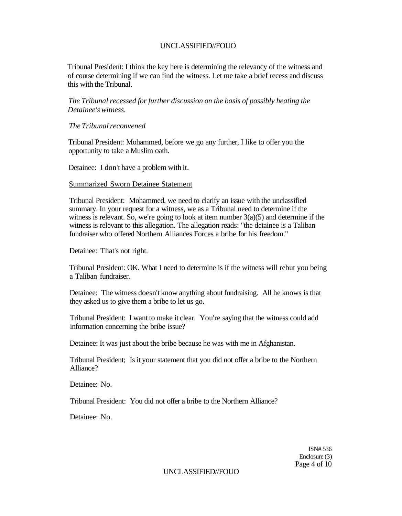Tribunal President: I think the key here is determining the relevancy of the witness and of course determining if we can find the witness. Let me take a brief recess and discuss this with the Tribunal.

*The Tribunal recessed for further discussion on the basis of possibly heating the Detainee's witness.* 

#### *The Tribunal reconvened*

Tribunal President: Mohammed, before we go any further, I like to offer you the opportunity to take a Muslim oath.

Detainee: I don't have a problem with it.

#### Summarized Sworn Detainee Statement

Tribunal President: Mohammed, we need to clarify an issue with the unclassified summary. In your request for a witness, we as a Tribunal need to determine if the witness is relevant. So, we're going to look at item number  $3(a)(5)$  and determine if the witness is relevant to this allegation. The allegation reads: "the detainee is a Taliban fundraiser who offered Northern Alliances Forces a bribe for his freedom."

Detainee: That's not right.

Tribunal President: OK. What I need to determine is if the witness will rebut you being a Taliban fundraiser.

Detainee: The witness doesn't know anything about fundraising. All he knows is that they asked us to give them a bribe to let us go.

Tribunal President: I want to make it clear. You're saying that the witness could add information concerning the bribe issue?

Detainee: It was just about the bribe because he was with me in Afghanistan.

Tribunal President; Is it your statement that you did not offer a bribe to the Northern Alliance?

Detainee: No.

Tribunal President: You did not offer a bribe to the Northern Alliance?

Detainee: No.

ISN# 536 Enclosure (3) Page 4 of 10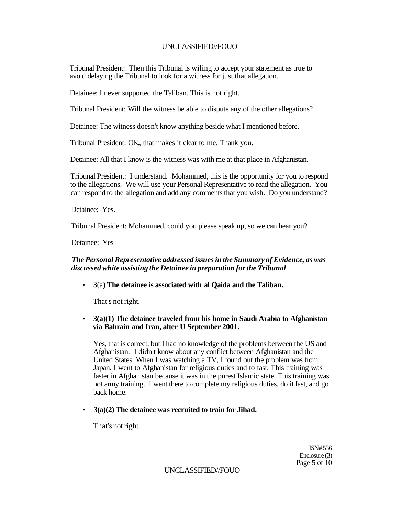Tribunal President: Then this Tribunal is wiling to accept your statement as true to avoid delaying the Tribunal to look for a witness for just that allegation.

Detainee: I never supported the Taliban. This is not right.

Tribunal President: Will the witness be able to dispute any of the other allegations?

Detainee: The witness doesn't know anything beside what I mentioned before.

Tribunal President: OK., that makes it clear to me. Thank you.

Detainee: All that I know is the witness was with me at that place in Afghanistan.

Tribunal President: I understand. Mohammed, this is the opportunity for you to respond to the allegations. We will use your Personal Representative to read the allegation. You can respond to the allegation and add any comments that you wish. Do you understand?

Detainee: Yes.

Tribunal President: Mohammed, could you please speak up, so we can hear you?

Detainee: Yes

## *The Personal Representative addressed issues in the Summary of Evidence, as was discussed white assisting the Detainee in preparation for the Tribunal*

• 3(a) **The detainee is associated with al Qaida and the Taliban.** 

That's not right.

• **3(a)(1) The detainee traveled from his home in Saudi Arabia to Afghanistan via Bahrain and Iran, after U September 2001.** 

Yes, that is correct, but I had no knowledge of the problems between the US and Afghanistan. I didn't know about any conflict between Afghanistan and the United States. When I was watching a TV, I found out the problem was from Japan. I went to Afghanistan for religious duties and to fast. This training was faster in Afghanistan because it was in the purest Islamic state. This training was not army training. I went there to complete my religious duties, do it fast, and go back home.

• **3(a)(2) The detainee was recruited to train for Jihad.** 

That's not right.

ISN# 536 Enclosure (3) Page 5 of 10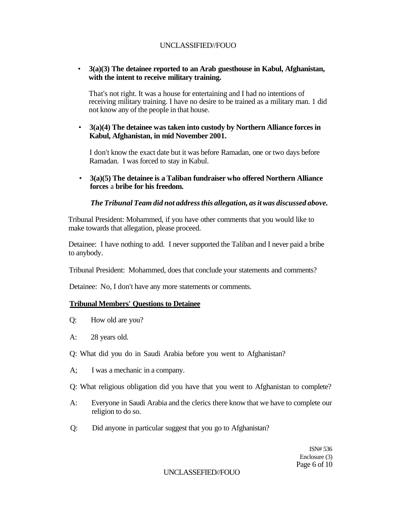• **3(a)(3) The detainee reported to an Arab guesthouse in Kabul, Afghanistan, with the intent to receive military training.** 

That's not right. It was a house for entertaining and I had no intentions of receiving military training. I have no desire to be trained as a military man. 1 did not know any of the people in that house.

• **3(a)(4) The detainee was taken into custody by Northern Alliance forces in Kabul, Afghanistan, in mid November 2001.** 

I don't know the exact date but it was before Ramadan, one or two days before Ramadan. I was forced to stay in Kabul.

• **3(a)(5) The detainee is a Taliban fundraiser who offered Northern Alliance forces** a **bribe for his freedom.** 

*The Tribunal Team did not address this allegation, as it was discussed above.* 

Tribunal President: Mohammed, if you have other comments that you would like to make towards that allegation, please proceed.

Detainee: I have nothing to add. I never supported the Taliban and I never paid a bribe to anybody.

Tribunal President: Mohammed, does that conclude your statements and comments?

Detainee: No, I don't have any more statements or comments.

### **Tribunal Members' Questions to Detainee**

- Q: How old are you?
- A: 28 years old.
- Q: What did you do in Saudi Arabia before you went to Afghanistan?
- A; I was a mechanic in a company.
- Q: What religious obligation did you have that you went to Afghanistan to complete?
- A: Everyone in Saudi Arabia and the clerics there know that we have to complete our religion to do so.
- Q: Did anyone in particular suggest that you go to Afghanistan?

ISN# 536 Enclosure (3) Page 6 of 10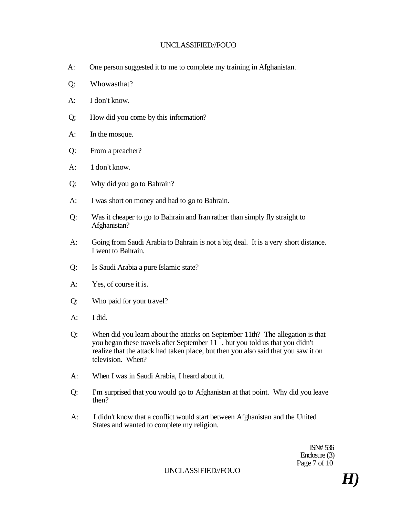- A: One person suggested it to me to complete my training in Afghanistan.
- Q: Whowasthat?
- A: I don't know.
- Q; How did you come by this information?
- A: In the mosque.
- Q: From a preacher?
- A: 1 don't know.
- Q: Why did you go to Bahrain?
- A: I was short on money and had to go to Bahrain.
- Q: Was it cheaper to go to Bahrain and Iran rather than simply fly straight to Afghanistan?
- A: Going from Saudi Arabia to Bahrain is not a big deal. It is a very short distance. I went to Bahrain.
- Q: Is Saudi Arabia a pure Islamic state?
- A: Yes, of course it is.
- Q: Who paid for your travel?
- A: I did.
- Q: When did you learn about the attacks on September 11th? The allegation is that you began these travels after September 11 , but you told us that you didn't realize that the attack had taken place, but then you also said that you saw it on television. When?
- A: When I was in Saudi Arabia, I heard about it.
- Q: I'm surprised that you would go to Afghanistan at that point. Why did you leave then?
- A: I didn't know that a conflict would start between Afghanistan and the United States and wanted to complete my religion.

ISN# 536 Enclosure (3) Page 7 of 10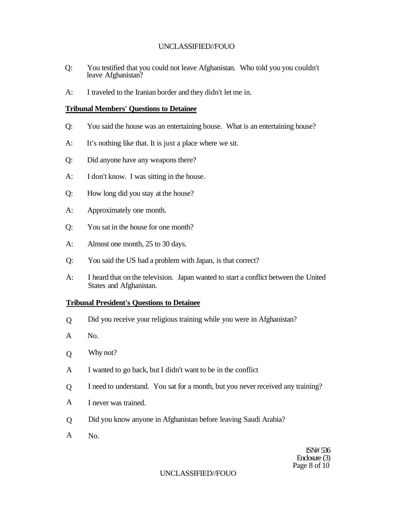- Q: You testified that you could not leave Afghanistan. Who told you you couldn't leave Afghanistan?
- A: I traveled to the Iranian border and they didn't let me in.

### **Tribunal Members' Questions to Detainee**

- Q: You said the house was an entertaining house. What is an entertaining house?
- A: It's nothing like that. It is just a place where we sit.
- Q: Did anyone have any weapons there?
- A: I don't know. I was sitting in the house.
- Q: How long did you stay at the house?
- A: Approximately one month.
- Q: You sat in the house for one month?
- A: Almost one month, 25 to 30 days.
- Q: You said the US had a problem with Japan, is that correct?
- A: I heard that on the television. Japan wanted to start a conflict between the United States and Afghanistan.

### **Tribunal President's Questions to Detainee**

- Q Did you receive your religious training while you were in Afghanistan?
- A No.
- Q Why not?
- A I wanted to go back, but I didn't want to be in the conflict
- $\overline{O}$ I need to understand. You sat for a month, but you never received any training?
- A I never was trained.
- Q Did you know anyone in Afghanistan before leaving Saudi Arabia?
- A No.

ISN# 536 Enclosure (3) Page 8 of 10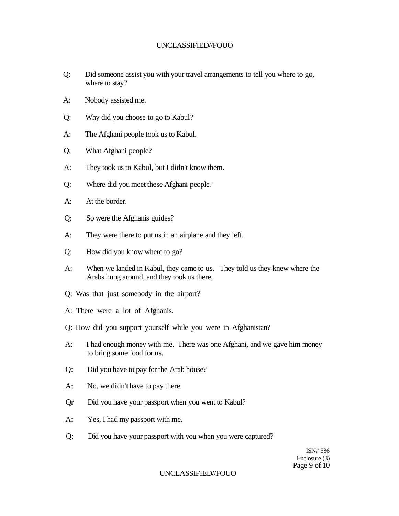- Q: Did someone assist you with your travel arrangements to tell you where to go, where to stay?
- A: Nobody assisted me.
- Q: Why did you choose to go to Kabul?
- A: The Afghani people took us to Kabul.
- Q; What Afghani people?
- A: They took us to Kabul, but I didn't know them.
- Q: Where did you meet these Afghani people?
- A: At the border.
- Q: So were the Afghanis guides?
- A: They were there to put us in an airplane and they left.
- Q: How did you know where to go?
- A: When we landed in Kabul, they came to us. They told us they knew where the Arabs hung around, and they took us there,
- Q: Was that just somebody in the airport?
- A: There were a lot of Afghanis.
- Q: How did you support yourself while you were in Afghanistan?
- A: I had enough money with me. There was one Afghani, and we gave him money to bring some food for us.
- Q: Did you have to pay for the Arab house?
- A: No, we didn't have to pay there.
- Qr Did you have your passport when you went to Kabul?
- A: Yes, I had my passport with me.
- Q: Did you have your passport with you when you were captured?

ISN# 536 Enclosure (3) Page 9 of 10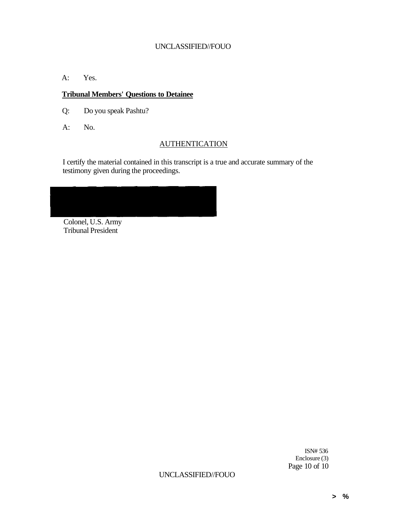A: Yes.

# **Tribunal Members' Questions to Detainee**

Q: Do you speak Pashtu?

A: No.

# **AUTHENTICATION**

I certify the material contained in this transcript is a true and accurate summary of the testimony given during the proceedings.



Colonel, U.S. Army Tribunal President

> ISN# 536 Enclosure (3) Page 10 of 10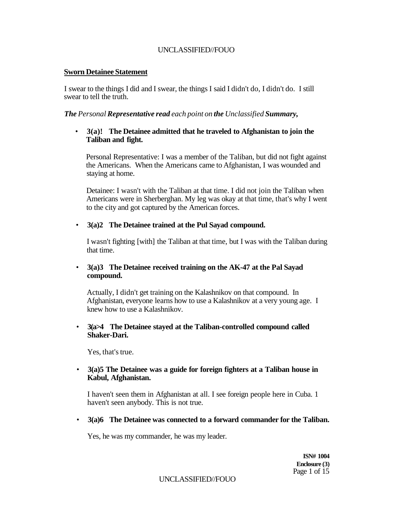### **Sworn Detainee Statement**

I swear to the things I did and I swear, the things I said I didn't do, I didn't do. I still swear to tell the truth.

### *The Personal Representative read each point on the Unclassified Summary,*

### *•* **3(a)! The Detainee admitted that he traveled to Afghanistan to join the Taliban and fight.**

Personal Representative: I was a member of the Taliban, but did not fight against the Americans. When the Americans came to Afghanistan, I was wounded and staying at home.

Detainee: I wasn't with the Taliban at that time. I did not join the Taliban when Americans were in Sherberghan. My leg was okay at that time, that's why I went to the city and got captured by the American forces.

### • **3(a)2 The Detainee trained at the Pul Sayad compound.**

I wasn't fighting [with] the Taliban at that time, but I was with the Taliban during that time.

### • **3(a)3 The Detainee received training on the AK-47 at the Pal Sayad compound.**

Actually, I didn't get training on the Kalashnikov on that compound. In Afghanistan, everyone learns how to use a Kalashnikov at a very young age. I knew how to use a Kalashnikov.

### • **3(a>4 The Detainee stayed at the Taliban-controlled compound called Shaker-Dari.**

Yes, that's true.

### • **3(a)5 The Detainee was a guide for foreign fighters at a Taliban house in Kabul, Afghanistan.**

I haven't seen them in Afghanistan at all. I see foreign people here in Cuba. 1 haven't seen anybody. This is not true.

• **3(a)6 The Detainee was connected to a forward commander for the Taliban.** 

Yes, he was my commander, he was my leader.

**ISN# 1004 Enclosure (3)**  Page 1 of 15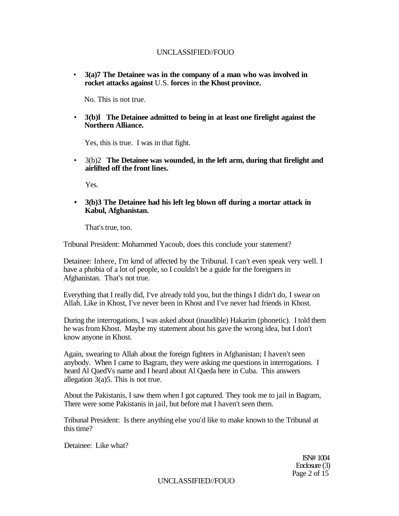• **3(a)7 The Detainee was in the company of a man who was involved in rocket attacks against** U.S. **forces** in **the Khost province.** 

No. This is not true.

• **3(b)l The Detainee admitted to being in at least one firelight against the Northern Alliance.** 

Yes, this is true. I was in that fight.

• 3(b)2 **The Detainee was wounded, in the left arm, during that firelight and airlifted off the front lines.** 

Yes.

**• 3(b)3 The Detainee had his left leg blown off during a mortar attack in Kabul, Afghanistan.** 

That's true, too.

Tribunal President: Mohammed Yacoub, does this conclude your statement?

Detainee: Inhere, I'm kmd of affected by the Tribunal. I can't even speak very well. I have a phobia of a lot of people, so I couldn't be a guide for the foreigners in Afghanistan. That's not true.

Everything that I really did, I've already told you, but the things I didn't do, I swear on Allah. Like in Khost, I've never been in Khost and I've never had friends in Khost.

During the interrogations, I was asked about (inaudible) Hakarim (phonetic). I told them he was from Khost. Maybe my statement about his gave the wrong idea, but I don't know anyone in Khost.

Again, swearing to Allah about the foreign fighters in Afghanistan; I haven't seen anybody. When I came to Bagram, they were asking me questions in interrogations. I heard Al QaedVs name and I heard about Al Qaeda here in Cuba. This answers allegation 3(a)5. This is not true.

About the Pakistanis, I saw them when I got captured. They took me to jail in Bagram, There were some Pakistanis in jail, but before mat I haven't seen them.

Tribunal President: Is there anything else you'd like to make known to the Tribunal at this time?

Detainee: Like what?

ISN# 1004 Enclosure (3) Page 2 of  $15$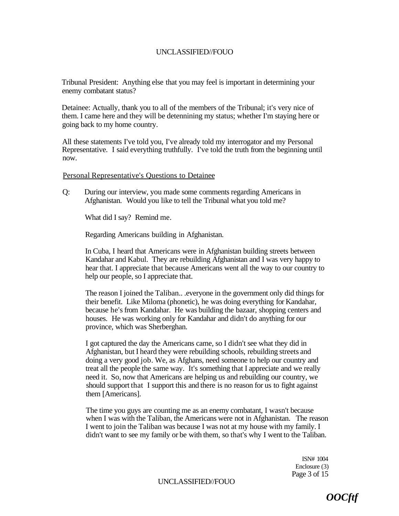Tribunal President: Anything else that you may feel is important in determining your enemy combatant status?

Detainee: Actually, thank you to all of the members of the Tribunal; it's very nice of them. I came here and they will be detennining my status; whether I'm staying here or going back to my home country.

All these statements I've told you, I've already told my interrogator and my Personal Representative. I said everything truthfully. I've told the truth from the beginning until now.

#### Personal Representative's Questions to Detainee

Q: During our interview, you made some comments regarding Americans in Afghanistan. Would you like to tell the Tribunal what you told me?

What did I say? Remind me.

Regarding Americans building in Afghanistan.

In Cuba, I heard that Americans were in Afghanistan building streets between Kandahar and Kabul. They are rebuilding Afghanistan and I was very happy to hear that. I appreciate that because Americans went all the way to our country to help our people, so I appreciate that.

The reason I joined the Taliban.. .everyone in the government only did things for their benefit. Like Miloma (phonetic), he was doing everything for Kandahar, because he's from Kandahar. He was building the bazaar, shopping centers and houses. He was working only for Kandahar and didn't do anything for our province, which was Sherberghan.

I got captured the day the Americans came, so I didn't see what they did in Afghanistan, but I heard they were rebuilding schools, rebuilding streets and doing a very good job. We, as Afghans, need someone to help our country and treat all the people the same way. It's something that I appreciate and we really need it. So, now that Americans are helping us and rebuilding our country, we should support that I support this and there is no reason for us to fight against them [Americans].

The time you guys are counting me as an enemy combatant, I wasn't because when I was with the Taliban, the Americans were not in Afghanistan. The reason I went to join the Taliban was because I was not at my house with my family. I didn't want to see my family or be with them, so that's why I went to the Taliban.

> ISN# 1004 Enclosure (3) Page 3 of 15

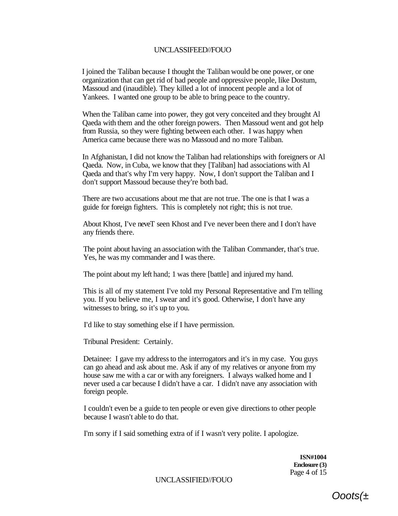I joined the Taliban because I thought the Taliban would be one power, or one organization that can get rid of bad people and oppressive people, like Dostum, Massoud and (inaudible). They killed a lot of innocent people and a lot of Yankees. I wanted one group to be able to bring peace to the country.

When the Taliban came into power, they got very conceited and they brought Al Qaeda with them and the other foreign powers. Then Massoud went and got help from Russia, so they were fighting between each other. I was happy when America came because there was no Massoud and no more Taliban.

In Afghanistan, I did not know the Taliban had relationships with foreigners or Al Qaeda. Now, in Cuba, we know that they [Taliban] had associations with Al Qaeda and that's why I'm very happy. Now, I don't support the Taliban and I don't support Massoud because they're both bad.

There are two accusations about me that are not true. The one is that I was a guide for foreign fighters. This is completely not right; this is not true.

About Khost, I've neveT seen Khost and I've never been there and I don't have any friends there.

The point about having an association with the Taliban Commander, that's true. Yes, he was my commander and I was there.

The point about my left hand; 1 was there [battle] and injured my hand.

This is all of my statement I've told my Personal Representative and I'm telling you. If you believe me, I swear and it's good. Otherwise, I don't have any witnesses to bring, so it's up to you.

I'd like to stay something else if I have permission.

Tribunal President: Certainly.

Detainee: I gave my address to the interrogators and it's in my case. You guys can go ahead and ask about me. Ask if any of my relatives or anyone from my house saw me with a car or with any foreigners. I always walked home and I never used a car because I didn't have a car. I didn't nave any association with foreign people.

I couldn't even be a guide to ten people or even give directions to other people because I wasn't able to do that.

I'm sorry if I said something extra of if I wasn't very polite. I apologize.

**ISN#1004 Enclosure (3)**  Page 4 of 15

UNCLASSIFIED//FOUO

Ooots(±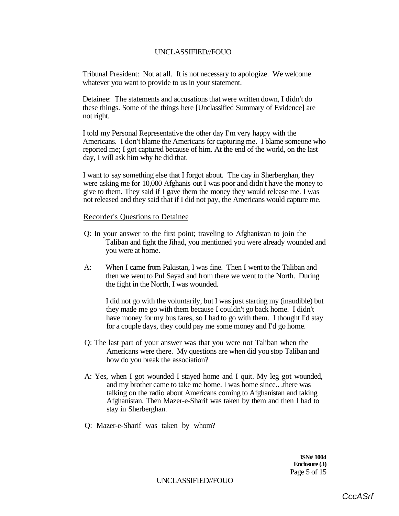Tribunal President: Not at all. It is not necessary to apologize. We welcome whatever you want to provide to us in your statement.

Detainee: The statements and accusations that were written down, I didn't do these things. Some of the things here [Unclassified Summary of Evidence] are not right.

I told my Personal Representative the other day I'm very happy with the Americans. I don't blame the Americans for capturing me. I blame someone who reported me; I got captured because of him. At the end of the world, on the last day, I will ask him why he did that.

I want to say something else that I forgot about. The day in Sherberghan, they were asking me for 10,000 Afghanis out I was poor and didn't have the money to give to them. They said if I gave them the money they would release me. I was not released and they said that if I did not pay, the Americans would capture me.

Recorder's Questions to Detainee

- Q: In your answer to the first point; traveling to Afghanistan to join the Taliban and fight the Jihad, you mentioned you were already wounded and you were at home.
- A: When I came from Pakistan, I was fine. Then I went to the Taliban and then we went to Pul Sayad and from there we went to the North. During the fight in the North, I was wounded.

I did not go with the voluntarily, but I was just starting my (inaudible) but they made me go with them because I couldn't go back home. I didn't have money for my bus fares, so I had to go with them. I thought I'd stay for a couple days, they could pay me some money and I'd go home.

- Q: The last part of your answer was that you were not Taliban when the Americans were there. My questions are when did you stop Taliban and how do you break the association?
- A: Yes, when I got wounded I stayed home and I quit. My leg got wounded, and my brother came to take me home. I was home since.. .there was talking on the radio about Americans coming to Afghanistan and taking Afghanistan. Then Mazer-e-Sharif was taken by them and then I had to stay in Sherberghan.
- Q: Mazer-e-Sharif was taken by whom?

**ISN# 1004 Enclosure (3)**  Page 5 of 15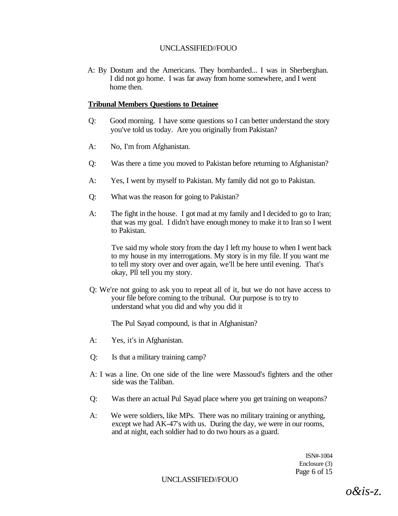A: By Dostum and the Americans. They bombarded... I was in Sherberghan. I did not go home. I was far away from home somewhere, and I went home then.

### **Tribunal Members Questions to Detainee**

- Q: Good morning. I have some questions so I can better understand the story you've told us today. Are you originally from Pakistan?
- A: No, I'm from Afghanistan.
- Q: Was there a time you moved to Pakistan before returning to Afghanistan?
- A: Yes, I went by myself to Pakistan. My family did not go to Pakistan.
- Q: What was the reason for going to Pakistan?
- A: The fight in the house. I got mad at my family and I decided to go to Iran; that was my goal. I didn't have enough money to make it to Iran so I went to Pakistan.

Tve said my whole story from the day I left my house to when I went back to my house in my interrogations. My story is in my file. If you want me to tell my story over and over again, we'll be here until evening. That's okay, Pll tell you my story.

Q: We're not going to ask you to repeat all of it, but we do not have access to your file before coming to the tribunal. Our purpose is to try to understand what you did and why you did it

The Pul Sayad compound, is that in Afghanistan?

- A: Yes, it's in Afghanistan.
- Q: Is that a military training camp?
- A: I was a line. On one side of the line were Massoud's fighters and the other side was the Taliban.
- Q: Was there an actual Pul Sayad place where you get training on weapons?
- A: We were soldiers, like MPs. There was no military training or anything, except we had AK-47's with us. During the day, we were in our rooms, and at night, each soldier had to do two hours as a guard.

ISN#-1004 Enclosure (3) Page 6 of 15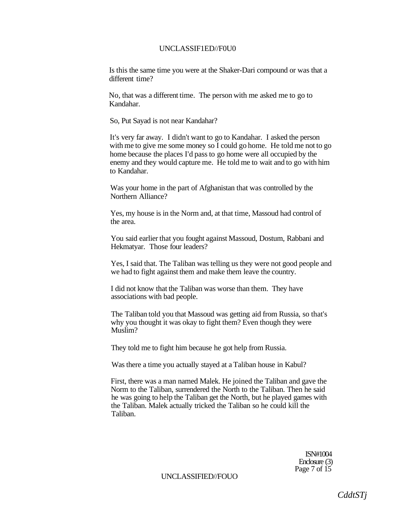#### UNCLASSIF1ED//F0U0

Is this the same time you were at the Shaker-Dari compound or was that a different time?

No, that was a different time. The person with me asked me to go to Kandahar.

So, Put Sayad is not near Kandahar?

It's very far away. I didn't want to go to Kandahar. I asked the person with me to give me some money so I could go home. He told me not to go home because the places I'd pass to go home were all occupied by the enemy and they would capture me. He told me to wait and to go with him to Kandahar.

Was your home in the part of Afghanistan that was controlled by the Northern Alliance?

Yes, my house is in the Norm and, at that time, Massoud had control of the area.

You said earlier that you fought against Massoud, Dostum, Rabbani and Hekmatyar. Those four leaders?

Yes, I said that. The Taliban was telling us they were not good people and we had to fight against them and make them leave the country.

I did not know that the Taliban was worse than them. They have associations with bad people.

The Taliban told you that Massoud was getting aid from Russia, so that's why you thought it was okay to fight them? Even though they were Muslim?

They told me to fight him because he got help from Russia.

Was there a time you actually stayed at a Taliban house in Kabul?

First, there was a man named Malek. He joined the Taliban and gave the Norm to the Taliban, surrendered the North to the Taliban. Then he said he was going to help the Taliban get the North, but he played games with the Taliban. Malek actually tricked the Taliban so he could kill the Taliban.

> ISN#1004 Enclosure (3) Page 7 of 15

UNCLASSIFIED//FOUO

*CddtSTj*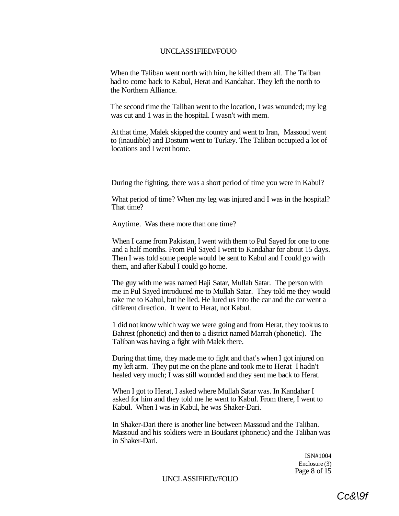When the Taliban went north with him, he killed them all. The Taliban had to come back to Kabul, Herat and Kandahar. They left the north to the Northern Alliance.

The second time the Taliban went to the location, I was wounded; my leg was cut and 1 was in the hospital. I wasn't with mem.

At that time, Malek skipped the country and went to Iran, Massoud went to (inaudible) and Dostum went to Turkey. The Taliban occupied a lot of locations and I went home.

During the fighting, there was a short period of time you were in Kabul?

What period of time? When my leg was injured and I was in the hospital? That time?

Anytime. Was there more than one time?

When I came from Pakistan, I went with them to Pul Sayed for one to one and a half months. From Pul Sayed I went to Kandahar for about 15 days. Then I was told some people would be sent to Kabul and I could go with them, and after Kabul I could go home.

The guy with me was named Haji Satar, Mullah Satar. The person with me in Pul Sayed introduced me to Mullah Satar. They told me they would take me to Kabul, but he lied. He lured us into the car and the car went a different direction. It went to Herat, not Kabul.

1 did not know which way we were going and from Herat, they took us to Bahrest (phonetic) and then to a district named Marrah (phonetic). The Taliban was having a fight with Malek there.

During that time, they made me to fight and that's when I got injured on my left arm. They put me on the plane and took me to Herat I hadn't healed very much; I was still wounded and they sent me back to Herat.

When I got to Herat, I asked where Mullah Satar was. In Kandahar I asked for him and they told me he went to Kabul. From there, I went to Kabul. When I was in Kabul, he was Shaker-Dari.

In Shaker-Dari there is another line between Massoud and the Taliban. Massoud and his soldiers were in Boudaret (phonetic) and the Taliban was in Shaker-Dari.

> ISN#1004 Enclosure (3) Page 8 of 15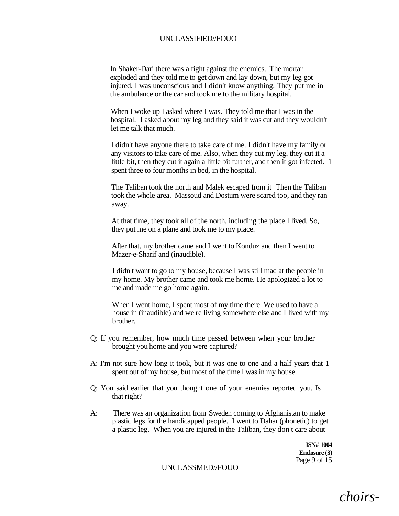In Shaker-Dari there was a fight against the enemies. The mortar exploded and they told me to get down and lay down, but my leg got injured. I was unconscious and I didn't know anything. They put me in the ambulance or the car and took me to the military hospital.

When I woke up I asked where I was. They told me that I was in the hospital. I asked about my leg and they said it was cut and they wouldn't let me talk that much.

I didn't have anyone there to take care of me. I didn't have my family or any visitors to take care of me. Also, when they cut my leg, they cut it a little bit, then they cut it again a little bit further, and then it got infected. 1 spent three to four months in bed, in the hospital.

The Taliban took the north and Malek escaped from it Then the Taliban took the whole area. Massoud and Dostum were scared too, and they ran away.

At that time, they took all of the north, including the place I lived. So, they put me on a plane and took me to my place.

After that, my brother came and I went to Konduz and then I went to Mazer-e-Sharif and (inaudible).

I didn't want to go to my house, because I was still mad at the people in my home. My brother came and took me home. He apologized a lot to me and made me go home again.

When I went home, I spent most of my time there. We used to have a house in (inaudible) and we're living somewhere else and I lived with my brother.

- Q: If you remember, how much time passed between when your brother brought you home and you were captured?
- A: I'm not sure how long it took, but it was one to one and a half years that 1 spent out of my house, but most of the time I was in my house.
- Q: You said earlier that you thought one of your enemies reported you. Is that right?
- A: There was an organization from Sweden coming to Afghanistan to make plastic legs for the handicapped people. I went to Dahar (phonetic) to get a plastic leg. When you are injured in the Taliban, they don't care about

**ISN# 1004 Enclosure (3)**  Page 9 of 15

UNCLASSMED//FOUO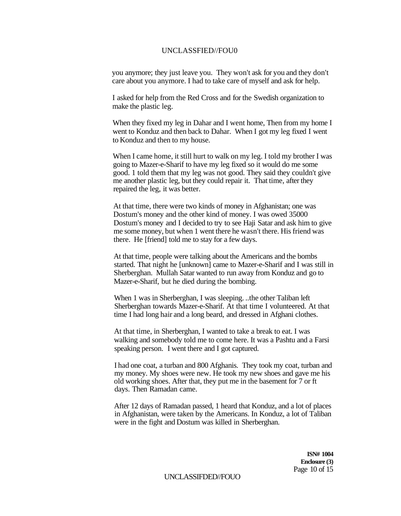you anymore; they just leave you. They won't ask for you and they don't care about you anymore. I had to take care of myself and ask for help.

I asked for help from the Red Cross and for the Swedish organization to make the plastic leg.

When they fixed my leg in Dahar and I went home, Then from my home I went to Konduz and then back to Dahar. When I got my leg fixed I went to Konduz and then to my house.

When I came home, it still hurt to walk on my leg. I told my brother I was going to Mazer-e-Sharif to have my leg fixed so it would do me some good. 1 told them that my leg was not good. They said they couldn't give me another plastic leg, but they could repair it. That time, after they repaired the leg, it was better.

At that time, there were two kinds of money in Afghanistan; one was Dostum's money and the other kind of money. I was owed 35000 Dostum's money and I decided to try to see Haji Satar and ask him to give me some money, but when 1 went there he wasn't there. His friend was there. He [friend] told me to stay for a few days.

At that time, people were talking about the Americans and the bombs started. That night he [unknown] came to Mazer-e-Sharif and I was still in Sherberghan. Mullah Satar wanted to run away from Konduz and go to Mazer-e-Sharif, but he died during the bombing.

When 1 was in Sherberghan, I was sleeping. ..the other Taliban left Sherberghan towards Mazer-e-Sharif. At that time I volunteered. At that time I had long hair and a long beard, and dressed in Afghani clothes.

At that time, in Sherberghan, I wanted to take a break to eat. I was walking and somebody told me to come here. It was a Pashtu and a Farsi speaking person. I went there and I got captured.

I had one coat, a turban and 800 Afghanis. They took my coat, turban and my money. My shoes were new. He took my new shoes and gave me his old working shoes. After that, they put me in the basement for 7 or ft days. Then Ramadan came.

After 12 days of Ramadan passed, 1 heard that Konduz, and a lot of places in Afghanistan, were taken by the Americans. In Konduz, a lot of Taliban were in the fight and Dostum was killed in Sherberghan.

> **ISN# 1004 Enclosure (3)**  Page 10 of 15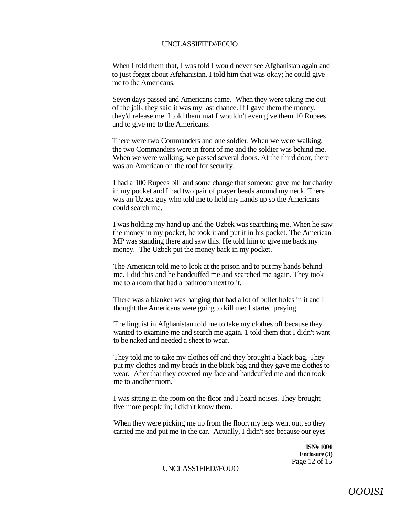When I told them that, I was told I would never see Afghanistan again and to just forget about Afghanistan. I told him that was okay; he could give mc to the Americans.

Seven days passed and Americans came. When they were taking me out of the jail> they said it was my last chance. If I gave them the money, they'd release me. I told them mat I wouldn't even give them 10 Rupees and to give me to the Americans.

There were two Commanders and one soldier. When we were walking, the two Commanders were in front of me and the soldier was behind me. When we were walking, we passed several doors. At the third door, there was an American on the roof for security.

I had a 100 Rupees bill and some change that someone gave me for charity in my pocket and I had two pair of prayer beads around my neck. There was an Uzbek guy who told me to hold my hands up so the Americans could search me.

I was holding my hand up and the Uzbek was searching me. When he saw the money in my pocket, he took it and put it in his pocket. The American MP was standing there and saw this. He told him to give me back my money. The Uzbek put the money back in my pocket.

The American told me to look at the prison and to put my hands behind me. I did this and he handcuffed me and searched me again. They took me to a room that had a bathroom next to it.

There was a blanket was hanging that had a lot of bullet holes in it and I thought the Americans were going to kill me; I started praying.

The linguist in Afghanistan told me to take my clothes off because they wanted to examine me and search me again. 1 told them that I didn't want to be naked and needed a sheet to wear.

They told me to take my clothes off and they brought a black bag. They put my clothes and my beads in the black bag and they gave me clothes to wear. After that they covered my face and handcuffed me and then took me to another room.

I was sitting in the room on the floor and I heard noises. They brought five more people in; I didn't know them.

When they were picking me up from the floor, my legs went out, so they carried me and put me in the car. Actually, I didn't see because our eyes

> **ISN# 1004 Enclosure (3)**  Page 12 of 15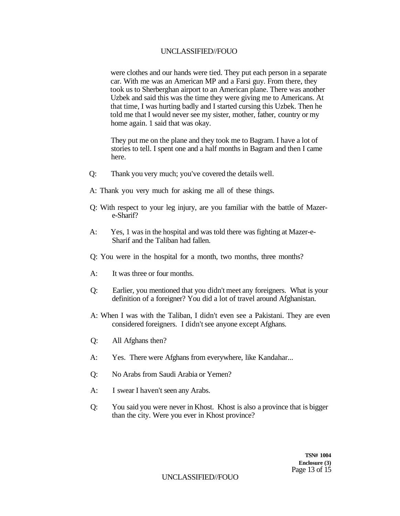were clothes and our hands were tied. They put each person in a separate car. With me was an American MP and a Farsi guy. From there, they took us to Sherberghan airport to an American plane. There was another Uzbek and said this was the time they were giving me to Americans. At that time, I was hurting badly and I started cursing this Uzbek. Then he told me that I would never see my sister, mother, father, country or my home again. 1 said that was okay.

They put me on the plane and they took me to Bagram. I have a lot of stories to tell. I spent one and a half months in Bagram and then I came here.

- Q: Thank you very much; you've covered the details well.
- A: Thank you very much for asking me all of these things.
- Q: With respect to your leg injury, are you familiar with the battle of Mazere-Sharif?
- A: Yes, 1 was in the hospital and was told there was fighting at Mazer-e-Sharif and the Taliban had fallen.
- Q: You were in the hospital for a month, two months, three months?
- A: It was three or four months.
- Q: Earlier, you mentioned that you didn't meet any foreigners. What is your definition of a foreigner? You did a lot of travel around Afghanistan.
- A: When I was with the Taliban, I didn't even see a Pakistani. They are even considered foreigners. I didn't see anyone except Afghans.
- Q: All Afghans then?
- A: Yes. There were Afghans from everywhere, like Kandahar...
- Q: No Arabs from Saudi Arabia or Yemen?
- A: I swear I haven't seen any Arabs.
- Q: You said you were never in Khost. Khost is also a province that is bigger than the city. Were you ever in Khost province?

**TSN# 1004 Enclosure (3)**  Page 13 of 15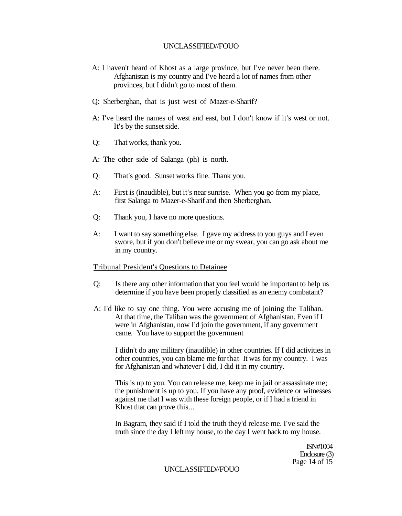- A: I haven't heard of Khost as a large province, but I've never been there. Afghanistan is my country and I've heard a lot of names from other provinces, but I didn't go to most of them.
- Q: Sherberghan, that is just west of Mazer-e-Sharif?
- A: I've heard the names of west and east, but I don't know if it's west or not. It's by the sunset side.
- Q: That works, thank you.
- A: The other side of Salanga (ph) is north.
- Q: That's good. Sunset works fine. Thank you.
- A: First is (inaudible), but it's near sunrise. When you go from my place, first Salanga to Mazer-e-Sharif and then Sherberghan.
- Q: Thank you, I have no more questions.
- A: I want to say something else. I gave my address to you guys and I even swore, but if you don't believe me or my swear, you can go ask about me in my country.

#### Tribunal President's Questions to Detainee

- Q: Is there any other information that you feel would be important to help us determine if you have been properly classified as an enemy combatant?
- A: I'd like to say one thing. You were accusing me of joining the Taliban. At that time, the Taliban was the government of Afghanistan. Even if I were in Afghanistan, now I'd join the government, if any government came. You have to support the government

I didn't do any military (inaudible) in other countries. If I did activities in other countries, you can blame me for that It was for my country. I was for Afghanistan and whatever I did, I did it in my country.

This is up to you. You can release me, keep me in jail or assassinate me; the punishment is up to you. If you have any proof, evidence or witnesses against me that I was with these foreign people, or if I had a friend in Khost that can prove this...

In Bagram, they said if I told the truth they'd release me. I've said the truth since the day I left my house, to the day I went back to my house.

> ISN#1004 Enclosure (3) Page 14 of 15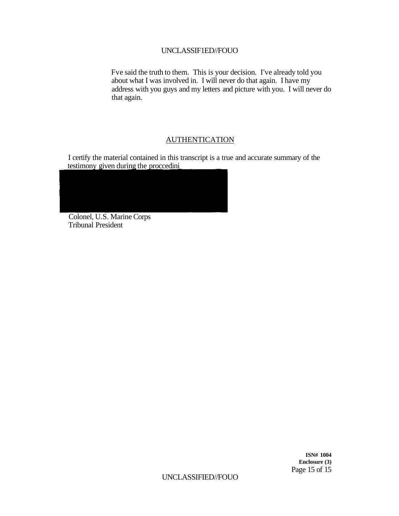Fve said the truth to them. This is your decision. I've already told you about what I was involved in. I will never do that again. I have my address with you guys and my letters and picture with you. I will never do that again.

# **AUTHENTICATION**

I certify the material contained in this transcript is a true and accurate summary of the testimony given during the proccedini

Colonel, U.S. Marine Corps Tribunal President

> **ISN# 1004 Enclosure (3)**  Page 15 of 15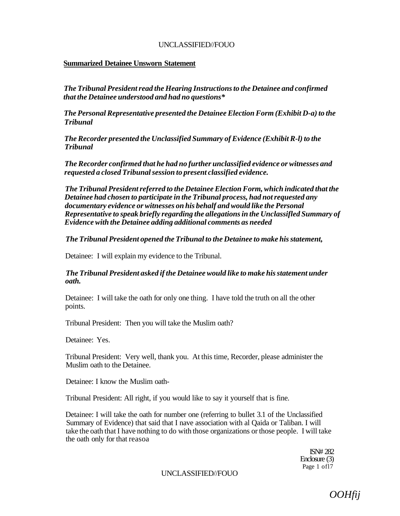### **Summarized Detainee Unsworn Statement**

*The Tribunal President read the Hearing Instructions to the Detainee and confirmed that the Detainee understood and had no questions\** 

*The Personal Representative presented the Detainee Election Form (Exhibit D-a) to the Tribunal* 

*The Recorder presented the Unclassified Summary of Evidence (Exhibit R-l) to the Tribunal* 

*The Recorder confirmed that he had no further unclassified evidence or witnesses and requested a closed Tribunal session to present classified evidence.* 

*The Tribunal President referred to the Detainee Election Form, which indicated that the Detainee had chosen to participate in the Tribunal process, had not requested any documentary evidence or witnesses on his behalf and would like the Personal Representative to speak briefly regarding the allegations in the Unclassifled Summary of Evidence with the Detainee adding additional comments as needed* 

*The Tribunal President opened the Tribunal to the Detainee to make his statement,* 

Detainee: I will explain my evidence to the Tribunal.

### *The Tribunal President asked if the Detainee would like to make his statement under oath.*

Detainee: I will take the oath for only one thing. I have told the truth on all the other points.

Tribunal President: Then you will take the Muslim oath?

Detainee: Yes.

Tribunal President: Very well, thank you. At this time, Recorder, please administer the Muslim oath to the Detainee.

Detainee: I know the Muslim oath-

Tribunal President: All right, if you would like to say it yourself that is fine.

Detainee: I will take the oath for number one (referring to bullet 3.1 of the Unclassified Summary of Evidence) that said that I nave association with al Qaida or Taliban. I will take the oath that I have nothing to do with those organizations or those people. I will take the oath only for that reasoa

> ISN# 282 Enclosure (3) Page 1 of 17

UNCLASSIFIED//FOUO

*OOHfij*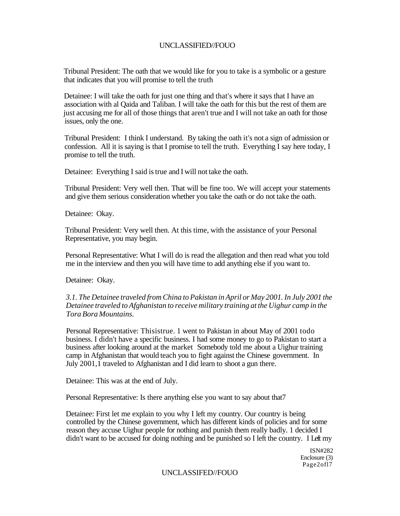Tribunal President: The oath that we would like for you to take is a symbolic or a gesture that indicates that you will promise to tell the truth

Detainee: I will take the oath for just one thing and that's where it says that I have an association with al Qaida and Taliban. I will take the oath for this but the rest of them are just accusing me for all of those things that aren't true and I will not take an oath for those issues, only the one.

Tribunal President: I think I understand. By taking the oath it's not a sign of admission or confession. All it is saying is that I promise to tell the truth. Everything I say here today, I promise to tell the truth.

Detainee: Everything I said is true and I will not take the oath.

Tribunal President: Very well then. That will be fine too. We will accept your statements and give them serious consideration whether you take the oath or do not take the oath.

Detainee: Okay.

Tribunal President: Very well then. At this time, with the assistance of your Personal Representative, you may begin.

Personal Representative: What I will do is read the allegation and then read what you told me in the interview and then you will have time to add anything else if you want to.

Detainee: Okay.

*3.1. The Detainee traveled from China to Pakistan in April or May 2001. In July 2001 the Detainee traveled to Afghanistan to receive military training at the Uighur camp in the Tora Bora Mountains.* 

Personal Representative: Thisistrue. 1 went to Pakistan in about May of 2001 todo business. I didn't have a specific business. I had some money to go to Pakistan to start a business after looking around at the market Somebody told me about a Uighur training camp in Afghanistan that would teach you to fight against the Chinese government. In July 2001,1 traveled to Afghanistan and I did learn to shoot a gun there.

Detainee: This was at the end of July.

Personal Representative: Is there anything else you want to say about that7

Detainee: First let me explain to you why I left my country. Our country is being controlled by the Chinese government, which has different kinds of policies and for some reason they accuse Uighur people for nothing and punish them really badly. 1 decided I didn't want to be accused for doing nothing and be punished so I left the country. I Left my

> ISN#282 Enclosure (3) Page2ofl7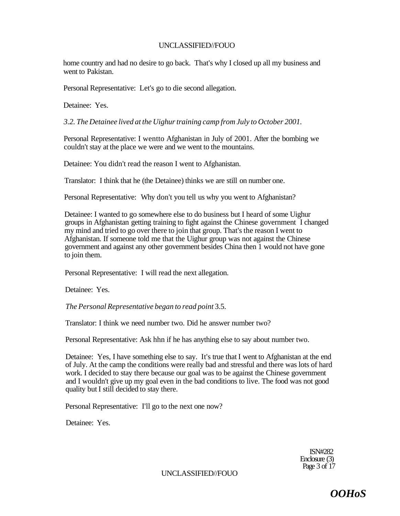home country and had no desire to go back. That's why I closed up all my business and went to Pakistan.

Personal Representative: Let's go to die second allegation.

Detainee: Yes.

*3.2. The Detainee lived at the Uighur training camp from July to October 2001.* 

Personal Representative: I wentto Afghanistan in July of 2001. After the bombing we couldn't stay at the place we were and we went to the mountains.

Detainee: You didn't read the reason I went to Afghanistan.

Translator: I think that he (the Detainee) thinks we are still on number one.

Personal Representative: Why don't you tell us why you went to Afghanistan?

Detainee: I wanted to go somewhere else to do business but I heard of some Uighur groups in Afghanistan getting training to fight against the Chinese government I changed my mind and tried to go over there to join that group. That's the reason I went to Afghanistan. If someone told me that the Uighur group was not against the Chinese government and against any other government besides China then 1 would not have gone to join them.

Personal Representative: I will read the next allegation.

Detainee: Yes.

*The Personal Representative began to read point* 3.5.

Translator: I think we need number two. Did he answer number two?

Personal Representative: Ask hhn if he has anything else to say about number two.

Detainee: Yes, I have something else to say. It's true that I went to Afghanistan at the end of July. At the camp the conditions were really bad and stressful and there was lots of hard work. I decided to stay there because our goal was to be against the Chinese government and I wouldn't give up my goal even in the bad conditions to live. The food was not good quality but I still decided to stay there.

Personal Representative: I'll go to the next one now?

Detainee: Yes.

ISN#282 Enclosure (3) Page 3 of 17

UNCLASSIFIED//FOUO

*OOHoS*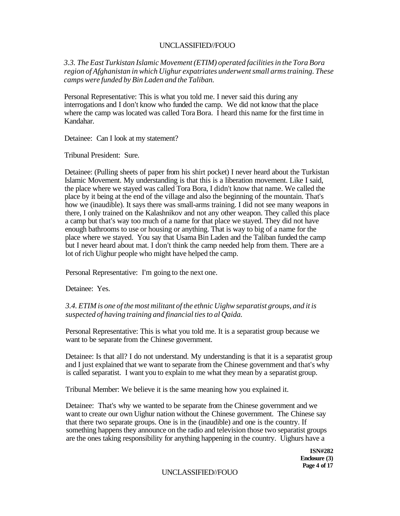*3.3. The East Turkistan Islamic Movement (ETIM) operated facilities in the Tora Bora region of Afghanistan in which Uighur expatriates underwent small arms training. These camps were funded by Bin Laden and the Taliban.* 

Personal Representative: This is what you told me. I never said this during any interrogations and I don't know who funded the camp. We did not know that the place where the camp was located was called Tora Bora. I heard this name for the first time in Kandahar.

Detainee: Can I look at my statement?

Tribunal President: Sure.

Detainee: (Pulling sheets of paper from his shirt pocket) I never heard about the Turkistan Islamic Movement. My understanding is that this is a liberation movement. Like I said, the place where we stayed was called Tora Bora, I didn't know that name. We called the place by it being at the end of the village and also the beginning of the mountain. That's how we (inaudible). It says there was small-arms training. I did not see many weapons in there, I only trained on the Kalashnikov and not any other weapon. They called this place a camp but that's way too much of a name for that place we stayed. They did not have enough bathrooms to use or housing or anything. That is way to big of a name for the place where we stayed. You say that Usama Bin Laden and the Taliban funded the camp but I never heard about mat. I don't think the camp needed help from them. There are a lot of rich Uighur people who might have helped the camp.

Personal Representative: I'm going to the next one.

Detainee: Yes.

*3.4. ETIM is one of the most militant of the ethnic Uighw separatist groups, and it is suspected of having training and financial ties to al Qaida.* 

Personal Representative: This is what you told me. It is a separatist group because we want to be separate from the Chinese government.

Detainee: Is that all? I do not understand. My understanding is that it is a separatist group and I just explained that we want to separate from the Chinese government and that's why is called separatist. I want you to explain to me what they mean by a separatist group.

Tribunal Member: We believe it is the same meaning how you explained it.

Detainee: That's why we wanted to be separate from the Chinese government and we want to create our own Uighur nation without the Chinese government. The Chinese say that there two separate groups. One is in the (inaudible) and one is the country. If something happens they announce on the radio and television those two separatist groups are the ones taking responsibility for anything happening in the country. Uighurs have a

> **ISN#282 Enclosure (3) Page 4 of 17**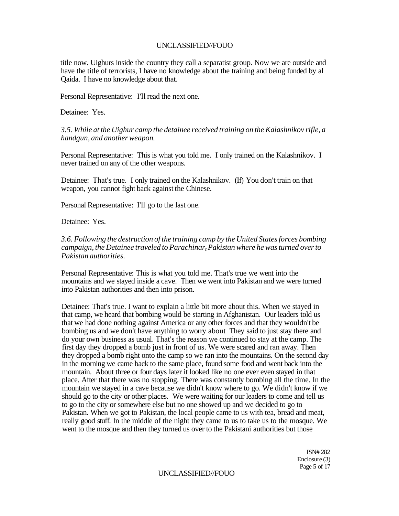title now. Uighurs inside the country they call a separatist group. Now we are outside and have the title of terrorists, I have no knowledge about the training and being funded by al Qaida. I have no knowledge about that.

Personal Representative: I'll read the next one.

Detainee: Yes.

*3.5. While at the Uighur camp the detainee received training on the Kalashnikov rifle, a handgun, and another weapon.* 

Personal Representative: This is what you told me. I only trained on the Kalashnikov. I never trained on any of the other weapons.

Detainee: That's true. I only trained on the Kalashnikov. (If) You don't train on that weapon, you cannot fight back against the Chinese.

Personal Representative: I'll go to the last one.

Detainee: Yes.

*3.6. Following the destruction of the training camp by the United States forces bombing campaign, the Detainee traveled to Parachinar<sup>t</sup> Pakistan where he was turned over to Pakistan authorities.* 

Personal Representative: This is what you told me. That's true we went into the mountains and we stayed inside a cave. Then we went into Pakistan and we were turned into Pakistan authorities and then into prison.

Detainee: That's true. I want to explain a little bit more about this. When we stayed in that camp, we heard that bombing would be starting in Afghanistan. Our leaders told us that we had done nothing against America or any other forces and that they wouldn't be bombing us and we don't have anything to worry about They said to just stay there and do your own business as usual. That's the reason we continued to stay at the camp. The first day they dropped a bomb just in front of us. We were scared and ran away. Then they dropped a bomb right onto the camp so we ran into the mountains. On the second day in the morning we came back to the same place, found some food and went back into the mountain. About three or four days later it looked like no one ever even stayed in that place. After that there was no stopping. There was constantly bombing all the time. In the mountain we stayed in a cave because we didn't know where to go. We didn't know if we should go to the city or other places. We were waiting for our leaders to come and tell us to go to the city or somewhere else but no one showed up and we decided to go to Pakistan. When we got to Pakistan, the local people came to us with tea, bread and meat, really good stuff. In the middle of the night they came to us to take us to the mosque. We went to the mosque and then they turned us over to the Pakistani authorities but those

> ISN# 282 Enclosure (3) Page 5 of 17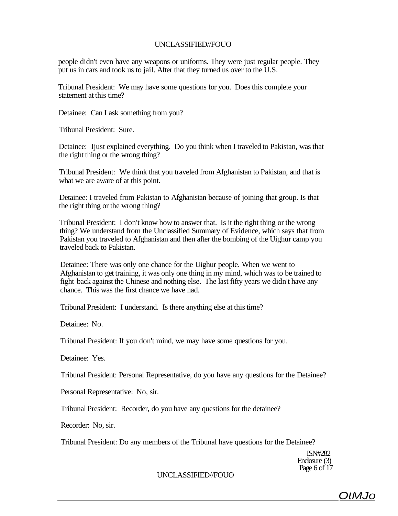people didn't even have any weapons or uniforms. They were just regular people. They put us in cars and took us to jail. After that they turned us over to the U.S.

Tribunal President: We may have some questions for you. Does this complete your statement at this time?

Detainee: Can I ask something from you?

Tribunal President: Sure.

Detainee: Ijust explained everything. Do you think when I traveled to Pakistan, was that the right thing or the wrong thing?

Tribunal President: We think that you traveled from Afghanistan to Pakistan, and that is what we are aware of at this point.

Detainee: I traveled from Pakistan to Afghanistan because of joining that group. Is that the right thing or the wrong thing?

Tribunal President: I don't know how to answer that. Is it the right thing or the wrong thing? We understand from the Unclassified Summary of Evidence, which says that from Pakistan you traveled to Afghanistan and then after the bombing of the Uighur camp you traveled back to Pakistan.

Detainee: There was only one chance for the Uighur people. When we went to Afghanistan to get training, it was only one thing in my mind, which was to be trained to fight back against the Chinese and nothing else. The last fifty years we didn't have any chance. This was the first chance we have had.

Tribunal President: I understand. Is there anything else at this time?

Detainee: No.

Tribunal President: If you don't mind, we may have some questions for you.

Detainee: Yes.

Tribunal President: Personal Representative, do you have any questions for the Detainee?

Personal Representative: No, sir.

Tribunal President: Recorder, do you have any questions for the detainee?

Recorder: No, sir.

Tribunal President: Do any members of the Tribunal have questions for the Detainee?

ISN#282 Enclosure (3) Page 6 of 17

### UNCLASSIFIED//FOUO

OtMJo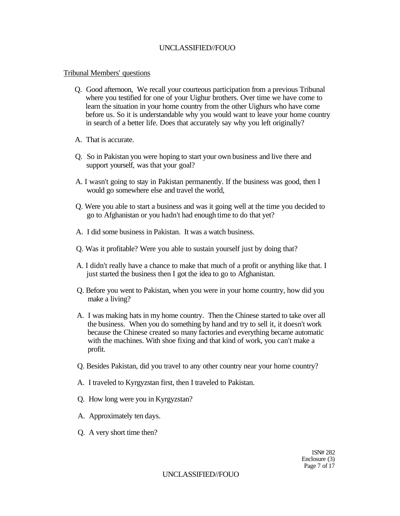### Tribunal Members' questions

- Q. Good afternoon, We recall your courteous participation from a previous Tribunal where you testified for one of your Uighur brothers. Over time we have come to learn the situation in your home country from the other Uighurs who have come before us. So it is understandable why you would want to leave your home country in search of a better life. Does that accurately say why you left originally?
- A. That is accurate.
- Q. So in Pakistan you were hoping to start your own business and live there and support yourself, was that your goal?
- A. I wasn't going to stay in Pakistan permanently. If the business was good, then I would go somewhere else and travel the world,
- Q. Were you able to start a business and was it going well at the time you decided to go to Afghanistan or you hadn't had enough time to do that yet?
- A. I did some business in Pakistan. It was a watch business.
- Q. Was it profitable? Were you able to sustain yourself just by doing that?
- A. I didn't really have a chance to make that much of a profit or anything like that. I just started the business then I got the idea to go to Afghanistan.
- Q. Before you went to Pakistan, when you were in your home country, how did you make a living?
- A. I was making hats in my home country. Then the Chinese started to take over all the business. When you do something by hand and try to sell it, it doesn't work because the Chinese created so many factories and everything became automatic with the machines. With shoe fixing and that kind of work, you can't make a profit.
- Q. Besides Pakistan, did you travel to any other country near your home country?
- A. I traveled to Kyrgyzstan first, then I traveled to Pakistan.
- Q. How long were you in Kyrgyzstan?
- A. Approximately ten days.
- Q. A very short time then?

1SN# 282 Enclosure (3) Page 7 of 17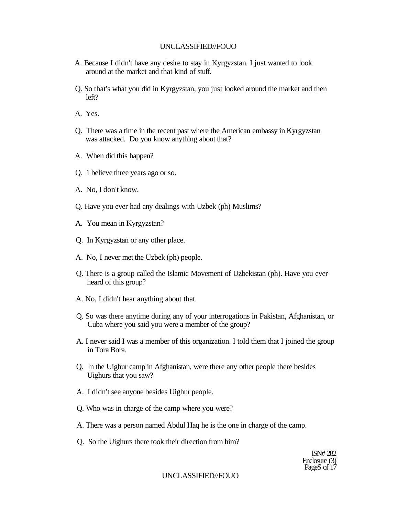- A. Because I didn't have any desire to stay in Kyrgyzstan. I just wanted to look around at the market and that kind of stuff.
- Q. So that's what you did in Kyrgyzstan, you just looked around the market and then left?
- A. Yes.
- Q. There was a time in the recent past where the American embassy in Kyrgyzstan was attacked. Do you know anything about that?
- A. When did this happen?
- Q. 1 believe three years ago or so.
- A. No, I don't know.
- Q. Have you ever had any dealings with Uzbek (ph) Muslims?
- A. You mean in Kyrgyzstan?
- Q. In Kyrgyzstan or any other place.
- A. No, I never met the Uzbek (ph) people.
- Q. There is a group called the Islamic Movement of Uzbekistan (ph). Have you ever heard of this group?
- A. No, I didn't hear anything about that.
- Q. So was there anytime during any of your interrogations in Pakistan, Afghanistan, or Cuba where you said you were a member of the group?
- A. I never said I was a member of this organization. I told them that I joined the group in Tora Bora.
- Q. In the Uighur camp in Afghanistan, were there any other people there besides Uighurs that you saw?
- A. I didn't see anyone besides Uighur people.
- Q. Who was in charge of the camp where you were?
- A. There was a person named Abdul Haq he is the one in charge of the camp.
- Q. So the Uighurs there took their direction from him?

ISN# 282 Enclosure (3) PageS of 17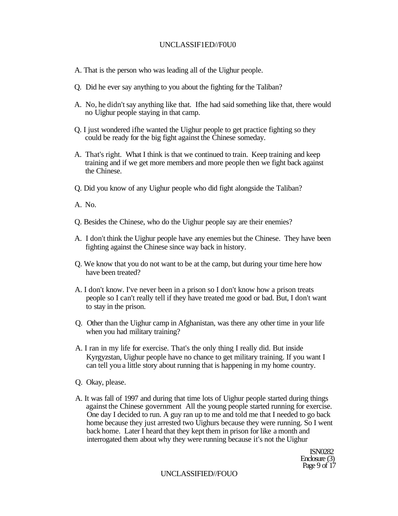### UNCLASSIF1ED//F0U0

- A. That is the person who was leading all of the Uighur people.
- Q. Did he ever say anything to you about the fighting for the Taliban?
- A. No, he didn't say anything like that. Ifhe had said something like that, there would no Uighur people staying in that camp.
- Q. I just wondered ifhe wanted the Uighur people to get practice fighting so they could be ready for the big fight against the Chinese someday.
- A. That's right. What I think is that we continued to train. Keep training and keep training and if we get more members and more people then we fight back against the Chinese.
- Q. Did you know of any Uighur people who did fight alongside the Taliban?
- A. No.
- Q. Besides the Chinese, who do the Uighur people say are their enemies?
- A. I don't think the Uighur people have any enemies but the Chinese. They have been fighting against the Chinese since way back in history.
- Q. We know that you do not want to be at the camp, but during your time here how have been treated?
- A. I don't know. I've never been in a prison so I don't know how a prison treats people so I can't really tell if they have treated me good or bad. But, I don't want to stay in the prison.
- Q. Other than the Uighur camp in Afghanistan, was there any other time in your life when you had military training?
- A. I ran in my life for exercise. That's the only thing I really did. But inside Kyrgyzstan, Uighur people have no chance to get military training. If you want I can tell you a little story about running that is happening in my home country.
- Q. Okay, please.
- A. It was fall of 1997 and during that time lots of Uighur people started during things against the Chinese government All the young people started running for exercise. One day I decided to run. A guy ran up to me and told me that I needed to go back home because they just arrested two Uighurs because they were running. So I went back home. Later I heard that they kept them in prison for like a month and interrogated them about why they were running because it's not the Uighur

ISN0282 Enclosure (3) Page 9 of 17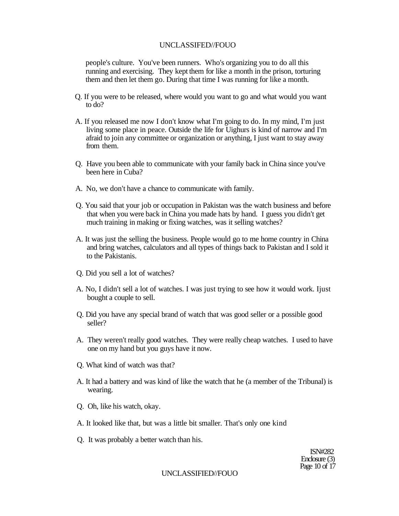people's culture. You've been runners. Who's organizing you to do all this running and exercising. They kept them for like a month in the prison, torturing them and then let them go. During that time I was running for like a month.

- Q. If you were to be released, where would you want to go and what would you want to do?
- A. If you released me now I don't know what I'm going to do. In my mind, I'm just living some place in peace. Outside the life for Uighurs is kind of narrow and I'm afraid to join any committee or organization or anything, I just want to stay away from them.
- Q. Have you been able to communicate with your family back in China since you've been here in Cuba?
- A. No, we don't have a chance to communicate with family.
- Q. You said that your job or occupation in Pakistan was the watch business and before that when you were back in China you made hats by hand. I guess you didn't get much training in making or fixing watches, was it selling watches?
- A. It was just the selling the business. People would go to me home country in China and bring watches, calculators and all types of things back to Pakistan and I sold it to the Pakistanis.
- Q. Did you sell a lot of watches?
- A. No, I didn't sell a lot of watches. I was just trying to see how it would work. Ijust bought a couple to sell.
- Q. Did you have any special brand of watch that was good seller or a possible good seller?
- A. They weren't really good watches. They were really cheap watches. I used to have one on my hand but you guys have it now.
- Q. What kind of watch was that?
- A. It had a battery and was kind of like the watch that he (a member of the Tribunal) is wearing.
- Q. Oh, like his watch, okay.
- A. It looked like that, but was a little bit smaller. That's only one kind
- Q. It was probably a better watch than his.

ISN#282 Enclosure (3) Page 10 of 17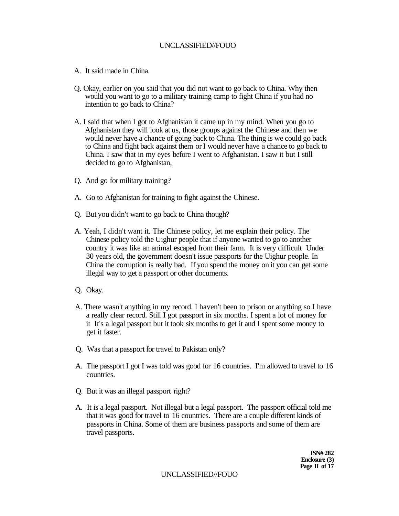- A. It said made in China.
- Q. Okay, earlier on you said that you did not want to go back to China. Why then would you want to go to a military training camp to fight China if you had no intention to go back to China?
- A. I said that when I got to Afghanistan it came up in my mind. When you go to Afghanistan they will look at us, those groups against the Chinese and then we would never have a chance of going back to China. The thing is we could go back to China and fight back against them or I would never have a chance to go back to China. I saw that in my eyes before I went to Afghanistan. I saw it but I still decided to go to Afghanistan,
- Q. And go for military training?
- A. Go to Afghanistan for training to fight against the Chinese.
- Q. But you didn't want to go back to China though?
- A. Yeah, I didn't want it. The Chinese policy, let me explain their policy. The Chinese policy told the Uighur people that if anyone wanted to go to another country it was like an animal escaped from their farm. It is very difficult Under 30 years old, the government doesn't issue passports for the Uighur people. In China the corruption is really bad. If you spend the money on it you can get some illegal way to get a passport or other documents.
- Q. Okay.
- A. There wasn't anything in my record. I haven't been to prison or anything so I have a really clear record. Still I got passport in six months. I spent a lot of money for it It's a legal passport but it took six months to get it and I spent some money to get it faster.
- Q. Was that a passport for travel to Pakistan only?
- A. The passport I got I was told was good for 16 countries. I'm allowed to travel to 16 countries.
- Q. But it was an illegal passport right?
- A. It is a legal passport. Not illegal but a legal passport. The passport official told me that it was good for travel to 16 countries. There are a couple different kinds of passports in China. Some of them are business passports and some of them are travel passports.

**ISN# 282 Enclosure (3) Page II of 17**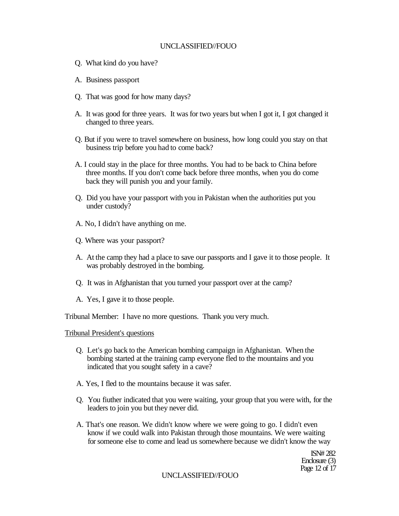- Q. What kind do you have?
- A. Business passport
- Q. That was good for how many days?
- A. It was good for three years. It was for two years but when I got it, I got changed it changed to three years.
- Q. But if you were to travel somewhere on business, how long could you stay on that business trip before you had to come back?
- A. I could stay in the place for three months. You had to be back to China before three months. If you don't come back before three months, when you do come back they will punish you and your family.
- Q. Did you have your passport with you in Pakistan when the authorities put you under custody?
- A. No, I didn't have anything on me.
- Q. Where was your passport?
- A. At the camp they had a place to save our passports and I gave it to those people. It was probably destroyed in the bombing.
- Q. It was in Afghanistan that you turned your passport over at the camp?
- A. Yes, I gave it to those people.

Tribunal Member: I have no more questions. Thank you very much.

Tribunal President's questions

- Q. Let's go back to the American bombing campaign in Afghanistan. When the bombing started at the training camp everyone fled to the mountains and you indicated that you sought safety in a cave?
- A. Yes, I fled to the mountains because it was safer.
- Q. You fiuther indicated that you were waiting, your group that you were with, for the leaders to join you but they never did.
- A. That's one reason. We didn't know where we were going to go. I didn't even know if we could walk into Pakistan through those mountains. We were waiting for someone else to come and lead us somewhere because we didn't know the way

ISN# 282 Enclosure (3) Page 12 of 17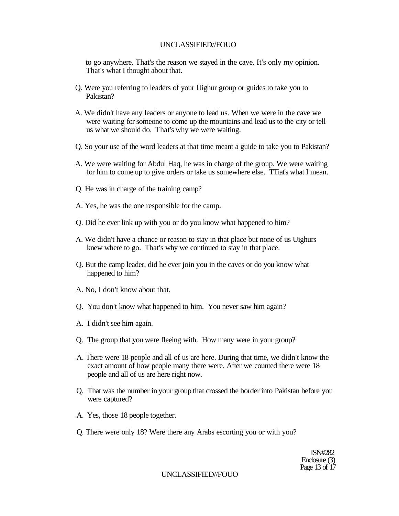to go anywhere. That's the reason we stayed in the cave. It's only my opinion. That's what I thought about that.

- Q. Were you referring to leaders of your Uighur group or guides to take you to Pakistan?
- A. We didn't have any leaders or anyone to lead us. When we were in the cave we were waiting for someone to come up the mountains and lead us to the city or tell us what we should do. That's why we were waiting.
- Q. So your use of the word leaders at that time meant a guide to take you to Pakistan?
- A. We were waiting for Abdul Haq, he was in charge of the group. We were waiting for him to come up to give orders or take us somewhere else. TTiat's what I mean.
- Q. He was in charge of the training camp?
- A. Yes, he was the one responsible for the camp.
- Q. Did he ever link up with you or do you know what happened to him?
- A. We didn't have a chance or reason to stay in that place but none of us Uighurs knew where to go. That's why we continued to stay in that place.
- Q. But the camp leader, did he ever join you in the caves or do you know what happened to him?
- A. No, I don't know about that.
- Q. You don't know what happened to him. You never saw him again?
- A. I didn't see him again.
- Q. The group that you were fleeing with. How many were in your group?
- A. There were 18 people and all of us are here. During that time, we didn't know the exact amount of how people many there were. After we counted there were 18 people and all of us are here right now.
- Q. That was the number in your group that crossed the border into Pakistan before you were captured?
- A. Yes, those 18 people together.
- Q. There were only 18? Were there any Arabs escorting you or with you?

ISN#282 Enclosure (3) Page 13 of 17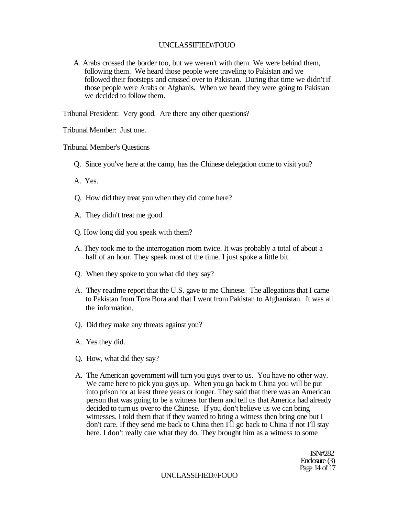A. Arabs crossed the border too, but we weren't with them. We were behind them, following them. We heard those people were traveling to Pakistan and we followed their footsteps and crossed over to Pakistan. During that time we didn't if those people were Arabs or Afghanis. When we heard they were going to Pakistan we decided to follow them.

Tribunal President: Very good. Are there any other questions?

Tribunal Member: Just one.

### Tribunal Member's Questions

- Q. Since you've here at the camp, has the Chinese delegation come to visit you?
- A. Yes.
- Q. How did they treat you when they did come here?
- A. They didn't treat me good.
- Q. How long did you speak with them?
- A. They took me to the interrogation room twice. It was probably a total of about a half of an hour. They speak most of the time. I just spoke a little bit.
- Q. When they spoke to you what did they say?
- A. They readme report that the U.S. gave to me Chinese. The allegations that I came to Pakistan from Tora Bora and that I went from Pakistan to Afghanistan. It was all the information.
- Q. Did they make any threats against you?
- A. Yes they did.
- Q. How, what did they say?
- A. The American government will turn you guys over to us. You have no other way. We came here to pick you guys up. When you go back to China you will be put into prison for at least three years or longer. They said that there was an American person that was going to be a witness for them and tell us that America had already decided to turn us over to the Chinese. If you don't believe us we can bring witnesses. I told them that if they wanted to bring a witness then bring one but I don't care. If they send me back to China then I'll go back to China if not I'll stay here. I don't really care what they do. They brought him as a witness to some

ISN#282 Enclosure (3) Page 14 of 17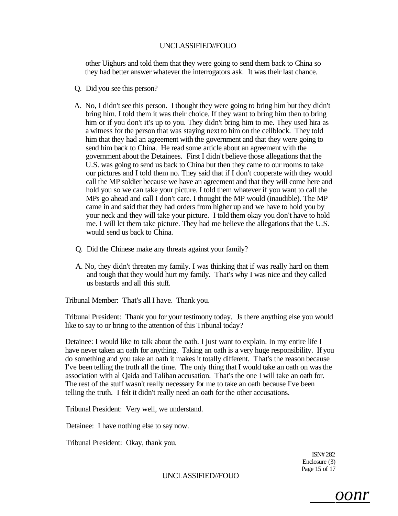other Uighurs and told them that they were going to send them back to China so they had better answer whatever the interrogators ask. It was their last chance.

- Q. Did you see this person?
- A. No, I didn't see this person. I thought they were going to bring him but they didn't bring him. I told them it was their choice. If they want to bring him then to bring him or if you don't it's up to you. They didn't bring him to me. They used hira as a witness for the person that was staying next to him on the cellblock. They told him that they had an agreement with the government and that they were going to send him back to China. He read some article about an agreement with the government about the Detainees. First I didn't believe those allegations that the U.S. was going to send us back to China but then they came to our rooms to take our pictures and I told them no. They said that if I don't cooperate with they would call the MP soldier because we have an agreement and that they will come here and hold you so we can take your picture. I told them whatever if you want to call the MPs go ahead and call I don't care. I thought the MP would (inaudible). The MP came in and said that they had orders from higher up and we have to hold you by your neck and they will take your picture. I told them okay you don't have to hold me. I will let them take picture. They had me believe the allegations that the U.S. would send us back to China.
- Q. Did the Chinese make any threats against your family?
- A. No, they didn't threaten my family. I was thinking that if was really hard on them and tough that they would hurt my family. That's why I was nice and they called us bastards and all this stuff.

Tribunal Member: That's all I have. Thank you.

Tribunal President: Thank you for your testimony today. Js there anything else you would like to say to or bring to the attention of this Tribunal today?

Detainee: I would like to talk about the oath. I just want to explain. In my entire life I have never taken an oath for anything. Taking an oath is a very huge responsibility. If you do something and you take an oath it makes it totally different. That's the reason because I've been telling the truth all the time. The only thing that I would take an oath on was the association with al Qaida and Taliban accusation. That's the one I will take an oath for. The rest of the stuff wasn't really necessary for me to take an oath because I've been telling the truth. I felt it didn't really need an oath for the other accusations.

Tribunal President: Very well, we understand.

Detainee: I have nothing else to say now.

Tribunal President: Okay, thank you.

ISN# 282 Enclosure (3) Page 15 of 17

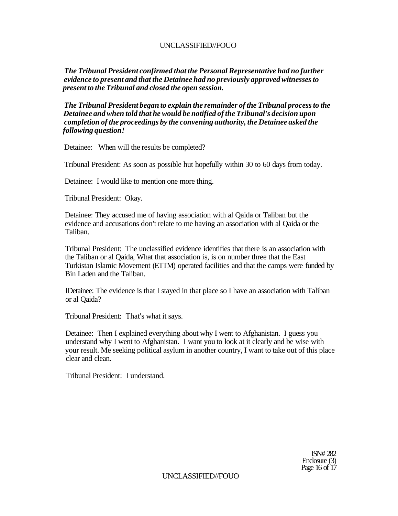*The Tribunal President confirmed that the Personal Representative had no further evidence to present and that the Detainee had no previously approved witnesses to present to the Tribunal and closed the open session.* 

*The Tribunal President began to explain the remainder of the Tribunal process to the Detainee and when told that he would be notified of the Tribunal's decision upon completion of the proceedings by the convening authority, the Detainee asked the following question!* 

Detainee: When will the results be completed?

Tribunal President: As soon as possible hut hopefully within 30 to 60 days from today.

Detainee: I would like to mention one more thing.

Tribunal President: Okay.

Detainee: They accused me of having association with al Qaida or Taliban but the evidence and accusations don't relate to me having an association with al Qaida or the Taliban.

Tribunal President: The unclassified evidence identifies that there is an association with the Taliban or al Qaida, What that association is, is on number three that the East Turkistan Islamic Movement (ETTM) operated facilities and that the camps were funded by Bin Laden and the Taliban.

IDetainee: The evidence is that I stayed in that place so I have an association with Taliban or al Qaida?

Tribunal President: That's what it says.

Detainee: Then I explained everything about why I went to Afghanistan. I guess you understand why I went to Afghanistan. I want you to look at it clearly and be wise with your result. Me seeking political asylum in another country, I want to take out of this place clear and clean.

Tribunal President: I understand.

ISN# 282 Enclosure (3) Page 16 of 17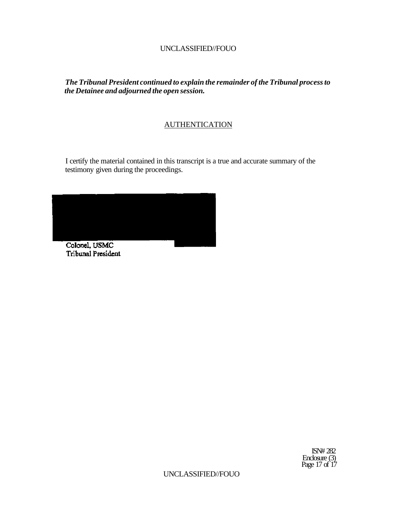# *The Tribunal President continued to explain the remainder of the Tribunal process to the Detainee and adjourned the open session.*

# **AUTHENTICATION**

I certify the material contained in this transcript is a true and accurate summary of the testimony given during the proceedings.



**Tribunal President** 

ISN# 282 Enclosure (3) Page 17 of 17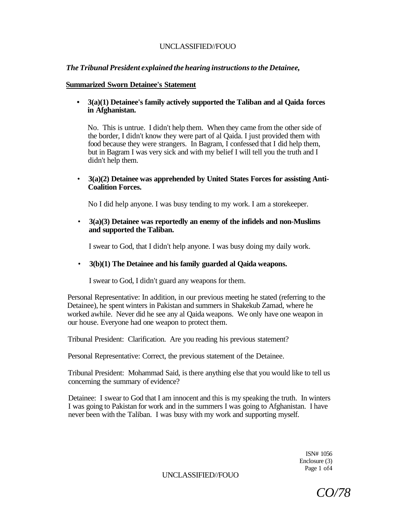# *The Tribunal President explained the hearing instructions to the Detainee,*

## **Summarized Sworn Detainee's Statement**

## **• 3(a)(1) Detainee's family actively supported the Taliban and al Qaida forces in Afghanistan.**

No. This is untrue. I didn't help them. When they came from the other side of the border, I didn't know they were part of al Qaida. I just provided them with food because they were strangers. In Bagram, I confessed that I did help them, but in Bagram I was very sick and with my belief I will tell you the truth and I didn't help them.

# • **3(a)(2) Detainee was apprehended by United States Forces for assisting Anti-Coalition Forces.**

No I did help anyone. I was busy tending to my work. I am a storekeeper.

• **3(a)(3) Detainee was reportedly an enemy of the infidels and non-Muslims and supported the Taliban.** 

I swear to God, that I didn't help anyone. I was busy doing my daily work.

# • **3(b)(1) The Detainee and his family guarded al Qaida weapons.**

I swear to God, I didn't guard any weapons for them.

Personal Representative: In addition, in our previous meeting he stated (referring to the Detainee), he spent winters in Pakistan and summers in Shakekub Zamad, where he worked awhile. Never did he see any al Qaida weapons. We only have one weapon in our house. Everyone had one weapon to protect them.

Tribunal President: Clarification. Are you reading his previous statement?

Personal Representative: Correct, the previous statement of the Detainee.

Tribunal President: Mohammad Said, is there anything else that you would like to tell us concerning the summary of evidence?

Detainee: I swear to God that I am innocent and this is my speaking the truth. In winters I was going to Pakistan for work and in the summers I was going to Afghanistan. I have never been with the Taliban. I was busy with my work and supporting myself.

> ISN# 1056 Enclosure (3) Page 1 of4

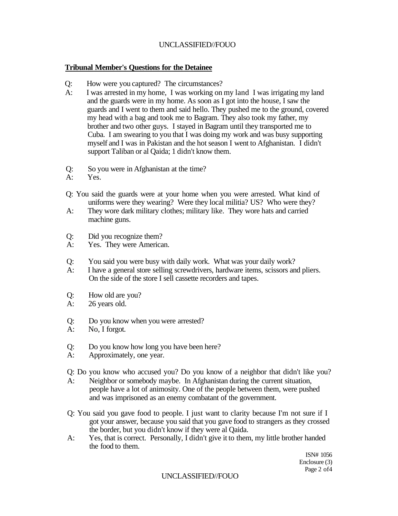## **Tribunal Member's Questions for the Detainee**

- Q: How were you captured? The circumstances?
- A: I was arrested in my home, I was working on my land I was irrigating my land and the guards were in my home. As soon as I got into the house, I saw the guards and I went to them and said hello. They pushed me to the ground, covered my head with a bag and took me to Bagram. They also took my father, my brother and two other guys. I stayed in Bagram until they transported me to Cuba. I am swearing to you that I was doing my work and was busy supporting myself and I was in Pakistan and the hot season I went to Afghanistan. I didn't support Taliban or al Qaida; 1 didn't know them.
- Q: So you were in Afghanistan at the time?
- A: Yes.
- Q: You said the guards were at your home when you were arrested. What kind of uniforms were they wearing? Were they local militia? US? Who were they?
- A: They wore dark military clothes; military like. They wore hats and carried machine guns.
- Q: Did you recognize them?
- A: Yes. They were American.
- Q: You said you were busy with daily work. What was your daily work?
- A: I have a general store selling screwdrivers, hardware items, scissors and pliers. On the side of the store I sell cassette recorders and tapes.
- Q: How old are you?
- A: 26 years old.
- Q: Do you know when you were arrested?
- A: No, I forgot.
- Q: Do you know how long you have been here?
- A: Approximately, one year.

Q: Do you know who accused you? Do you know of a neighbor that didn't like you?

- A: Neighbor or somebody maybe. In Afghanistan during the current situation, people have a lot of animosity. One of the people between them, were pushed and was imprisoned as an enemy combatant of the government.
- Q: You said you gave food to people. I just want to clarity because I'm not sure if I got your answer, because you said that you gave food to strangers as they crossed the border, but you didn't know if they were al Qaida.
- A: Yes, that is correct. Personally, I didn't give it to them, my little brother handed the food to them.

ISN# 1056 Enclosure (3) Page 2 of4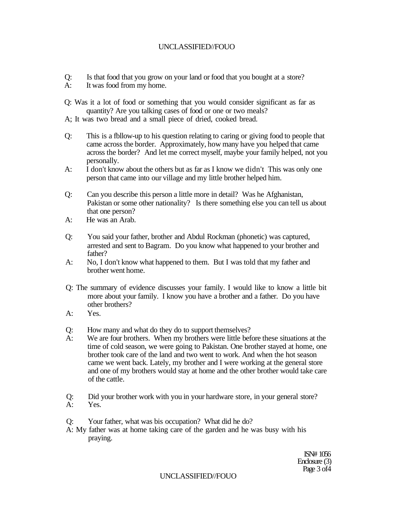- Q: Is that food that you grow on your land or food that you bought at a store?
- It was food from my home.
- Q: Was it a lot of food or something that you would consider significant as far as quantity? Are you talking cases of food or one or two meals?
- A; It was two bread and a small piece of dried, cooked bread.
- Q: This is a fbllow-up to his question relating to caring or giving food to people that came across the border. Approximately, how many have you helped that came across the border? And let me correct myself, maybe your family helped, not you personally.
- A: I don't know about the others but as far as I know we didn't This was only one person that came into our village and my little brother helped him.
- Q: Can you describe this person a little more in detail? Was he Afghanistan, Pakistan or some other nationality? Is there something else you can tell us about that one person?
- A: He was an Arab.
- Q: You said your father, brother and Abdul Rockman (phonetic) was captured, arrested and sent to Bagram. Do you know what happened to your brother and father?
- A: No, I don't know what happened to them. But I was told that my father and brother went home.
- Q: The summary of evidence discusses your family. I would like to know a little bit more about your family. I know you have a brother and a father. Do you have other brothers?
- A: Yes.
- Q: How many and what do they do to support themselves?
- A: We are four brothers. When my brothers were little before these situations at the time of cold season, we were going to Pakistan. One brother stayed at home, one brother took care of the land and two went to work. And when the hot season came we went back. Lately, my brother and I were working at the general store and one of my brothers would stay at home and the other brother would take care of the cattle.
- Q: Did your brother work with you in your hardware store, in your general store? A: Yes.
- Q: Your father, what was bis occupation? What did he do?
- A: My father was at home taking care of the garden and he was busy with his praying.

ISN# 1056 Enclosure (3) Page 3 of 4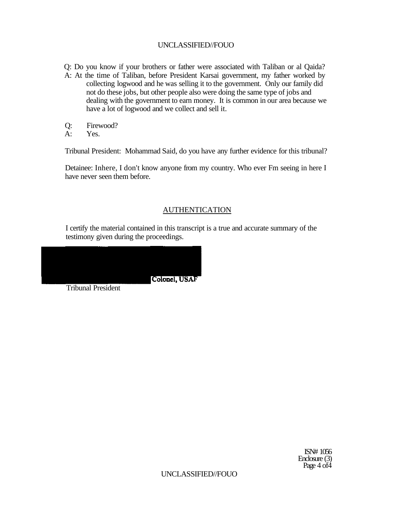- Q: Do you know if your brothers or father were associated with Taliban or al Qaida?
- A: At the time of Taliban, before President Karsai government, my father worked by collecting logwood and he was selling it to the government. Only our family did not do these jobs, but other people also were doing the same type of jobs and dealing with the government to earn money. It is common in our area because we have a lot of logwood and we collect and sell it.
- Q: Firewood?<br>A: Yes.
- Yes.

Tribunal President: Mohammad Said, do you have any further evidence for this tribunal?

Detainee: Inhere, I don't know anyone from my country. Who ever Fm seeing in here I have never seen them before.

## AUTHENTICATION

I certify the material contained in this transcript is a true and accurate summary of the testimony given during the proceedings.



Tribunal President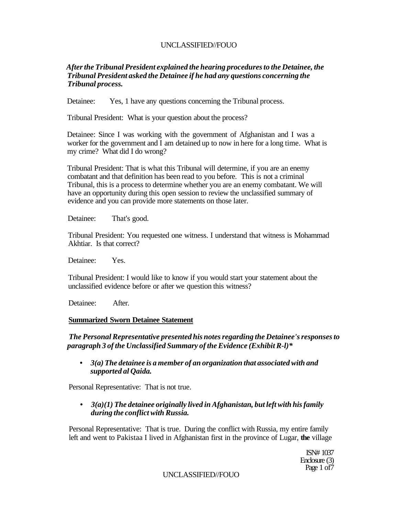# *After the Tribunal President explained the hearing procedures to the Detainee, the Tribunal President asked the Detainee if he had any questions concerning the Tribunal process.*

Detainee: Yes, 1 have any questions concerning the Tribunal process.

Tribunal President: What is your question about the process?

Detainee: Since I was working with the government of Afghanistan and I was a worker for the government and I am detained up to now in here for a long time. What is my crime? What did I do wrong?

Tribunal President: That is what this Tribunal will determine, if you are an enemy combatant and that definition has been read to you before. This is not a criminal Tribunal, this is a process to determine whether you are an enemy combatant. We will have an opportunity during this open session to review the unclassified summary of evidence and you can provide more statements on those later.

Detainee: That's good.

Tribunal President: You requested one witness. I understand that witness is Mohammad Akhtiar. Is that correct?

Detainee: Yes.

Tribunal President: I would like to know if you would start your statement about the unclassified evidence before or after we question this witness?

Detainee: After.

# **Summarized Sworn Detainee Statement**

*The Personal Representative presented his notes regarding the Detainee's responses to paragraph 3 of the Unclassified Summary of the Evidence (Exhibit R-l)\** 

**•** *3(a) The detainee is a member of an organization that associated with and supported al Qaida.* 

Personal Representative: That is not true.

**•** *3(a)(1) The detainee originally lived in Afghanistan, but left with his family during the conflict with Russia.* 

Personal Representative: That is true. During the conflict with Russia, my entire family left and went to Pakistaa I lived in Afghanistan first in the province of Lugar, **the** village

> ISN# 1037 Enclosure (3) Page 1 of 7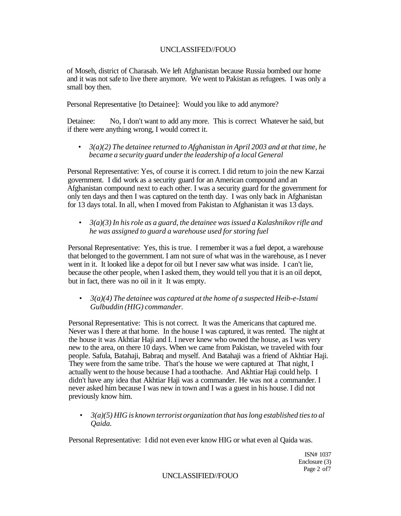of Moseh, district of Charasab. We left Afghanistan because Russia bombed our home and it was not safe to live there anymore. We went to Pakistan as refugees. I was only a small boy then.

Personal Representative [to Detainee]: Would you like to add anymore?

Detainee: No, I don't want to add any more. This is correct Whatever he said, but if there were anything wrong, I would correct it.

• *3(a)(2) The detainee returned to Afghanistan in April 2003 and at that time, he became a security guard under the leadership of a local General* 

Personal Representative: Yes, of course it is correct. I did return to join the new Karzai government. I did work as a security guard for an American compound and an Afghanistan compound next to each other. I was a security guard for the government for only ten days and then I was captured on the tenth day. I was only back in Afghanistan for 13 days total. In all, when I moved from Pakistan to Afghanistan it was 13 days.

• *3(a)(3) In his role as a guard, the detainee was issued a Kalashnikov rifle and he was assigned to guard a warehouse used for storing fuel* 

Personal Representative: Yes, this is true. I remember it was a fuel depot, a warehouse that belonged to the government. I am not sure of what was in the warehouse, as I never went in it. It looked like a depot for oil but I never saw what was inside. I can't lie, because the other people, when I asked them, they would tell you that it is an oil depot, but in fact, there was no oil in it It was empty.

• *3(a)(4) The detainee was captured at the home of a suspected Heib-e-Istami Gulbuddin (HIG) commander.* 

Personal Representative: This is not correct. It was the Americans that captured me. Never was I there at that home. In the house I was captured, it was rented. The night at the house it was Akhtiar Haji and I. I never knew who owned the house, as I was very new to the area, on there 10 days. When we came from Pakistan, we traveled with four people. Safula, Batahaji, Babraq and myself. And Batahaji was a friend of Akhtiar Haji. They were from the same tribe. That's the house we were captured at That night, I actually went to the house because I had a toothache. And Akhtiar Haji could help. I didn't have any idea that Akhtiar Haji was a commander. He was not a commander. I never asked him because I was new in town and I was a guest in his house. I did not previously know him.

• *3(a)(5) HIG is known terrorist organization that has long established ties to al Qaida.* 

Personal Representative: I did not even ever know HIG or what even al Qaida was.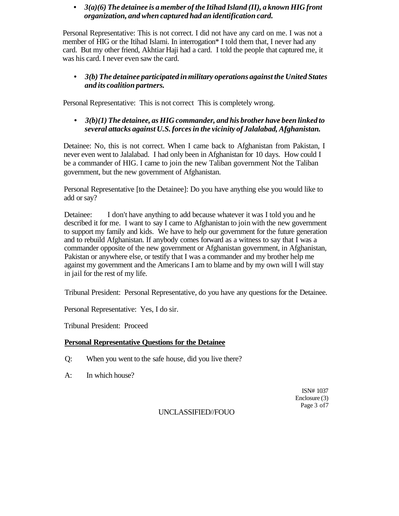# **•** *3(a)(6) The detainee is a member of the Itihad Island (II), a known HIG front organization, and when captured had an identification card.*

Personal Representative: This is not correct. I did not have any card on me. I was not a member of HIG or the Itihad Islami. In interrogation\* I told them that, I never had any card. But my other friend, Akhtiar Haji had a card. I told the people that captured me, it was his card. I never even saw the card.

**•** *3(b) The detainee participated in military operations against the United States and its coalition partners.* 

Personal Representative: This is not correct This is completely wrong.

**•** *3(b)(1) The detainee, as HIG commander, and his brother have been linked to several attacks against U.S. forces in the vicinity of Jalalabad, Afghanistan.* 

Detainee: No, this is not correct. When I came back to Afghanistan from Pakistan, I never even went to Jalalabad. I had only been in Afghanistan for 10 days. How could I be a commander of HIG. I came to join the new Taliban government Not the Taliban government, but the new government of Afghanistan.

Personal Representative [to the Detainee]: Do you have anything else you would like to add or say?

Detainee: I don't have anything to add because whatever it was I told you and he described it for me. I want to say I came to Afghanistan to join with the new government to support my family and kids. We have to help our government for the future generation and to rebuild Afghanistan. If anybody comes forward as a witness to say that I was a commander opposite of the new government or Afghanistan government, in Afghanistan, Pakistan or anywhere else, or testify that I was a commander and my brother help me against my government and the Americans I am to blame and by my own will I will stay in jail for the rest of my life.

Tribunal President: Personal Representative, do you have any questions for the Detainee.

Personal Representative: Yes, I do sir.

Tribunal President: Proceed

# **Personal Representative Questions for the Detainee**

- Q: When you went to the safe house, did you live there?
- A: In which house?

ISN# 1037 Enclosure (3) Page 3 of7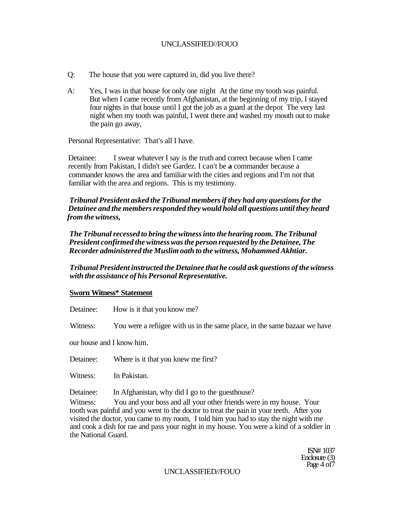- Q: The house that you were captured in, did you live there?
- A: Yes, I was in that house for only one night At the time my tooth was painful. But when I came recently from Afghanistan, at the beginning of my trip, I stayed four nights in that house until I got the job as a guard at the depot The very last night when my tooth was painful, I went there and washed my mouth out to make the pain go away,

Personal Representative: That's all I have.

Detainee: I swear whatever I say is the truth and correct because when I came recently from Pakistan, I didn't see Gardez. I can't be **a** commander because a commander knows the area and familiar with the cities and regions and I'm not that familiar with the area and regions. This is my testimony.

# *Tribunal President asked the Tribunal members if they had any questions for the Detainee and the members responded they would hold all questions until they heard from the witness,*

*The Tribunal recessed to bring the witness into the hearing room. The Tribunal President confirmed the witness was the person requested by the Detainee, The Recorder administered the Muslim oath to the witness, Mohammed Akhtiar.* 

*Tribunal President instructed the Detainee that he could ask questions of the witness with the assistance of his Personal Representative.* 

# **Sworn Witness\* Statement**

Detainee: How is it that you know me?

Witness: You were a refiigee with us in the same place, in the same bazaar we have

our house and I know him.

Detainee: Where is it that you knew me first?

Witness: In Pakistan.

Detainee: In Afghanistan, why did I go to the guesthouse?

Witness: You and your boss and all your other friends were in my house. Your tooth was painful and you went to the doctor to treat the pain in your teeth. After you visited the doctor, you came to my room, I told him you had to stay the night with me and cook a dish for rae and pass your night in my house. You were a kind of a soldier in the National Guard.

> ISN# 1037 Enclosure (3) Page 4 of7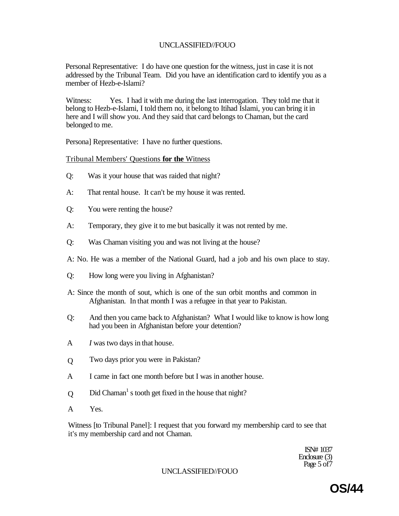Personal Representative: I do have one question for the witness, just in case it is not addressed by the Tribunal Team. Did you have an identification card to identify you as a member of Hezb-e-Islami?

Witness: Yes. I had it with me during the last interrogation. They told me that it belong to Hezb-e-Islami, I told them no, it belong to Itihad Islami, you can bring it in here and I will show you. And they said that card belongs to Chaman, but the card belonged to me.

Persona] Representative: I have no further questions.

#### Tribunal Members' Questions **for the** Witness

- Q: Was it your house that was raided that night?
- A: That rental house. It can't be my house it was rented.
- Q: You were renting the house?
- A: Temporary, they give it to me but basically it was not rented by me.
- Q: Was Chaman visiting you and was not living at the house?
- A: No. He was a member of the National Guard, had a job and his own place to stay.
- Q: How long were you living in Afghanistan?
- A: Since the month of sout, which is one of the sun orbit months and common in Afghanistan. In that month I was a refugee in that year to Pakistan.
- Q: And then you came back to Afghanistan? What I would like to know is how long had you been in Afghanistan before your detention?
- A *I* was two days in that house.
- $\Omega$ Two days prior you were in Pakistan?
- A I came in fact one month before but I was in another house.
- $\Omega$ Did Chaman<sup>1</sup> s tooth get fixed in the house that night?
- A Yes.

Witness [to Tribunal Panel]: I request that you forward my membership card to see that it's my membership card and not Chaman.

> ISN# 1037 Enclosure (3) Page 5 of 7

#### UNCLASSIFIED//FOUO

**OS/44**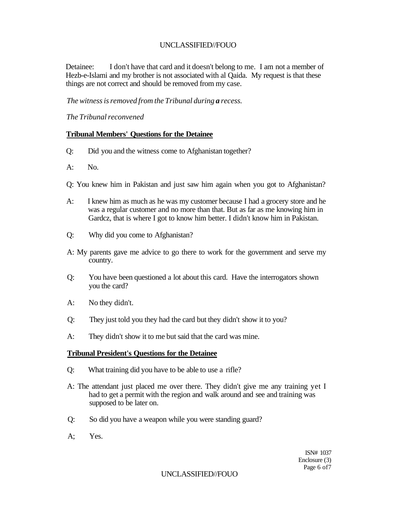Detainee: I don't have that card and it doesn't belong to me. I am not a member of Hezb-e-Islami and my brother is not associated with al Qaida. My request is that these things are not correct and should be removed from my case.

*The witness is removed from the Tribunal during a recess.* 

*The Tribunal reconvened* 

## **Tribunal Members' Questions for the Detainee**

- Q: Did you and the witness come to Afghanistan together?
- A: No.
- Q: You knew him in Pakistan and just saw him again when you got to Afghanistan?
- A: I knew him as much as he was my customer because I had a grocery store and he was a regular customer and no more than that. But as far as me knowing him in Gardcz, that is where I got to know him better. I didn't know him in Pakistan.
- Q: Why did you come to Afghanistan?
- A: My parents gave me advice to go there to work for the government and serve my country.
- Q: You have been questioned a lot about this card. Have the interrogators shown you the card?
- A: No they didn't.
- Q: They just told you they had the card but they didn't show it to you?
- A: They didn't show it to me but said that the card was mine.

### **Tribunal President's Questions for the Detainee**

- Q: What training did you have to be able to use a rifle?
- A: The attendant just placed me over there. They didn't give me any training yet I had to get a permit with the region and walk around and see and training was supposed to be later on.
- Q: So did you have a weapon while you were standing guard?
- A; Yes.

ISN# 1037 Enclosure (3) Page 6 of7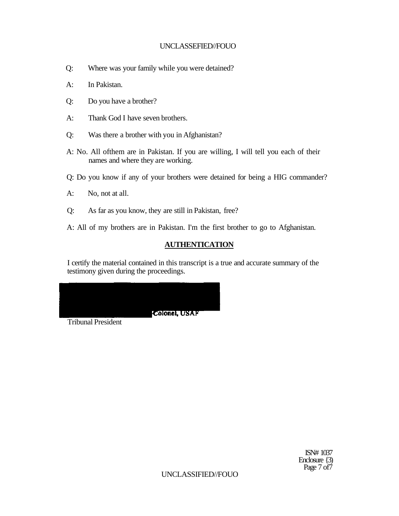- Q: Where was your family while you were detained?
- A: In Pakistan.
- Q: Do you have a brother?
- A: Thank God I have seven brothers.
- Q: Was there a brother with you in Afghanistan?
- A: No. All ofthem are in Pakistan. If you are willing, I will tell you each of their names and where they are working.
- Q: Do you know if any of your brothers were detained for being a HIG commander?
- A: No, not at all.
- Q: As far as you know, they are still in Pakistan, free?

A: All of my brothers are in Pakistan. I'm the first brother to go to Afghanistan.

# **AUTHENTICATION**

I certify the material contained in this transcript is a true and accurate summary of the testimony given during the proceedings.



Tribunal President

ISN# 1037 Enclosure {3) Page 7 of 7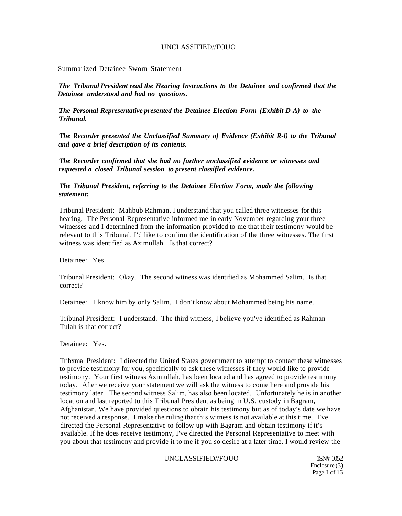#### Summarized Detainee Sworn Statement

*The Tribunal President read the Hearing Instructions to the Detainee and confirmed that the Detainee understood and had no questions.* 

*The Personal Representative presented the Detainee Election Form (Exhibit D-A) to the Tribunal.* 

*The Recorder presented the Unclassified Summary of Evidence (Exhibit R-l) to the Tribunal and gave a brief description of its contents.* 

*The Recorder confirmed that she had no further unclassified evidence or witnesses and requested a closed Tribunal session to present classified evidence.* 

#### *The Tribunal President, referring to the Detainee Election Form, made the following statement:*

Tribunal President: Mahbub Rahman, I understand that you called three witnesses for this hearing. The Personal Representative informed me in early November regarding your three witnesses and I determined from the information provided to me that their testimony would be relevant to this Tribunal. I'd like to confirm the identification of the three witnesses. The first witness was identified as Azimullah. Is that correct?

Detainee: Yes.

Tribunal President: Okay. The second witness was identified as Mohammed Salim. Is that correct?

Detainee: I know him by only Salim. I don't know about Mohammed being his name.

Tribunal President: I understand. The third witness, I believe you've identified as Rahman Tulah is that correct?

Detainee: Yes.

Tribxmal President: I directed the United States government to attempt to contact these witnesses to provide testimony for you, specifically to ask these witnesses if they would like to provide testimony. Your first witness Azimullah, has been located and has agreed to provide testimony today. After we receive your statement we will ask the witness to come here and provide his testimony later. The second witness Salim, has also been located. Unfortunately he is in another location and last reported to this Tribunal President as being in U.S. custody in Bagram, Afghanistan. We have provided questions to obtain his testimony but as of today's date we have not received a response. I make the ruling that this witness is not available at this time. I've directed the Personal Representative to follow up with Bagram and obtain testimony if it's available. If he does receive testimony, I've directed the Personal Representative to meet with you about that testimony and provide it to me if you so desire at a later time. I would review the

#### UNCLASSIFIED//FOUO 1SN# 1052

Enclosure (3) Page I of 16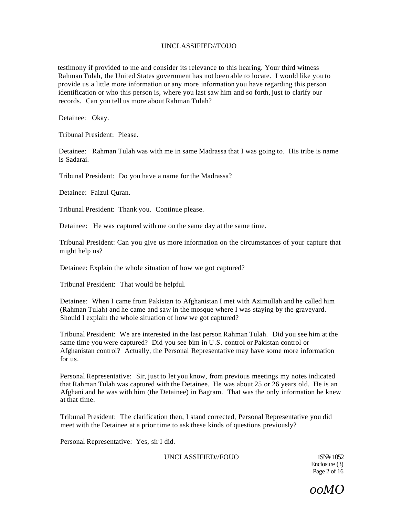testimony if provided to me and consider its relevance to this hearing. Your third witness Rahman Tulah, the United States government has not been able to locate. I would like you to provide us a little more information or any more information you have regarding this person identification or who this person is, where you last saw him and so forth, just to clarify our records. Can you tell us more about Rahman Tulah?

Detainee: Okay.

Tribunal President: Please.

Detainee: Rahman Tulah was with me in same Madrassa that I was going to. His tribe is name is Sadarai.

Tribunal President: Do you have a name for the Madrassa?

Detainee: Faizul Quran.

Tribunal President: Thank you. Continue please.

Detainee: He was captured with me on the same day at the same time.

Tribunal President: Can you give us more information on the circumstances of your capture that might help us?

Detainee: Explain the whole situation of how we got captured?

Tribunal President: That would be helpful.

Detainee: When I came from Pakistan to Afghanistan I met with Azimullah and he called him (Rahman Tulah) and he came and saw in the mosque where I was staying by the graveyard. Should I explain the whole situation of how we got captured?

Tribunal President: We are interested in the last person Rahman Tulah. Did you see him at the same time you were captured? Did you see bim in U.S. control or Pakistan control or Afghanistan control? Actually, the Personal Representative may have some more information for us.

Personal Representative: Sir, just to let you know, from previous meetings my notes indicated that Rahman Tulah was captured with the Detainee. He was about 25 or 26 years old. He is an Afghani and he was with him (the Detainee) in Bagram. That was the only information he knew at that time.

Tribunal President: The clarification then, I stand corrected, Personal Representative you did meet with the Detainee at a prior time to ask these kinds of questions previously?

Personal Representative: Yes, sir I did.

UNCLASSIFIED//FOUO 1SN# 1052

Enclosure (3) Page 2 of 16

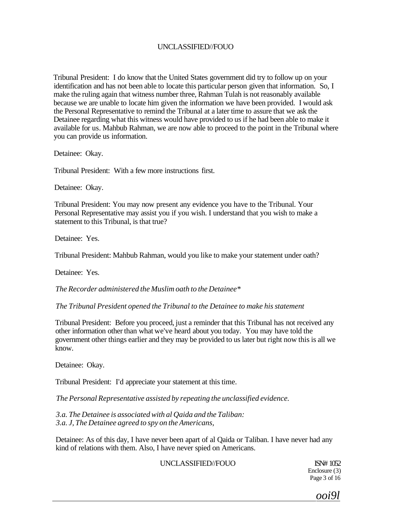Tribunal President: I do know that the United States government did try to follow up on your identification and has not been able to locate this particular person given that information. So, I make the ruling again that witness number three, Rahman Tulah is not reasonably available because we are unable to locate him given the information we have been provided. I would ask the Personal Representative to remind the Tribunal at a later time to assure that we ask the Detainee regarding what this witness would have provided to us if he had been able to make it available for us. Mahbub Rahman, we are now able to proceed to the point in the Tribunal where you can provide us information.

Detainee: Okay.

Tribunal President: With a few more instructions first.

Detainee: Okay.

Tribunal President: You may now present any evidence you have to the Tribunal. Your Personal Representative may assist you if you wish. I understand that you wish to make a statement to this Tribunal, is that true?

Detainee: Yes.

Tribunal President: Mahbub Rahman, would you like to make your statement under oath?

Detainee: Yes.

*The Recorder administered the Muslim oath to the Detainee\** 

*The Tribunal President opened the Tribunal to the Detainee to make his statement* 

Tribunal President: Before you proceed, just a reminder that this Tribunal has not received any other information other than what we've heard about you today. You may have told the government other things earlier and they may be provided to us later but right now this is all we know.

Detainee: Okay.

Tribunal President: I'd appreciate your statement at this time.

*The Personal Representative assisted by repeating the unclassified evidence.* 

*3.a. The Detainee is associated with al Qaida and the Taliban: 3.a. J, The Detainee agreed to spy on the Americans,* 

Detainee: As of this day, I have never been apart of al Qaida or Taliban. I have never had any kind of relations with them. Also, I have never spied on Americans.

UNCLASSIFIED//FOUO ISN# 1052

Enclosure (3) Page 3 of 16

*ooi9l*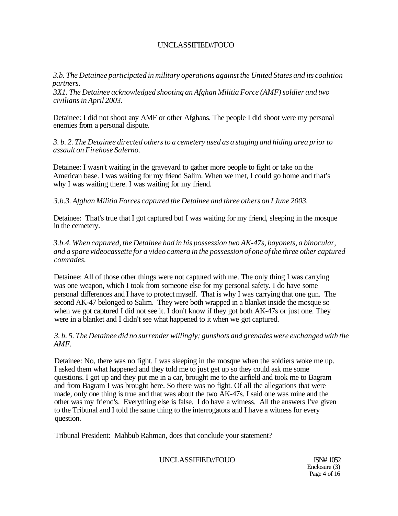*3.b. The Detainee participated in military operations against the United States and its coalition partners.* 

*3X1. The Detainee acknowledged shooting an Afghan Militia Force (AMF) soldier and two civilians in April 2003.* 

Detainee: I did not shoot any AMF or other Afghans. The people I did shoot were my personal enemies from a personal dispute.

*3. b. 2. The Detainee directed others to a cemetery used as a staging and hiding area prior to assault on Firehose Salerno.* 

Detainee: I wasn't waiting in the graveyard to gather more people to fight or take on the American base. I was waiting for my friend Salim. When we met, I could go home and that's why I was waiting there. I was waiting for my friend.

*3.b.3. Afghan Militia Forces captured the Detainee and three others on I June 2003.* 

Detainee: That's true that I got captured but I was waiting for my friend, sleeping in the mosque in the cemetery.

*3.b.4. When captured, the Detainee had in his possession two AK-47s, bayonets, a binocular, and a spare videocassette for a video camera in the possession of one of the three other captured comrades.* 

Detainee: All of those other things were not captured with me. The only thing I was carrying was one weapon, which I took from someone else for my personal safety. I do have some personal differences and I have to protect myself. That is why I was carrying that one gun. The second AK-47 belonged to Salim. They were both wrapped in a blanket inside the mosque so when we got captured I did not see it. I don't know if they got both AK-47s or just one. They were in a blanket and I didn't see what happened to it when we got captured.

*3. b. 5. The Detainee did no surrender willingly; gunshots and grenades were exchanged with the AMF.* 

Detainee: No, there was no fight. I was sleeping in the mosque when the soldiers woke me up. I asked them what happened and they told me to just get up so they could ask me some questions. I got up and they put me in a car, brought me to the airfield and took me to Bagram and from Bagram I was brought here. So there was no fight. Of all the allegations that were made, only one thing is true and that was about the two AK-47s. I said one was mine and the other was my friend's. Everything else is false. I do have a witness. All the answers I've given to the Tribunal and I told the same thing to the interrogators and I have a witness for every question.

Tribunal President: Mahbub Rahman, does that conclude your statement?

# UNCLASSIFIED//FOUO ISN# 1052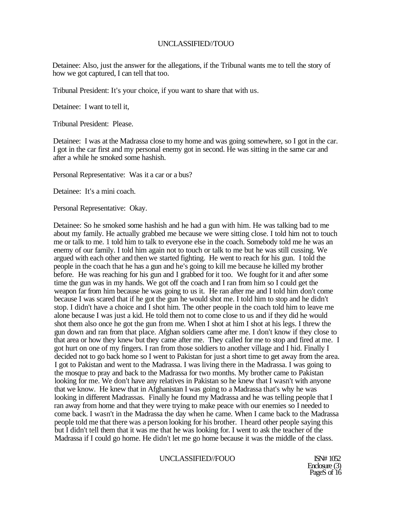Detainee: Also, just the answer for the allegations, if the Tribunal wants me to tell the story of how we got captured, I can tell that too.

Tribunal President: It's your choice, if you want to share that with us.

Detainee: I want to tell it,

Tribunal President: Please.

Detainee: I was at the Madrassa close to my home and was going somewhere, so I got in the car. I got in the car first and my personal enemy got in second. He was sitting in the same car and after a while he smoked some hashish.

Personal Representative: Was it a car or a bus?

Detainee: It's a mini coach.

Personal Representative: Okay.

Detainee: So he smoked some hashish and he had a gun with him. He was talking bad to me about my family. He actually grabbed me because we were sitting close. I told him not to touch me or talk to me. 1 told him to talk to everyone else in the coach. Somebody told me he was an enemy of our family. I told him again not to touch or talk to me but he was still cussing. We argued with each other and then we started fighting. He went to reach for his gun. I told the people in the coach that he has a gun and he's going to kill me because he killed my brother before. He was reaching for his gun and I grabbed for it too. We fought for it and after some time the gun was in my hands. We got off the coach and I ran from him so I could get the weapon far from him because he was going to us it. He ran after me and I told him don't come because I was scared that if he got the gun he would shot me. I told him to stop and he didn't stop. I didn't have a choice and I shot him. The other people in the coach told him to leave me alone because I was just a kid. He told them not to come close to us and if they did he would shot them also once he got the gun from me. When I shot at him I shot at his legs. I threw the gun down and ran from that place. Afghan soldiers came after me. I don't know if they close to that area or how they knew but they came after me. They called for me to stop and fired at me. I got hurt on one of my fingers. I ran from those soldiers to another village and I hid. Finally I decided not to go back home so I went to Pakistan for just a short time to get away from the area. I got to Pakistan and went to the Madrassa. I was living there in the Madrassa. I was going to the mosque to pray and back to the Madrassa for two months. My brother came to Pakistan looking for me. We don't have any relatives in Pakistan so he knew that I wasn't with anyone that we know. He knew that in Afghanistan I was going to a Madrassa that's why he was looking in different Madrassas. Finally he found my Madrassa and he was telling people that I ran away from home and that they were trying to make peace with our enemies so I needed to come back. I wasn't in the Madrassa the day when he came. When I came back to the Madrassa people told me that there was a person looking for his brother. I heard other people saying this but I didn't tell them that it was me that he was looking for. I went to ask the teacher of the Madrassa if I could go home. He didn't let me go home because it was the middle of the class.

#### UNCLASSIFIED//FOUO ISN# 1052

Enclosure (3) PageS of 16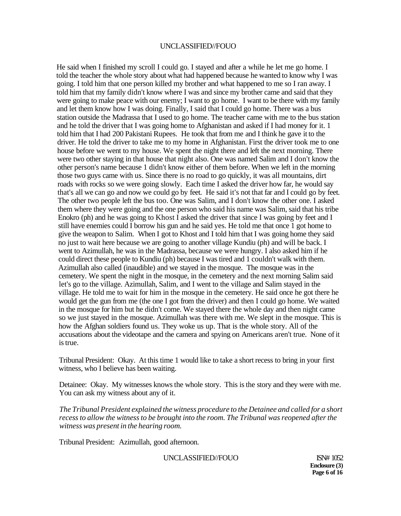He said when I finished my scroll I could go. I stayed and after a while he let me go home. I told the teacher the whole story about what had happened because he wanted to know why I was going. I told him that one person killed my brother and what happened to me so I ran away. I told him that my family didn't know where I was and since my brother came and said that they were going to make peace with our enemy; I want to go home. I want to be there with my family and let them know how I was doing. Finally, I said that I could go home. There was a bus station outside the Madrassa that I used to go home. The teacher came with me to the bus station and he told the driver that I was going home to Afghanistan and asked if I had money for it. 1 told him that I had 200 Pakistani Rupees. He took that from me and I think he gave it to the driver. He told the driver to take me to my home in Afghanistan. First the driver took me to one house before we went to my house. We spent the night there and left the next morning. There were two other staying in that house that night also. One was named Salim and I don't know the other person's name because 1 didn't know either of them before. When we left in the morning those two guys came with us. Since there is no road to go quickly, it was all mountains, dirt roads with rocks so we were going slowly. Each time I asked the driver how far, he would say that's all we can go and now we could go by feet. He said it's not that far and I could go by feet. The other two people left the bus too. One was Salim, and I don't know the other one. I asked them where they were going and the one person who said his name was Salim, said that his tribe Enokro (ph) and he was going to Khost I asked the driver that since I was going by feet and I still have enemies could I borrow his gun and he said yes. He told me that once 1 got home to give the weapon to Salim. When I got to Khost and I told him that I was going home they said no just to wait here because we are going to another village Kundiu (ph) and will be back. I went to Azimullah, he was in the Madrassa, because we were hungry. I also asked him if he could direct these people to Kundiu (ph) because I was tired and 1 couldn't walk with them. Azimullah also called (inaudible) and we stayed in the mosque. The mosque was in the cemetery. We spent the night in the mosque, in the cemetery and the next morning Salim said let's go to the village. Azimullah, Salim, and I went to the village and Salim stayed in the village. He told me to wait for him in the mosque in the cemetery. He said once he got there he would get the gun from me (the one I got from the driver) and then I could go home. We waited in the mosque for him but he didn't come. We stayed there the whole day and then night came so we just stayed in the mosque. Azimullah was there with me. We slept in the mosque. This is how the Afghan soldiers found us. They woke us up. That is the whole story. All of the accusations about the videotape and the camera and spying on Americans aren't true. None of it is true.

Tribunal President: Okay. At this time 1 would like to take a short recess to bring in your first witness, who I believe has been waiting.

Detainee: Okay. My witnesses knows the whole story. This is the story and they were with me. You can ask my witness about any of it.

*The Tribunal President explained the witness procedure to the Detainee and called for a short recess to allow the witness to be brought into the room. The Tribunal was reopened after the witness was present in the hearing room.* 

Tribunal President: Azimullah, good afternoon.

UNCLASSIFIED//FOUO ISN# 1052

**Enclosure (3) Page 6 of 16**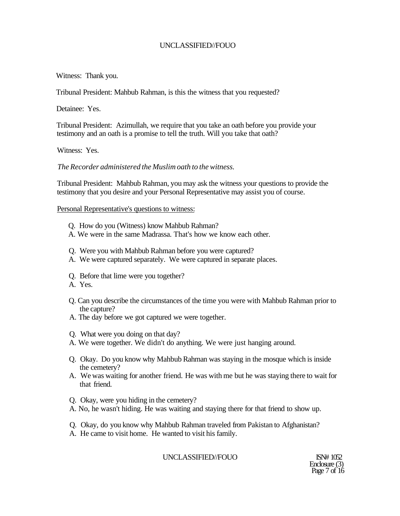Witness: Thank you.

Tribunal President: Mahbub Rahman, is this the witness that you requested?

Detainee: Yes.

Tribunal President: Azimullah, we require that you take an oath before you provide your testimony and an oath is a promise to tell the truth. Will you take that oath?

Witness: Yes.

*The Recorder administered the Muslim oath to the witness.* 

Tribunal President: Mahbub Rahman, you may ask the witness your questions to provide the testimony that you desire and your Personal Representative may assist you of course.

Personal Representative's questions to witness:

- Q. How do you (Witness) know Mahbub Rahman?
- A. We were in the same Madrassa. That's how we know each other.
- Q. Were you with Mahbub Rahman before you were captured?
- A. We were captured separately. We were captured in separate places.
- Q. Before that lime were you together?
- A. Yes.
- Q. Can you describe the circumstances of the time you were with Mahbub Rahman prior to the capture?
- A. The day before we got captured we were together.
- Q. What were you doing on that day?
- A. We were together. We didn't do anything. We were just hanging around.
- Q. Okay. Do you know why Mahbub Rahman was staying in the mosque which is inside the cemetery?
- A. We was waiting for another friend. He was with me but he was staying there to wait for that friend.
- Q. Okay, were you hiding in the cemetery?
- A. No, he wasn't hiding. He was waiting and staying there for that friend to show up.
- Q. Okay, do you know why Mahbub Rahman traveled from Pakistan to Afghanistan?
- A. He came to visit home. He wanted to visit his family.

UNCLASSIFIED//FOUO ISN# 1052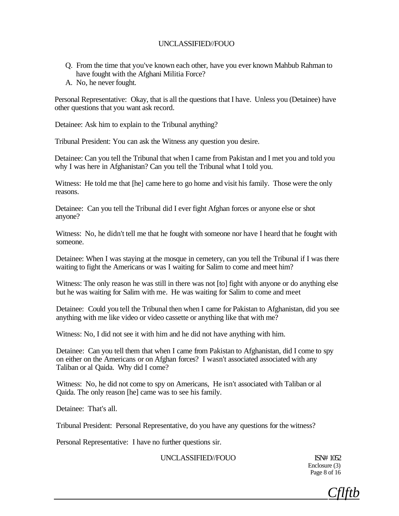- Q. From the time that you've known each other, have you ever known Mahbub Rahman to have fought with the Afghani Militia Force?
- A. No, he never fought.

Personal Representative: Okay, that is all the questions that I have. Unless you (Detainee) have other questions that you want ask record.

Detainee: Ask him to explain to the Tribunal anything?

Tribunal President: You can ask the Witness any question you desire.

Detainee: Can you tell the Tribunal that when I came from Pakistan and I met you and told you why I was here in Afghanistan? Can you tell the Tribunal what I told you.

Witness: He told me that [he] came here to go home and visit his family. Those were the only reasons.

Detainee: Can you tell the Tribunal did I ever fight Afghan forces or anyone else or shot anyone?

Witness: No, he didn't tell me that he fought with someone nor have I heard that he fought with someone.

Detainee: When I was staying at the mosque in cemetery, can you tell the Tribunal if I was there waiting to fight the Americans or was I waiting for Salim to come and meet him?

Witness: The only reason he was still in there was not [to] fight with anyone or do anything else but he was waiting for Salim with me. He was waiting for Salim to come and meet

Detainee: Could you tell the Tribunal then when I came for Pakistan to Afghanistan, did you see anything with me like video or video cassette or anything like that with me?

Witness: No, I did not see it with him and he did not have anything with him.

Detainee: Can you tell them that when I came from Pakistan to Afghanistan, did I come to spy on either on the Americans or on Afghan forces? I wasn't associated associated with any Taliban or al Qaida. Why did I come?

Witness: No, he did not come to spy on Americans, He isn't associated with Taliban or al Qaida. The only reason [he] came was to see his family.

Detainee: That's all.

Tribunal President: Personal Representative, do you have any questions for the witness?

Personal Representative: I have no further questions sir.

UNCLASSIFIED//FOUO ISN# 1052

Enclosure (3) Page 8 of 16

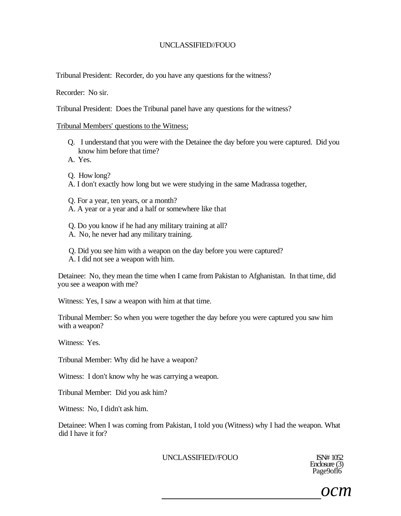Tribunal President: Recorder, do you have any questions for the witness?

Recorder: No sir.

Tribunal President: Does the Tribunal panel have any questions for the witness?

#### Tribunal Members' questions to the Witness;

- Q. I understand that you were with the Detainee the day before you were captured. Did you know him before that time?
- A. Yes.
- Q. How long?
- A. I don't exactly how long but we were studying in the same Madrassa together,

Q. For a year, ten years, or a month?

- A. A year or a year and a half or somewhere like that
- Q. Do you know if he had any military training at all?
- A. No, he never had any military training.
- Q. Did you see him with a weapon on the day before you were captured? A. I did not see a weapon with him.

Detainee: No, they mean the time when I came from Pakistan to Afghanistan. In that time, did you see a weapon with me?

Witness: Yes, I saw a weapon with him at that time.

Tribunal Member: So when you were together the day before you were captured you saw him with a weapon?

Witness: Yes.

Tribunal Member: Why did he have a weapon?

Witness: I don't know why he was carrying a weapon.

Tribunal Member: Did you ask him?

Witness: No, I didn't ask him.

Detainee: When I was coming from Pakistan, I told you (Witness) why I had the weapon. What did I have it for?

UNCLASSIFIED//FOUO ISN# 1052

Enclosure (3) Page9ofl6

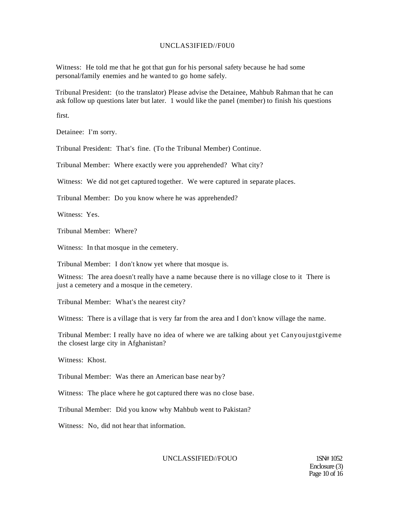#### UNCLAS3IFIED//F0U0

Witness: He told me that he got that gun for his personal safety because he had some personal/family enemies and he wanted to go home safely.

Tribunal President: (to the translator) Please advise the Detainee, Mahbub Rahman that he can ask follow up questions later but later. 1 would like the panel (member) to finish his questions

first.

Detainee: I'm sorry.

Tribunal President: That's fine. (To the Tribunal Member) Continue.

Tribunal Member: Where exactly were you apprehended? What city?

Witness: We did not get captured together. We were captured in separate places.

Tribunal Member: Do you know where he was apprehended?

Witness: Yes.

Tribunal Member: Where?

Witness: In that mosque in the cemetery.

Tribunal Member: I don't know yet where that mosque is.

Witness: The area doesn't really have a name because there is no village close to it There is just a cemetery and a mosque in the cemetery.

Tribunal Member: What's the nearest city?

Witness: There is a village that is very far from the area and I don't know village the name.

Tribunal Member: I really have no idea of where we are talking about yet Canyoujustgiveme the closest large city in Afghanistan?

Witness: Khost.

Tribunal Member: Was there an American base near by?

Witness: The place where he got captured there was no close base.

Tribunal Member: Did you know why Mahbub went to Pakistan?

Witness: No, did not hear that information.

UNCLASSIFIED//FOUO 1SN# 1052

Enclosure (3) Page 10 of 16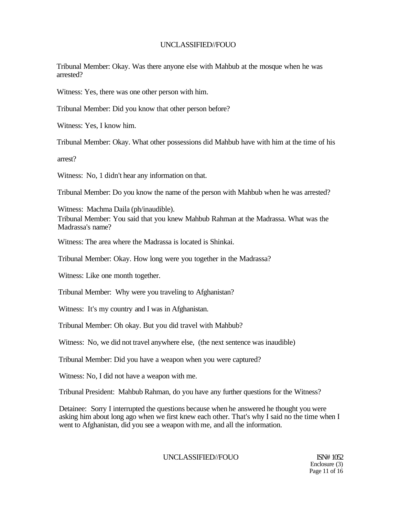Tribunal Member: Okay. Was there anyone else with Mahbub at the mosque when he was arrested?

Witness: Yes, there was one other person with him.

Tribunal Member: Did you know that other person before?

Witness: Yes, I know him.

Tribunal Member: Okay. What other possessions did Mahbub have with him at the time of his

arrest?

Witness: No, 1 didn't hear any information on that.

Tribunal Member: Do you know the name of the person with Mahbub when he was arrested?

Witness: Machma Daila (ph/inaudible).

Tribunal Member: You said that you knew Mahbub Rahman at the Madrassa. What was the Madrassa's name?

Witness: The area where the Madrassa is located is Shinkai.

Tribunal Member: Okay. How long were you together in the Madrassa?

Witness: Like one month together.

Tribunal Member: Why were you traveling to Afghanistan?

Witness: It's my country and I was in Afghanistan.

Tribunal Member: Oh okay. But you did travel with Mahbub?

Witness: No, we did not travel anywhere else, (the next sentence was inaudible)

Tribunal Member: Did you have a weapon when you were captured?

Witness: No, I did not have a weapon with me.

Tribunal President: Mahbub Rahman, do you have any further questions for the Witness?

Detainee: Sorry I interrupted the questions because when he answered he thought you were asking him about long ago when we first knew each other. That's why I said no the time when I went to Afghanistan, did you see a weapon with me, and all the information.

UNCLASSIFIED//FOUO ISN# 1052

Enclosure (3) Page 11 of 16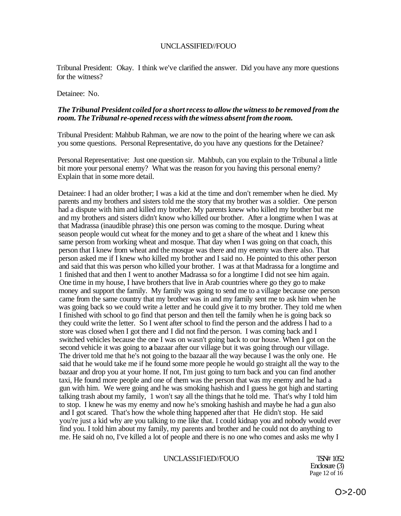Tribunal President: Okay. I think we've clarified the answer. Did you have any more questions for the witness?

Detainee: No.

## *The Tribunal President coiled for a short recess to allow the witness to be removed from the room. The Tribunal re-opened recess with the witness absent from the room.*

Tribunal President: Mahbub Rahman, we are now to the point of the hearing where we can ask you some questions. Personal Representative, do you have any questions for the Detainee?

Personal Representative: Just one question sir. Mahbub, can you explain to the Tribunal a little bit more your personal enemy? What was the reason for you having this personal enemy? Explain that in some more detail.

Detainee: I had an older brother; I was a kid at the time and don't remember when he died. My parents and my brothers and sisters told me the story that my brother was a soldier. One person had a dispute with him and killed my brother. My parents knew who killed my brother but me and my brothers and sisters didn't know who killed our brother. After a longtime when I was at that Madrassa (inaudible phrase) this one person was coming to the mosque. During wheat season people would cut wheat for the money and to get a share of the wheat and 1 knew this same person from working wheat and mosque. That day when I was going on that coach, this person that I knew from wheat and the mosque was there and my enemy was there also. That person asked me if I knew who killed my brother and I said no. He pointed to this other person and said that this was person who killed your brother. I was at that Madrassa for a longtime and 1 finished that and then I went to another Madrassa so for a longtime I did not see him again. One time in my house, I have brothers that live in Arab countries where go they go to make money and support the family. My family was going to send me to a village because one person came from the same country that my brother was in and my family sent me to ask him when he was going back so we could write a letter and he could give it to my brother. They told me when I finished with school to go find that person and then tell the family when he is going back so they could write the letter. So I went after school to find the person and the address I had to a store was closed when I got there and I did not find the person. I was coming back and I switched vehicles because the one I was on wasn't going back to our house. When I got on the second vehicle it was going to **a** bazaar after our village but it was going through our village. The driver told me that he's not going to the bazaar all the way because I was the only one. He said that he would take me if he found some more people he would go straight all the way to the bazaar and drop you at your home. If not, I'm just going to turn back and you can find another taxi, He found more people and one of them was the person that was my enemy and he had a gun with him. We were going and he was smoking hashish and I guess he got high and starting talking trash about my family, 1 won't say all the things that he told me. That's why I told him to stop. I knew he was my enemy and now he's smoking hashish and maybe he had a gun also and I got scared. That's how the whole thing happened after that He didn't stop. He said you're just a kid why are you talking to me like that. I could kidnap you and nobody would ever find you. I told him about my family, my parents and brother and he could not do anything to me. He said oh no, I've killed a lot of people and there is no one who comes and asks me why I

#### UNCLASS1F1ED//FOUO TSN# 1052

Enclosure (3) Page 12 of 16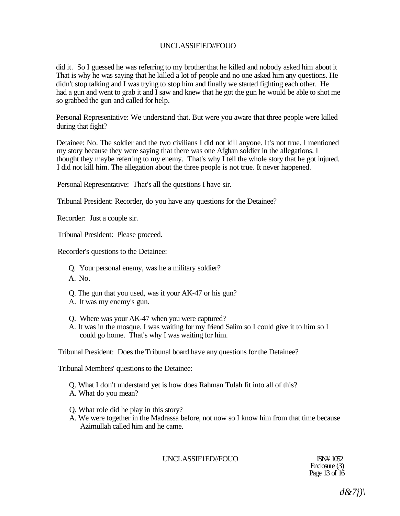did it. So I guessed he was referring to my brother that he killed and nobody asked him about it That is why he was saying that he killed a lot of people and no one asked him any questions. He didn't stop talking and I was trying to stop him and finally we started fighting each other. He had a gun and went to grab it and I saw and knew that he got the gun he would be able to shot me so grabbed the gun and called for help.

Personal Representative: We understand that. But were you aware that three people were killed during that fight?

Detainee: No. The soldier and the two civilians I did not kill anyone. It's not true. I mentioned my story because they were saying that there was one Afghan soldier in the allegations. I thought they maybe referring to my enemy. That's why I tell the whole story that he got injured. I did not kill him. The allegation about the three people is not true. It never happened.

Personal Representative: That's all the questions I have sir.

Tribunal President: Recorder, do you have any questions for the Detainee?

Recorder: Just a couple sir.

Tribunal President: Please proceed.

### Recorder's questions to the Detainee:

- Q. Your personal enemy, was he a military soldier?
- A. No.
- Q. The gun that you used, was it your AK-47 or his gun?
- A. It was my enemy's gun.
- Q. Where was your AK-47 when you were captured?
- A. It was in the mosque. I was waiting for my friend Salim so I could give it to him so I could go home. That's why I was waiting for him.

Tribunal President: Does the Tribunal board have any questions for the Detainee?

Tribunal Members' questions to the Detainee:

- Q. What I don't understand yet is how does Rahman Tulah fit into all of this?
- A. What do you mean?
- Q. What role did he play in this story?
- A. We were together in the Madrassa before, not now so I know him from that time because Azimullah called him and he came.

# UNCLASSIF1ED//FOUO ISN# 1052

Enclosure (3) Page 13 of 16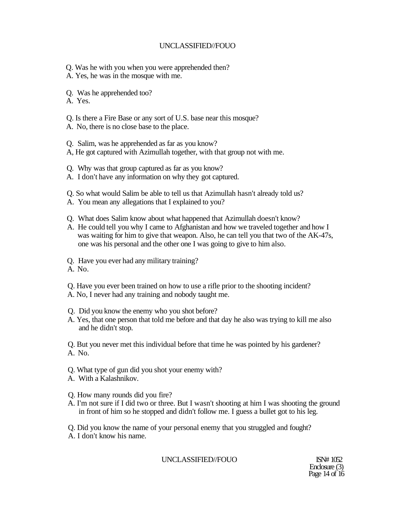Q. Was he with you when you were apprehended then?

A. Yes, he was in the mosque with me.

Q. Was he apprehended too?

A. Yes.

Q. Is there a Fire Base or any sort of U.S. base near this mosque?

A. No, there is no close base to the place.

Q. Salim, was he apprehended as far as you know?

A, He got captured with Azimullah together, with that group not with me.

Q. Why was that group captured as far as you know?

A. I don't have any information on why they got captured.

Q. So what would Salim be able to tell us that Azimullah hasn't already told us?

A. You mean any allegations that I explained to you?

Q. What does Salim know about what happened that Azimullah doesn't know?

A. He could tell you why I came to Afghanistan and how we traveled together and how I was waiting for him to give that weapon. Also, he can tell you that two of the AK-47s, one was his personal and the other one I was going to give to him also.

Q. Have you ever had any military training?

A. No.

Q. Have you ever been trained on how to use a rifle prior to the shooting incident?

- A. No, I never had any training and nobody taught me.
- Q. Did you know the enemy who you shot before?
- A. Yes, that one person that told me before and that day he also was trying to kill me also and he didn't stop.

Q. But you never met this individual before that time he was pointed by his gardener? A. No.

- Q. What type of gun did you shot your enemy with?
- A. With a Kalashnikov.
- Q. How many rounds did you fire?
- A. I'm not sure if I did two or three. But I wasn't shooting at him I was shooting the ground in front of him so he stopped and didn't follow me. I guess a bullet got to his leg.

Q. Did you know the name of your personal enemy that you struggled and fought?

A. I don't know his name.

UNCLASSIFIED//FOUO ISN# 1052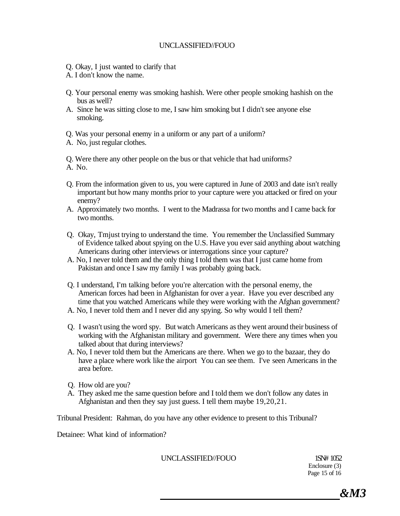- Q. Okay, I just wanted to clarify that
- A. I don't know the name.
- Q. Your personal enemy was smoking hashish. Were other people smoking hashish on the bus as well?
- A. Since he was sitting close to me, I saw him smoking but I didn't see anyone else smoking.
- Q. Was your personal enemy in a uniform or any part of a uniform?
- A. No, just regular clothes.

Q. Were there any other people on the bus or that vehicle that had uniforms? A. No.

- Q. From the information given to us, you were captured in June of 2003 and date isn't really important but how many months prior to your capture were you attacked or fired on your enemy?
- A. Approximately two months. I went to the Madrassa for two months and I came back for two months.
- Q. Okay, Tmjust trying to understand the time. You remember the Unclassified Summary of Evidence talked about spying on the U.S. Have you ever said anything about watching Americans during other interviews or interrogations since your capture?
- A. No, I never told them and the only thing I told them was that I just came home from Pakistan and once I saw my family I was probably going back.
- Q. I understand, I'm talking before you're altercation with the personal enemy, the American forces had been in Afghanistan for over a year. Have you ever described any time that you watched Americans while they were working with the Afghan government?
- A. No, I never told them and I never did any spying. So why would I tell them?
- Q. I wasn't using the word spy. But watch Americans as they went around their business of working with the Afghanistan military and government. Were there any times when you talked about that during interviews?
- A. No, I never told them but the Americans are there. When we go to the bazaar, they do have a place where work like the airport You can see them. I've seen Americans in the area before.
- Q. How old are you?
- A. They asked me the same question before and I told them we don't follow any dates in Afghanistan and then they say just guess. I tell them maybe 19,20,21.

Tribunal President: Rahman, do you have any other evidence to present to this Tribunal?

Detainee: What kind of information?

UNCLASSIFIED//FOUO 1SN# 1052

Enclosure (3) Page 15 of 16